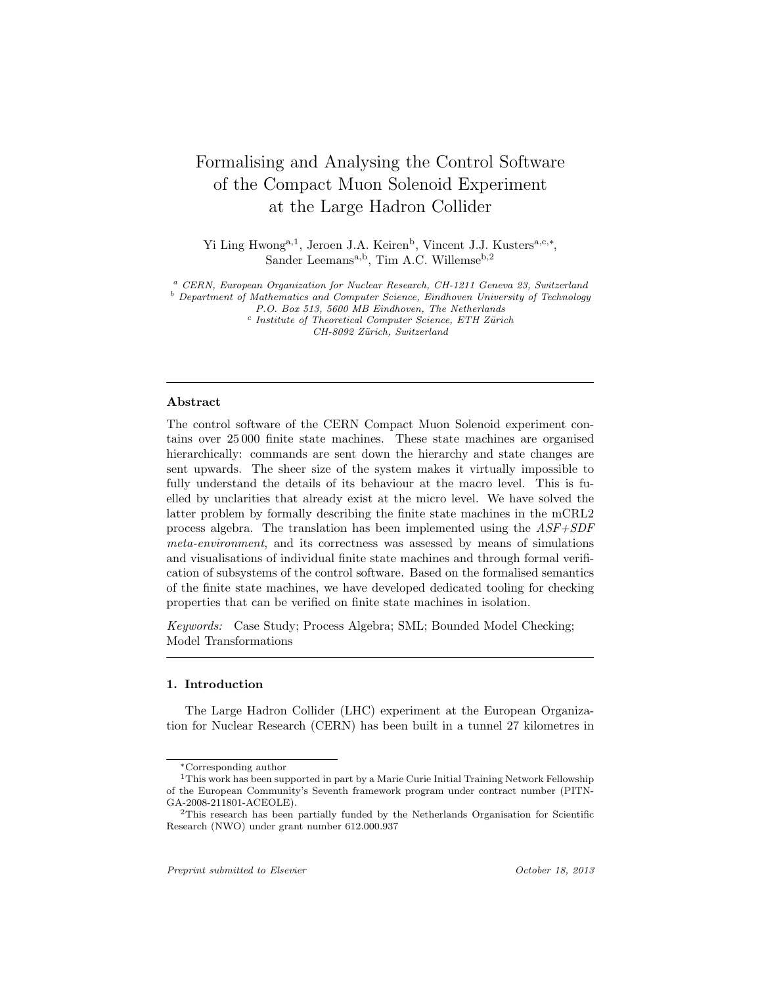# Formalising and Analysing the Control Software of the Compact Muon Solenoid Experiment at the Large Hadron Collider

Yi Ling Hwong<sup>a,1</sup>, Jeroen J.A. Keiren<sup>b</sup>, Vincent J.J. Kusters<sup>a,c,\*</sup>, Sander Leemans<sup>a,b</sup>, Tim A.C. Willemse<sup>b,2</sup>

<sup>a</sup> CERN, European Organization for Nuclear Research, CH-1211 Geneva 23, Switzerland <sup>b</sup> Department of Mathematics and Computer Science, Eindhoven University of Technology

P.O. Box 513, 5600 MB Eindhoven, The Netherlands <sup>c</sup> Institute of Theoretical Computer Science, ETH Zürich CH-8092 Zürich, Switzerland

### Abstract

The control software of the CERN Compact Muon Solenoid experiment contains over 25 000 finite state machines. These state machines are organised hierarchically: commands are sent down the hierarchy and state changes are sent upwards. The sheer size of the system makes it virtually impossible to fully understand the details of its behaviour at the macro level. This is fuelled by unclarities that already exist at the micro level. We have solved the latter problem by formally describing the finite state machines in the mCRL2 process algebra. The translation has been implemented using the  $ASF+SDF$ meta-environment, and its correctness was assessed by means of simulations and visualisations of individual finite state machines and through formal verification of subsystems of the control software. Based on the formalised semantics of the finite state machines, we have developed dedicated tooling for checking properties that can be verified on finite state machines in isolation.

Keywords: Case Study; Process Algebra; SML; Bounded Model Checking; Model Transformations

### 1. Introduction

The Large Hadron Collider (LHC) experiment at the European Organization for Nuclear Research (CERN) has been built in a tunnel 27 kilometres in

<sup>∗</sup>Corresponding author

<sup>&</sup>lt;sup>1</sup>This work has been supported in part by a Marie Curie Initial Training Network Fellowship of the European Community's Seventh framework program under contract number (PITN-GA-2008-211801-ACEOLE).

<sup>2</sup>This research has been partially funded by the Netherlands Organisation for Scientific Research (NWO) under grant number 612.000.937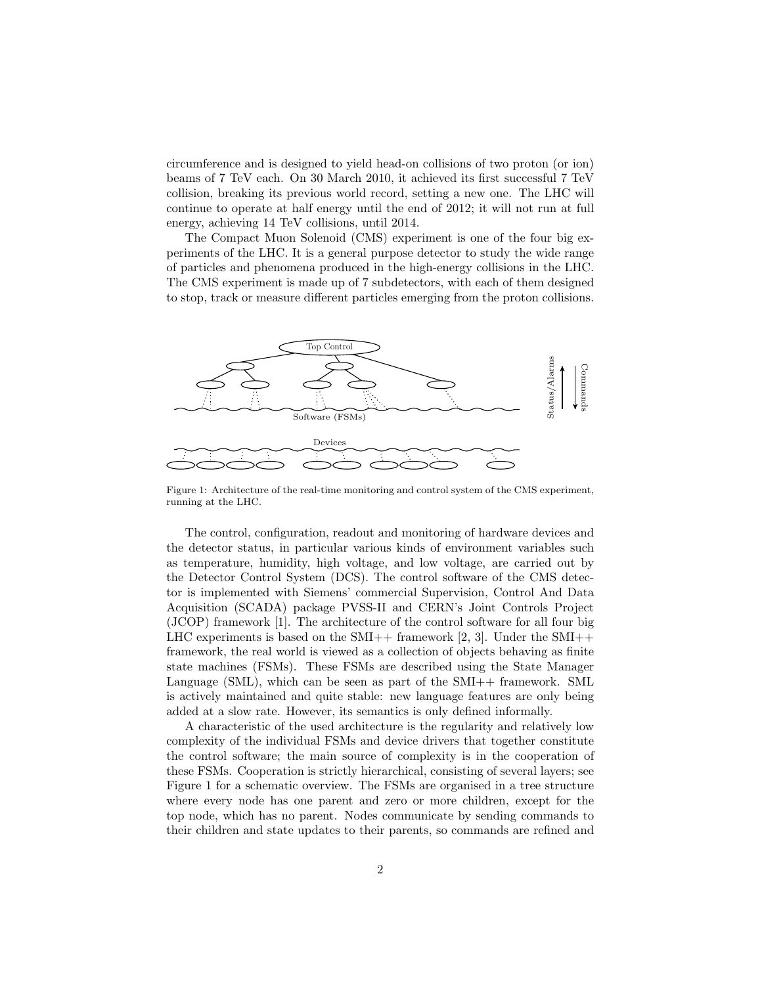circumference and is designed to yield head-on collisions of two proton (or ion) beams of 7 TeV each. On 30 March 2010, it achieved its first successful 7 TeV collision, breaking its previous world record, setting a new one. The LHC will continue to operate at half energy until the end of 2012; it will not run at full energy, achieving 14 TeV collisions, until 2014.

The Compact Muon Solenoid (CMS) experiment is one of the four big experiments of the LHC. It is a general purpose detector to study the wide range of particles and phenomena produced in the high-energy collisions in the LHC. The CMS experiment is made up of 7 subdetectors, with each of them designed to stop, track or measure different particles emerging from the proton collisions.



Figure 1: Architecture of the real-time monitoring and control system of the CMS experiment, running at the LHC.

The control, configuration, readout and monitoring of hardware devices and the detector status, in particular various kinds of environment variables such as temperature, humidity, high voltage, and low voltage, are carried out by the Detector Control System (DCS). The control software of the CMS detector is implemented with Siemens' commercial Supervision, Control And Data Acquisition (SCADA) package PVSS-II and CERN's Joint Controls Project (JCOP) framework [1]. The architecture of the control software for all four big LHC experiments is based on the SMI++ framework [2, 3]. Under the SMI++ framework, the real world is viewed as a collection of objects behaving as finite state machines (FSMs). These FSMs are described using the State Manager Language (SML), which can be seen as part of the SMI++ framework. SML is actively maintained and quite stable: new language features are only being added at a slow rate. However, its semantics is only defined informally.

A characteristic of the used architecture is the regularity and relatively low complexity of the individual FSMs and device drivers that together constitute the control software; the main source of complexity is in the cooperation of these FSMs. Cooperation is strictly hierarchical, consisting of several layers; see Figure 1 for a schematic overview. The FSMs are organised in a tree structure where every node has one parent and zero or more children, except for the top node, which has no parent. Nodes communicate by sending commands to their children and state updates to their parents, so commands are refined and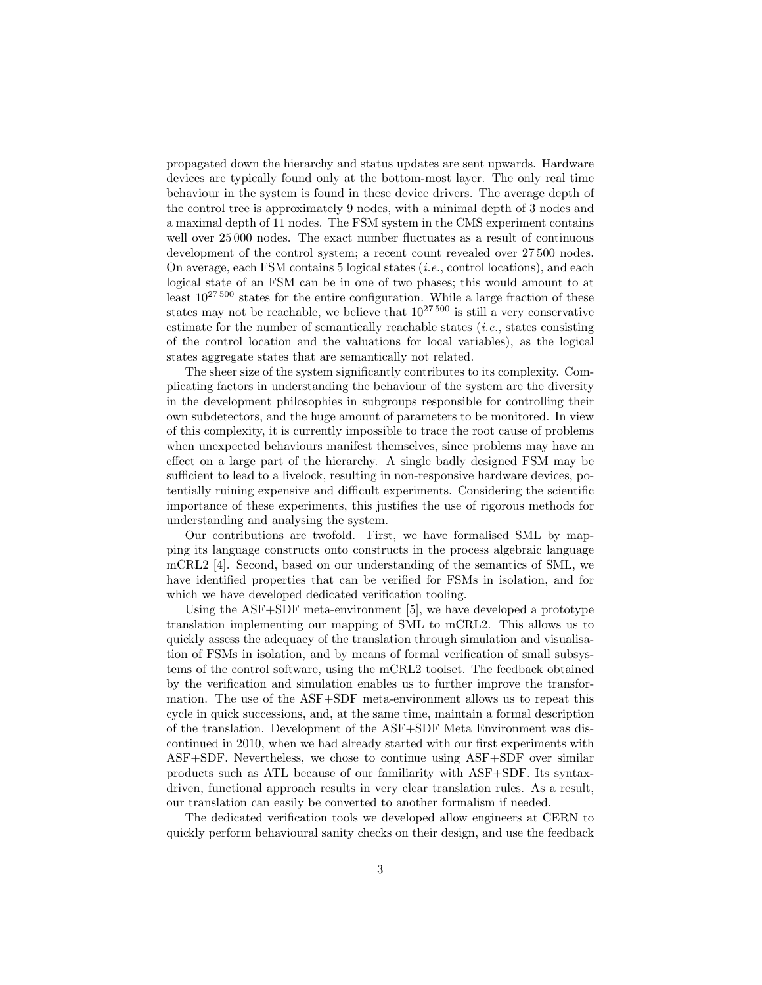propagated down the hierarchy and status updates are sent upwards. Hardware devices are typically found only at the bottom-most layer. The only real time behaviour in the system is found in these device drivers. The average depth of the control tree is approximately 9 nodes, with a minimal depth of 3 nodes and a maximal depth of 11 nodes. The FSM system in the CMS experiment contains well over 25 000 nodes. The exact number fluctuates as a result of continuous development of the control system; a recent count revealed over  $27\,500$  nodes. On average, each FSM contains 5 logical states (i.e., control locations), and each logical state of an FSM can be in one of two phases; this would amount to at least  $10^{27,500}$  states for the entire configuration. While a large fraction of these states may not be reachable, we believe that  $10^{27,500}$  is still a very conservative estimate for the number of semantically reachable states  $(i.e.,$  states consisting of the control location and the valuations for local variables), as the logical states aggregate states that are semantically not related.

The sheer size of the system significantly contributes to its complexity. Complicating factors in understanding the behaviour of the system are the diversity in the development philosophies in subgroups responsible for controlling their own subdetectors, and the huge amount of parameters to be monitored. In view of this complexity, it is currently impossible to trace the root cause of problems when unexpected behaviours manifest themselves, since problems may have an effect on a large part of the hierarchy. A single badly designed FSM may be sufficient to lead to a livelock, resulting in non-responsive hardware devices, potentially ruining expensive and difficult experiments. Considering the scientific importance of these experiments, this justifies the use of rigorous methods for understanding and analysing the system.

Our contributions are twofold. First, we have formalised SML by mapping its language constructs onto constructs in the process algebraic language mCRL2 [4]. Second, based on our understanding of the semantics of SML, we have identified properties that can be verified for FSMs in isolation, and for which we have developed dedicated verification tooling.

Using the ASF+SDF meta-environment [5], we have developed a prototype translation implementing our mapping of SML to mCRL2. This allows us to quickly assess the adequacy of the translation through simulation and visualisation of FSMs in isolation, and by means of formal verification of small subsystems of the control software, using the mCRL2 toolset. The feedback obtained by the verification and simulation enables us to further improve the transformation. The use of the ASF+SDF meta-environment allows us to repeat this cycle in quick successions, and, at the same time, maintain a formal description of the translation. Development of the ASF+SDF Meta Environment was discontinued in 2010, when we had already started with our first experiments with ASF+SDF. Nevertheless, we chose to continue using ASF+SDF over similar products such as ATL because of our familiarity with ASF+SDF. Its syntaxdriven, functional approach results in very clear translation rules. As a result, our translation can easily be converted to another formalism if needed.

The dedicated verification tools we developed allow engineers at CERN to quickly perform behavioural sanity checks on their design, and use the feedback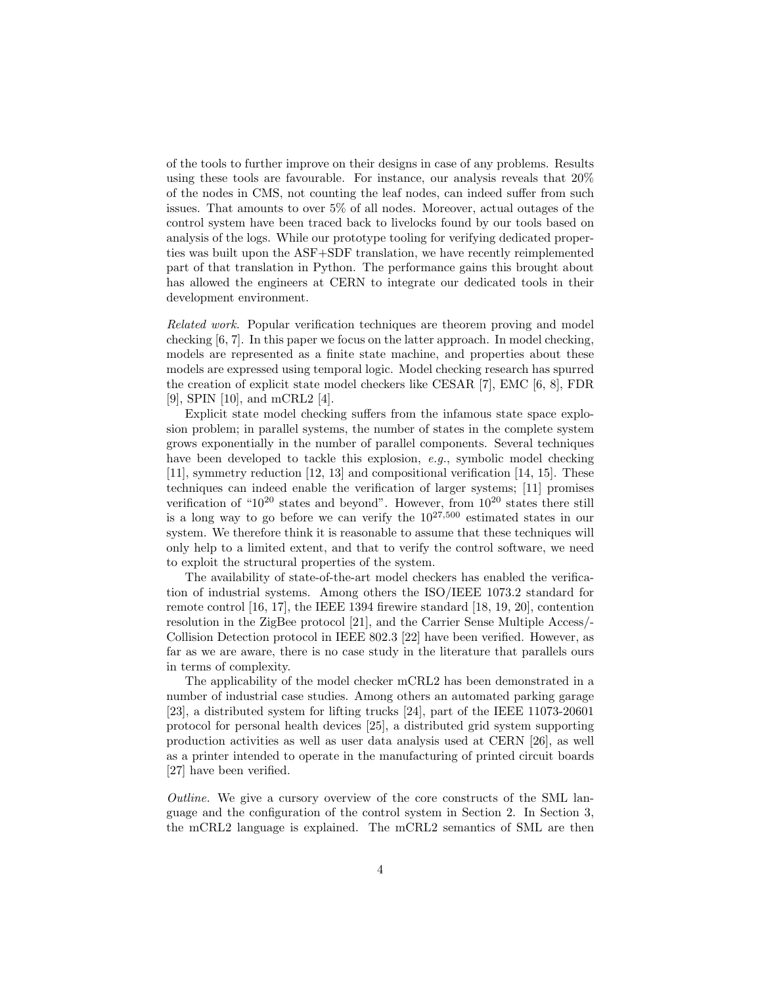of the tools to further improve on their designs in case of any problems. Results using these tools are favourable. For instance, our analysis reveals that 20% of the nodes in CMS, not counting the leaf nodes, can indeed suffer from such issues. That amounts to over 5% of all nodes. Moreover, actual outages of the control system have been traced back to livelocks found by our tools based on analysis of the logs. While our prototype tooling for verifying dedicated properties was built upon the ASF+SDF translation, we have recently reimplemented part of that translation in Python. The performance gains this brought about has allowed the engineers at CERN to integrate our dedicated tools in their development environment.

Related work. Popular verification techniques are theorem proving and model checking [6, 7]. In this paper we focus on the latter approach. In model checking, models are represented as a finite state machine, and properties about these models are expressed using temporal logic. Model checking research has spurred the creation of explicit state model checkers like CESAR [7], EMC [6, 8], FDR [9], SPIN [10], and mCRL2 [4].

Explicit state model checking suffers from the infamous state space explosion problem; in parallel systems, the number of states in the complete system grows exponentially in the number of parallel components. Several techniques have been developed to tackle this explosion, e.g., symbolic model checking [11], symmetry reduction [12, 13] and compositional verification [14, 15]. These techniques can indeed enable the verification of larger systems; [11] promises verification of " $10^{20}$  states and beyond". However, from  $10^{20}$  states there still is a long way to go before we can verify the  $10^{27,500}$  estimated states in our system. We therefore think it is reasonable to assume that these techniques will only help to a limited extent, and that to verify the control software, we need to exploit the structural properties of the system.

The availability of state-of-the-art model checkers has enabled the verification of industrial systems. Among others the ISO/IEEE 1073.2 standard for remote control [16, 17], the IEEE 1394 firewire standard [18, 19, 20], contention resolution in the ZigBee protocol [21], and the Carrier Sense Multiple Access/- Collision Detection protocol in IEEE 802.3 [22] have been verified. However, as far as we are aware, there is no case study in the literature that parallels ours in terms of complexity.

The applicability of the model checker mCRL2 has been demonstrated in a number of industrial case studies. Among others an automated parking garage [23], a distributed system for lifting trucks [24], part of the IEEE 11073-20601 protocol for personal health devices [25], a distributed grid system supporting production activities as well as user data analysis used at CERN [26], as well as a printer intended to operate in the manufacturing of printed circuit boards [27] have been verified.

Outline. We give a cursory overview of the core constructs of the SML language and the configuration of the control system in Section 2. In Section 3, the mCRL2 language is explained. The mCRL2 semantics of SML are then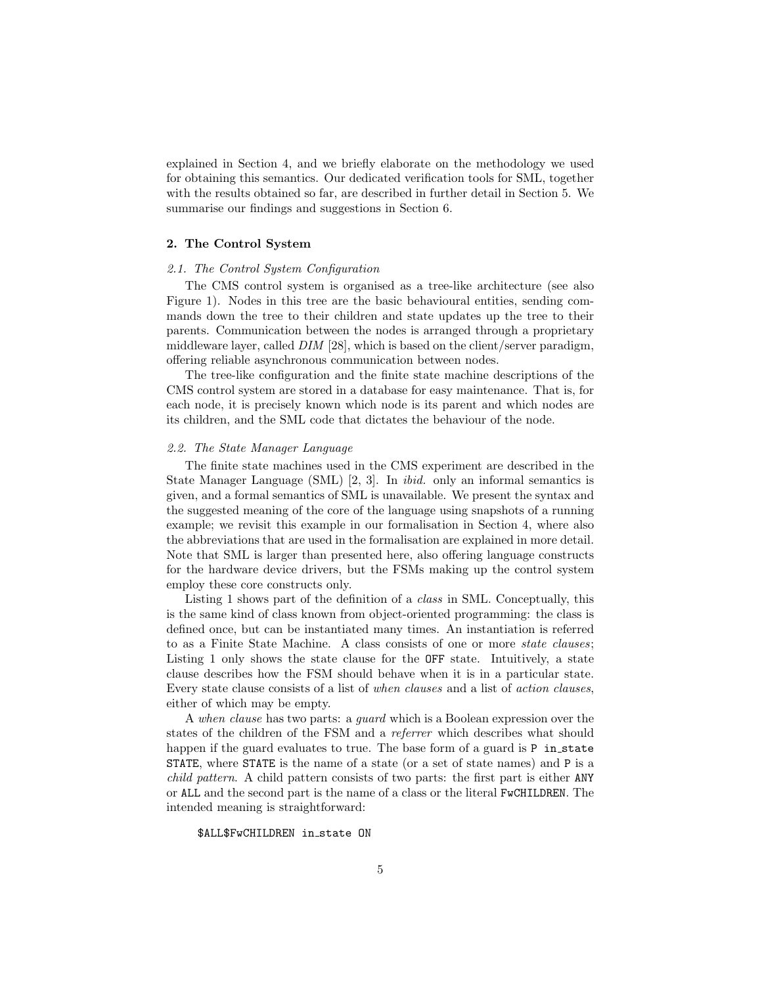explained in Section 4, and we briefly elaborate on the methodology we used for obtaining this semantics. Our dedicated verification tools for SML, together with the results obtained so far, are described in further detail in Section 5. We summarise our findings and suggestions in Section 6.

### 2. The Control System

#### 2.1. The Control System Configuration

The CMS control system is organised as a tree-like architecture (see also Figure 1). Nodes in this tree are the basic behavioural entities, sending commands down the tree to their children and state updates up the tree to their parents. Communication between the nodes is arranged through a proprietary middleware layer, called DIM [28], which is based on the client/server paradigm, offering reliable asynchronous communication between nodes.

The tree-like configuration and the finite state machine descriptions of the CMS control system are stored in a database for easy maintenance. That is, for each node, it is precisely known which node is its parent and which nodes are its children, and the SML code that dictates the behaviour of the node.

#### 2.2. The State Manager Language

The finite state machines used in the CMS experiment are described in the State Manager Language (SML) [2, 3]. In ibid. only an informal semantics is given, and a formal semantics of SML is unavailable. We present the syntax and the suggested meaning of the core of the language using snapshots of a running example; we revisit this example in our formalisation in Section 4, where also the abbreviations that are used in the formalisation are explained in more detail. Note that SML is larger than presented here, also offering language constructs for the hardware device drivers, but the FSMs making up the control system employ these core constructs only.

Listing 1 shows part of the definition of a class in SML. Conceptually, this is the same kind of class known from object-oriented programming: the class is defined once, but can be instantiated many times. An instantiation is referred to as a Finite State Machine. A class consists of one or more state clauses; Listing 1 only shows the state clause for the OFF state. Intuitively, a state clause describes how the FSM should behave when it is in a particular state. Every state clause consists of a list of when clauses and a list of action clauses, either of which may be empty.

A when clause has two parts: a guard which is a Boolean expression over the states of the children of the FSM and a referrer which describes what should happen if the guard evaluates to true. The base form of a guard is P in state STATE, where STATE is the name of a state (or a set of state names) and P is a child pattern. A child pattern consists of two parts: the first part is either ANY or ALL and the second part is the name of a class or the literal FwCHILDREN. The intended meaning is straightforward:

### \$ALL\$FwCHILDREN in state ON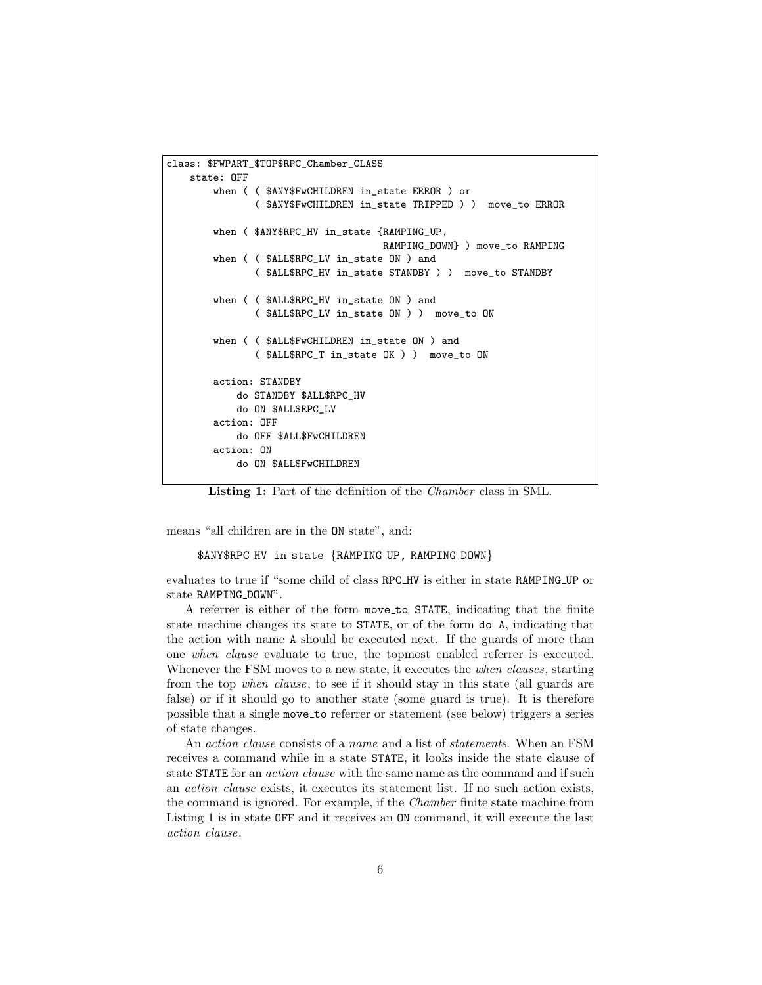```
class: $FWPART_$TOP$RPC_Chamber_CLASS
   state: OFF
       when ( ( $ANY$FwCHILDREN in_state ERROR ) or
               ( $ANY$FwCHILDREN in_state TRIPPED ) ) move_to ERROR
       when ( $ANY$RPC_HV in_state {RAMPING_UP,
                                     RAMPING_DOWN} ) move_to RAMPING
       when ( ( $ALL$RPC_LV in_state ON ) and
               ( $ALL$RPC_HV in_state STANDBY ) ) move_to STANDBY
       when ( ( $ALL$RPC_HV in_state ON ) and
               ( $ALL$RPC_LV in_state ON ) ) move_to ON
       when ( ( $ALL$FwCHILDREN in_state ON ) and
               ( $ALL$RPC_T in_state OK ) ) move_to ON
       action: STANDBY
           do STANDBY $ALL$RPC_HV
           do ON $ALL$RPC_LV
       action: OFF
           do OFF $ALL$FwCHILDREN
       action: ON
           do ON $ALL$FwCHILDREN
```
Listing 1: Part of the definition of the *Chamber* class in SML.

means "all children are in the ON state", and:

\$ANY\$RPC HV in state {RAMPING UP, RAMPING DOWN}

evaluates to true if "some child of class RPC HV is either in state RAMPING UP or state RAMPING DOWN".

A referrer is either of the form move to STATE, indicating that the finite state machine changes its state to STATE, or of the form do A, indicating that the action with name A should be executed next. If the guards of more than one when clause evaluate to true, the topmost enabled referrer is executed. Whenever the FSM moves to a new state, it executes the *when clauses*, starting from the top when clause, to see if it should stay in this state (all guards are false) or if it should go to another state (some guard is true). It is therefore possible that a single move to referrer or statement (see below) triggers a series of state changes.

An action clause consists of a name and a list of statements. When an FSM receives a command while in a state STATE, it looks inside the state clause of state STATE for an action clause with the same name as the command and if such an action clause exists, it executes its statement list. If no such action exists, the command is ignored. For example, if the Chamber finite state machine from Listing 1 is in state OFF and it receives an ON command, it will execute the last action clause.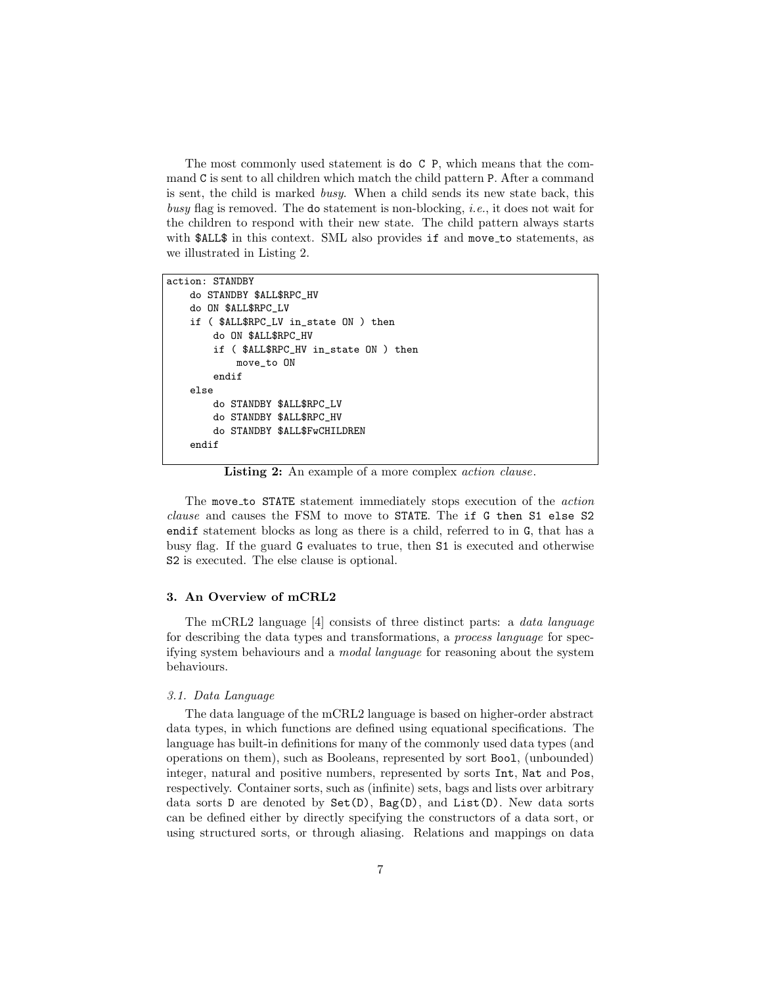The most commonly used statement is do C P, which means that the command C is sent to all children which match the child pattern P. After a command is sent, the child is marked busy. When a child sends its new state back, this busy flag is removed. The do statement is non-blocking, *i.e.*, it does not wait for the children to respond with their new state. The child pattern always starts with  $SLL$$  in this context. SML also provides if and move\_to statements, as we illustrated in Listing 2.

```
action: STANDBY
   do STANDBY $ALL$RPC_HV
   do ON $ALL$RPC_LV
   if ( $ALL$RPC_LV in_state ON ) then
        do ON $ALL$RPC_HV
        if ( $ALL$RPC_HV in_state ON ) then
            move_to ON
        endif
   else
        do STANDBY $ALL$RPC_LV
        do STANDBY $ALL$RPC_HV
        do STANDBY $ALL$FwCHILDREN
    endif
```
Listing 2: An example of a more complex *action clause*.

The move to STATE statement immediately stops execution of the action clause and causes the FSM to move to STATE. The if G then S1 else S2 endif statement blocks as long as there is a child, referred to in G, that has a busy flag. If the guard G evaluates to true, then S1 is executed and otherwise S2 is executed. The else clause is optional.

### 3. An Overview of mCRL2

The mCRL2 language [4] consists of three distinct parts: a data language for describing the data types and transformations, a process language for specifying system behaviours and a modal language for reasoning about the system behaviours.

### 3.1. Data Language

The data language of the mCRL2 language is based on higher-order abstract data types, in which functions are defined using equational specifications. The language has built-in definitions for many of the commonly used data types (and operations on them), such as Booleans, represented by sort Bool, (unbounded) integer, natural and positive numbers, represented by sorts Int, Nat and Pos, respectively. Container sorts, such as (infinite) sets, bags and lists over arbitrary data sorts D are denoted by  $Set(D)$ ,  $Bag(D)$ , and  $List(D)$ . New data sorts can be defined either by directly specifying the constructors of a data sort, or using structured sorts, or through aliasing. Relations and mappings on data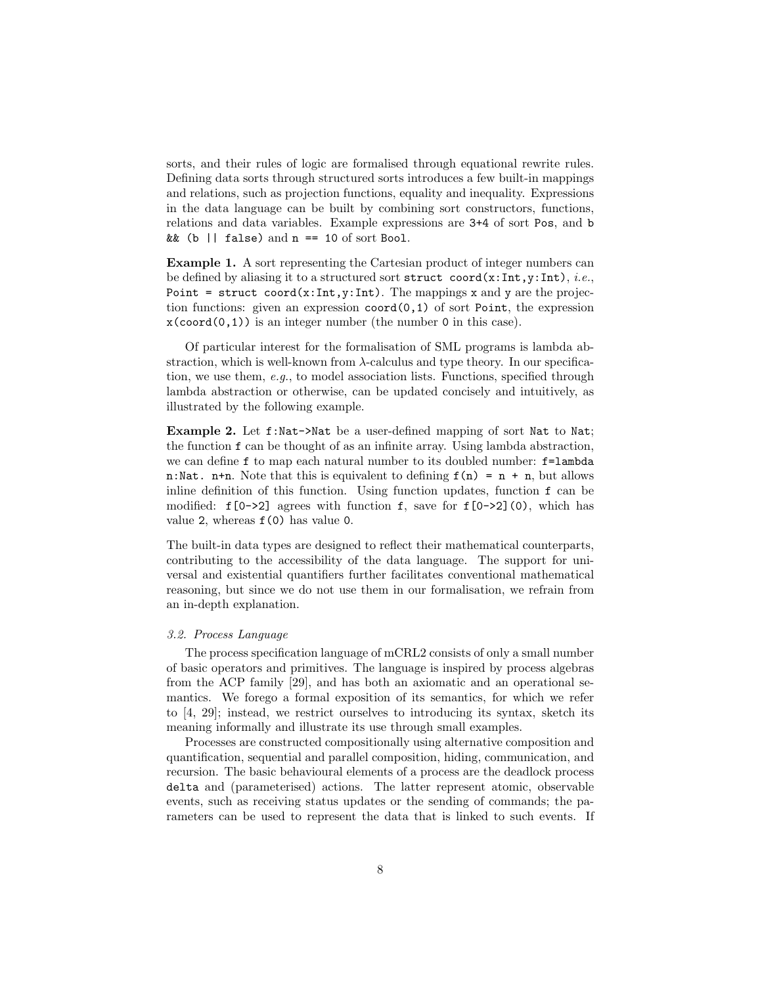sorts, and their rules of logic are formalised through equational rewrite rules. Defining data sorts through structured sorts introduces a few built-in mappings and relations, such as projection functions, equality and inequality. Expressions in the data language can be built by combining sort constructors, functions, relations and data variables. Example expressions are 3+4 of sort Pos, and b && (b  $||$  false) and  $n == 10$  of sort Bool.

Example 1. A sort representing the Cartesian product of integer numbers can be defined by aliasing it to a structured sort struct  $coord(x:Int, y:Int), i.e.,$ Point = struct  $coord(x:Int,y:Int)$ . The mappings x and y are the projection functions: given an expression  $coord(0,1)$  of sort Point, the expression  $x$ (coord(0,1)) is an integer number (the number 0 in this case).

Of particular interest for the formalisation of SML programs is lambda abstraction, which is well-known from  $\lambda$ -calculus and type theory. In our specification, we use them, e.g., to model association lists. Functions, specified through lambda abstraction or otherwise, can be updated concisely and intuitively, as illustrated by the following example.

Example 2. Let f:Nat->Nat be a user-defined mapping of sort Nat to Nat; the function f can be thought of as an infinite array. Using lambda abstraction, we can define f to map each natural number to its doubled number: f=lambda n:Nat. n+n. Note that this is equivalent to defining  $f(n) = n + n$ , but allows inline definition of this function. Using function updates, function f can be modified:  $f[0-2]$  agrees with function f, save for  $f[0-2]$  (0), which has value 2, whereas f(0) has value 0.

The built-in data types are designed to reflect their mathematical counterparts, contributing to the accessibility of the data language. The support for universal and existential quantifiers further facilitates conventional mathematical reasoning, but since we do not use them in our formalisation, we refrain from an in-depth explanation.

### 3.2. Process Language

The process specification language of mCRL2 consists of only a small number of basic operators and primitives. The language is inspired by process algebras from the ACP family [29], and has both an axiomatic and an operational semantics. We forego a formal exposition of its semantics, for which we refer to [4, 29]; instead, we restrict ourselves to introducing its syntax, sketch its meaning informally and illustrate its use through small examples.

Processes are constructed compositionally using alternative composition and quantification, sequential and parallel composition, hiding, communication, and recursion. The basic behavioural elements of a process are the deadlock process delta and (parameterised) actions. The latter represent atomic, observable events, such as receiving status updates or the sending of commands; the parameters can be used to represent the data that is linked to such events. If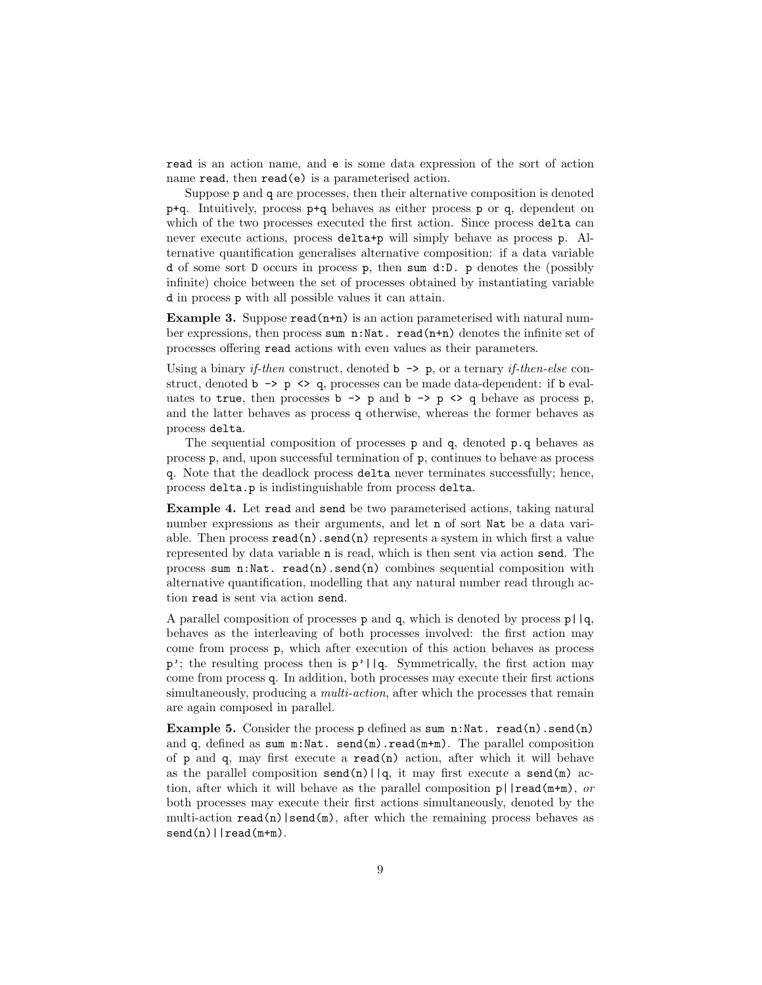read is an action name, and e is some data expression of the sort of action name read, then read(e) is a parameterised action.

Suppose p and q are processes, then their alternative composition is denoted p+q. Intuitively, process p+q behaves as either process p or q, dependent on which of the two processes executed the first action. Since process delta can never execute actions, process delta+p will simply behave as process p. Alternative quantification generalises alternative composition: if a data variable d of some sort D occurs in process p, then sum d:D. p denotes the (possibly infinite) choice between the set of processes obtained by instantiating variable d in process p with all possible values it can attain.

**Example 3.** Suppose  $\text{read}(n+n)$  is an action parameterised with natural number expressions, then process sum n:Nat. read(n+n) denotes the infinite set of processes offering read actions with even values as their parameters.

Using a binary *if-then* construct, denoted  $\mathbf{b} \rightarrow \mathbf{p}$ , or a ternary *if-then-else* construct, denoted  $\mathbf{b} \rightarrow \mathbf{p} \Leftrightarrow \mathbf{q}$ , processes can be made data-dependent: if  $\mathbf{b}$  evaluates to true, then processes  $b \rightarrow p$  and  $b \rightarrow p \Leftrightarrow q$  behave as process p, and the latter behaves as process q otherwise, whereas the former behaves as process delta.

The sequential composition of processes p and q, denoted p.q behaves as process p, and, upon successful termination of p, continues to behave as process q. Note that the deadlock process delta never terminates successfully; hence, process delta.p is indistinguishable from process delta.

Example 4. Let read and send be two parameterised actions, taking natural number expressions as their arguments, and let n of sort Nat be a data variable. Then process  $\text{read}(n)$ . send(n) represents a system in which first a value represented by data variable n is read, which is then sent via action send. The process sum  $n:Nat.$  read(n).send(n) combines sequential composition with alternative quantification, modelling that any natural number read through action read is sent via action send.

A parallel composition of processes  $p$  and  $q$ , which is denoted by process  $p||q$ , behaves as the interleaving of both processes involved: the first action may come from process p, which after execution of this action behaves as process  $p'$ ; the resulting process then is  $p'||q$ . Symmetrically, the first action may come from process q. In addition, both processes may execute their first actions simultaneously, producing a *multi-action*, after which the processes that remain are again composed in parallel.

**Example 5.** Consider the process p defined as sum  $n: Nat. read(n) . send(n)$ and q, defined as sum m:Nat. send(m).read(m+m). The parallel composition of p and q, may first execute a read(n) action, after which it will behave as the parallel composition  $send(n)$ ||q, it may first execute a  $send(m)$  action, after which it will behave as the parallel composition  $p \mid \text{read}(m+m)$ , or both processes may execute their first actions simultaneously, denoted by the multi-action  $\text{read}(n)$  | send(m), after which the remaining process behaves as  $send(n)||read(m+m)$ .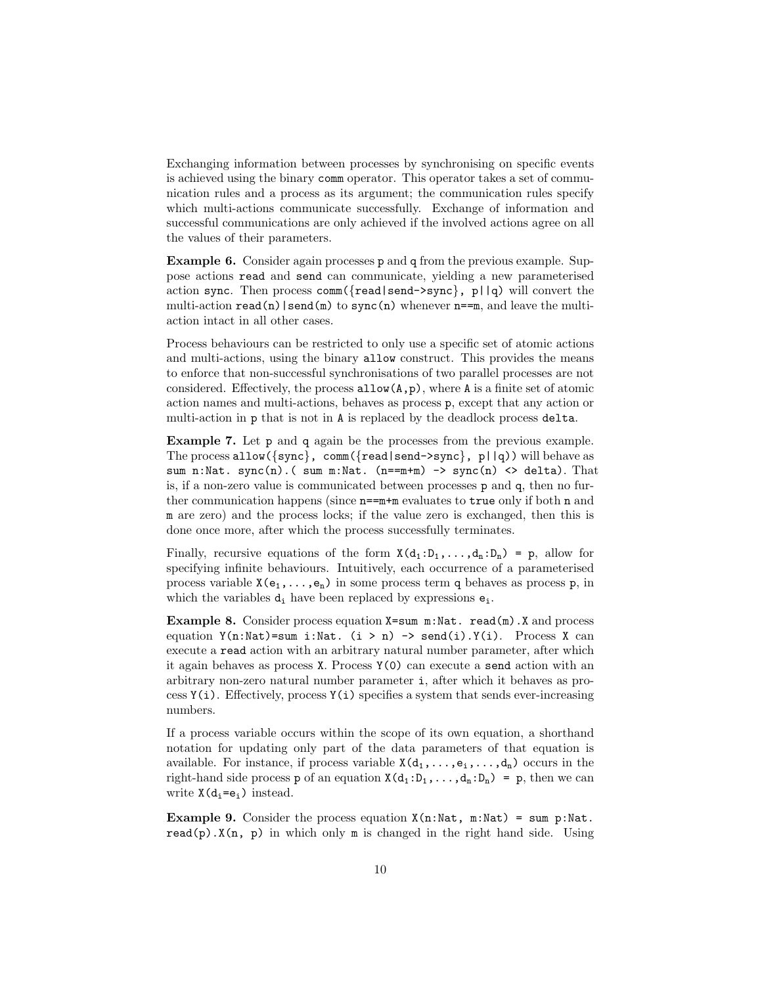Exchanging information between processes by synchronising on specific events is achieved using the binary comm operator. This operator takes a set of communication rules and a process as its argument; the communication rules specify which multi-actions communicate successfully. Exchange of information and successful communications are only achieved if the involved actions agree on all the values of their parameters.

Example 6. Consider again processes p and q from the previous example. Suppose actions read and send can communicate, yielding a new parameterised action sync. Then process comm({read|send->sync}, p||q) will convert the multi-action read(n)  $|$  send(m) to sync(n) whenever n==m, and leave the multiaction intact in all other cases.

Process behaviours can be restricted to only use a specific set of atomic actions and multi-actions, using the binary allow construct. This provides the means to enforce that non-successful synchronisations of two parallel processes are not considered. Effectively, the process  $allow(A, p)$ , where A is a finite set of atomic action names and multi-actions, behaves as process p, except that any action or multi-action in p that is not in A is replaced by the deadlock process delta.

Example 7. Let p and q again be the processes from the previous example. The process allow( $\{sync\}$ , comm( $\{ read| send->sync\}$ , p $||q)$ ) will behave as sum n:Nat. sync(n).( sum m:Nat.  $(n == m + m)$  -> sync(n) <> delta). That is, if a non-zero value is communicated between processes p and q, then no further communication happens (since  $n = m+m$  evaluates to true only if both n and m are zero) and the process locks; if the value zero is exchanged, then this is done once more, after which the process successfully terminates.

Finally, recursive equations of the form  $X(d_1:D_1,\ldots,d_n:D_n) = p$ , allow for specifying infinite behaviours. Intuitively, each occurrence of a parameterised process variable  $X(e_1,\ldots,e_n)$  in some process term q behaves as process p, in which the variables  $d_i$  have been replaced by expressions  $e_i$ .

Example 8. Consider process equation X=sum m:Nat. read(m).X and process equation  $Y(n:Nat)=sum i:Nat.$  (i > n) -> send(i). $Y(i)$ . Process X can execute a read action with an arbitrary natural number parameter, after which it again behaves as process X. Process Y(0) can execute a send action with an arbitrary non-zero natural number parameter i, after which it behaves as process  $Y(i)$ . Effectively, process  $Y(i)$  specifies a system that sends ever-increasing numbers.

If a process variable occurs within the scope of its own equation, a shorthand notation for updating only part of the data parameters of that equation is available. For instance, if process variable  $X(d_1,\ldots,e_i,\ldots,d_n)$  occurs in the right-hand side process p of an equation  $X(d_1:D_1,\ldots,d_n:D_n) = p$ , then we can write  $X(d_i = e_i)$  instead.

Example 9. Consider the process equation  $X(n:Nat, m:Nat) = \text{sum p:Nat}.$  $read(p) . X(n, p)$  in which only  $m$  is changed in the right hand side. Using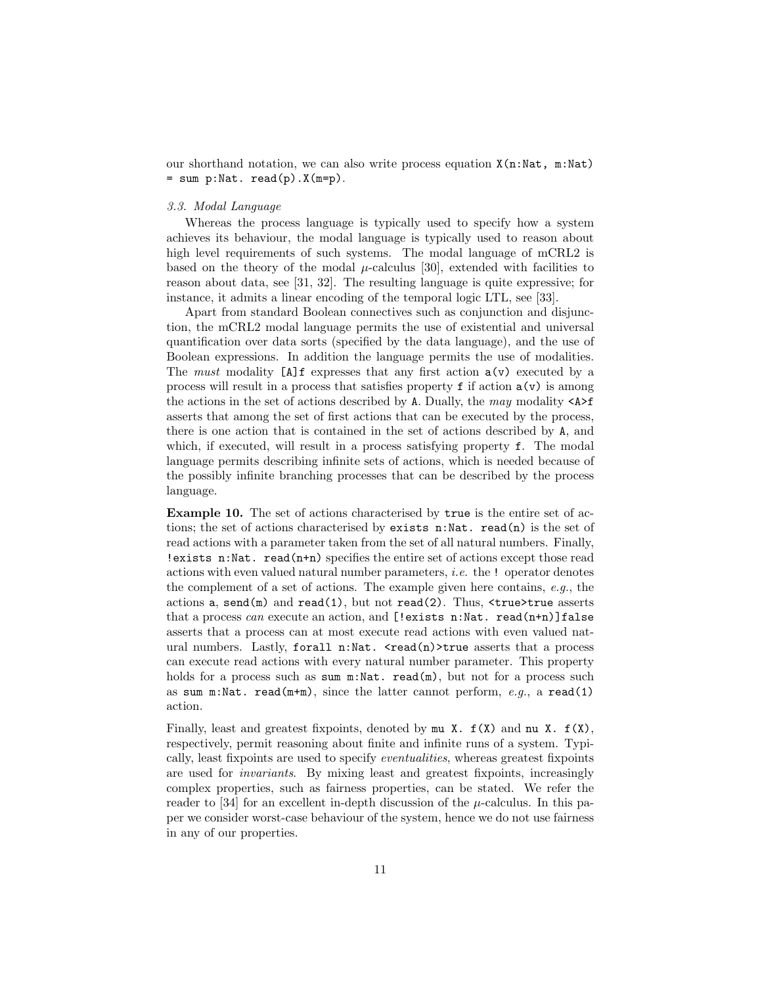our shorthand notation, we can also write process equation  $X(n:Nat, m:Nat)$  $=$  sum  $p: Nat. read(p) . X(m=p).$ 

## 3.3. Modal Language

Whereas the process language is typically used to specify how a system achieves its behaviour, the modal language is typically used to reason about high level requirements of such systems. The modal language of mCRL2 is based on the theory of the modal  $\mu$ -calculus [30], extended with facilities to reason about data, see [31, 32]. The resulting language is quite expressive; for instance, it admits a linear encoding of the temporal logic LTL, see [33].

Apart from standard Boolean connectives such as conjunction and disjunction, the mCRL2 modal language permits the use of existential and universal quantification over data sorts (specified by the data language), and the use of Boolean expressions. In addition the language permits the use of modalities. The *must* modality [A]f expresses that any first action  $a(v)$  executed by a process will result in a process that satisfies property  $f$  if action  $a(v)$  is among the actions in the set of actions described by A. Dually, the may modality  $\langle A \rangle f$ asserts that among the set of first actions that can be executed by the process, there is one action that is contained in the set of actions described by A, and which, if executed, will result in a process satisfying property f. The modal language permits describing infinite sets of actions, which is needed because of the possibly infinite branching processes that can be described by the process language.

Example 10. The set of actions characterised by true is the entire set of actions; the set of actions characterised by exists n:Nat. read(n) is the set of read actions with a parameter taken from the set of all natural numbers. Finally, !exists n:Nat. read(n+n) specifies the entire set of actions except those read actions with even valued natural number parameters, i.e. the ! operator denotes the complement of a set of actions. The example given here contains,  $e.g.,$  the actions  $a$ , send(m) and read(1), but not read(2). Thus,  $\tt true\tt \t true \t \t asserts$ that a process can execute an action, and [!exists n:Nat. read(n+n)]false asserts that a process can at most execute read actions with even valued natural numbers. Lastly, forall n:Nat.  $\langle \text{read}(n) \rangle$ true asserts that a process can execute read actions with every natural number parameter. This property holds for a process such as sum m:Nat. read(m), but not for a process such as sum m:Nat. read(m+m), since the latter cannot perform,  $e.g.,$  a read(1) action.

Finally, least and greatest fixpoints, denoted by mu  $X$ .  $f(X)$  and nu  $X$ .  $f(X)$ , respectively, permit reasoning about finite and infinite runs of a system. Typically, least fixpoints are used to specify eventualities, whereas greatest fixpoints are used for invariants. By mixing least and greatest fixpoints, increasingly complex properties, such as fairness properties, can be stated. We refer the reader to [34] for an excellent in-depth discussion of the  $\mu$ -calculus. In this paper we consider worst-case behaviour of the system, hence we do not use fairness in any of our properties.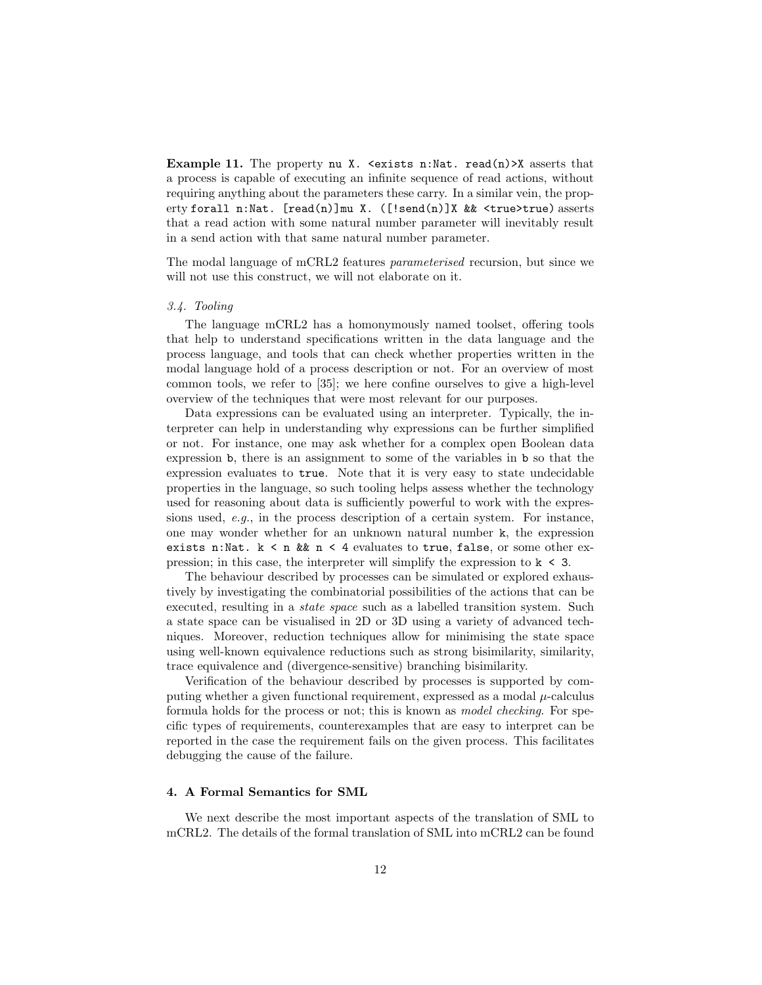Example 11. The property nu X.  $\leq$ xists n:Nat. read(n)>X asserts that a process is capable of executing an infinite sequence of read actions, without requiring anything about the parameters these carry. In a similar vein, the property forall n:Nat. [read(n)]mu X.  $([1send(n)]X$  && <true>true) asserts that a read action with some natural number parameter will inevitably result in a send action with that same natural number parameter.

The modal language of mCRL2 features parameterised recursion, but since we will not use this construct, we will not elaborate on it.

### 3.4. Tooling

The language mCRL2 has a homonymously named toolset, offering tools that help to understand specifications written in the data language and the process language, and tools that can check whether properties written in the modal language hold of a process description or not. For an overview of most common tools, we refer to [35]; we here confine ourselves to give a high-level overview of the techniques that were most relevant for our purposes.

Data expressions can be evaluated using an interpreter. Typically, the interpreter can help in understanding why expressions can be further simplified or not. For instance, one may ask whether for a complex open Boolean data expression b, there is an assignment to some of the variables in b so that the expression evaluates to true. Note that it is very easy to state undecidable properties in the language, so such tooling helps assess whether the technology used for reasoning about data is sufficiently powerful to work with the expressions used, e.g., in the process description of a certain system. For instance, one may wonder whether for an unknown natural number k, the expression exists n:Nat.  $k < n$  && n  $\leq 4$  evaluates to true, false, or some other expression; in this case, the interpreter will simplify the expression to  $k < 3$ .

The behaviour described by processes can be simulated or explored exhaustively by investigating the combinatorial possibilities of the actions that can be executed, resulting in a state space such as a labelled transition system. Such a state space can be visualised in 2D or 3D using a variety of advanced techniques. Moreover, reduction techniques allow for minimising the state space using well-known equivalence reductions such as strong bisimilarity, similarity, trace equivalence and (divergence-sensitive) branching bisimilarity.

Verification of the behaviour described by processes is supported by computing whether a given functional requirement, expressed as a modal  $\mu$ -calculus formula holds for the process or not; this is known as model checking. For specific types of requirements, counterexamples that are easy to interpret can be reported in the case the requirement fails on the given process. This facilitates debugging the cause of the failure.

### 4. A Formal Semantics for SML

We next describe the most important aspects of the translation of SML to mCRL2. The details of the formal translation of SML into mCRL2 can be found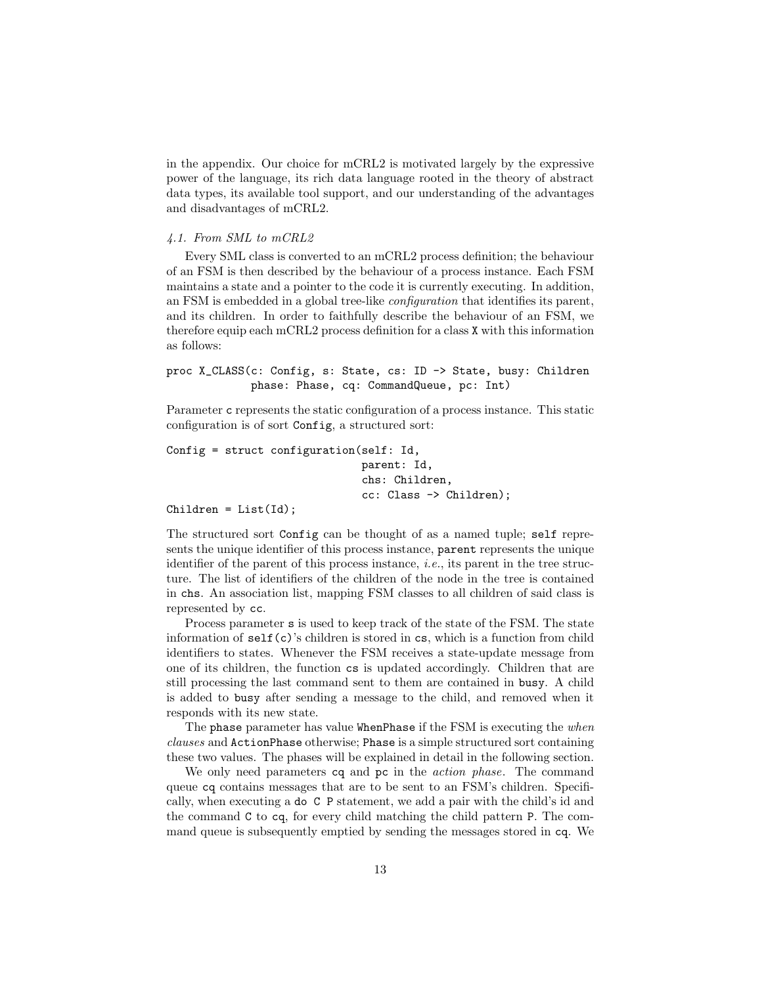in the appendix. Our choice for mCRL2 is motivated largely by the expressive power of the language, its rich data language rooted in the theory of abstract data types, its available tool support, and our understanding of the advantages and disadvantages of mCRL2.

### 4.1. From SML to mCRL2

Every SML class is converted to an mCRL2 process definition; the behaviour of an FSM is then described by the behaviour of a process instance. Each FSM maintains a state and a pointer to the code it is currently executing. In addition, an FSM is embedded in a global tree-like configuration that identifies its parent, and its children. In order to faithfully describe the behaviour of an FSM, we therefore equip each mCRL2 process definition for a class X with this information as follows:

proc X\_CLASS(c: Config, s: State, cs: ID -> State, busy: Children phase: Phase, cq: CommandQueue, pc: Int)

Parameter c represents the static configuration of a process instance. This static configuration is of sort Config, a structured sort:

```
Config = struct configuration(self: Id,
                               parent: Id,
                               chs: Children,
                               cc: Class -> Children);
```

```
Children = List(Id):
```
The structured sort Config can be thought of as a named tuple; self represents the unique identifier of this process instance, parent represents the unique identifier of the parent of this process instance, i.e., its parent in the tree structure. The list of identifiers of the children of the node in the tree is contained in chs. An association list, mapping FSM classes to all children of said class is represented by cc.

Process parameter s is used to keep track of the state of the FSM. The state information of  $\text{self}(c)$ 's children is stored in cs, which is a function from child identifiers to states. Whenever the FSM receives a state-update message from one of its children, the function cs is updated accordingly. Children that are still processing the last command sent to them are contained in busy. A child is added to busy after sending a message to the child, and removed when it responds with its new state.

The phase parameter has value WhenPhase if the FSM is executing the when clauses and ActionPhase otherwise; Phase is a simple structured sort containing these two values. The phases will be explained in detail in the following section.

We only need parameters cq and pc in the action phase. The command queue cq contains messages that are to be sent to an FSM's children. Specifically, when executing a do C P statement, we add a pair with the child's id and the command C to cq, for every child matching the child pattern P. The command queue is subsequently emptied by sending the messages stored in cq. We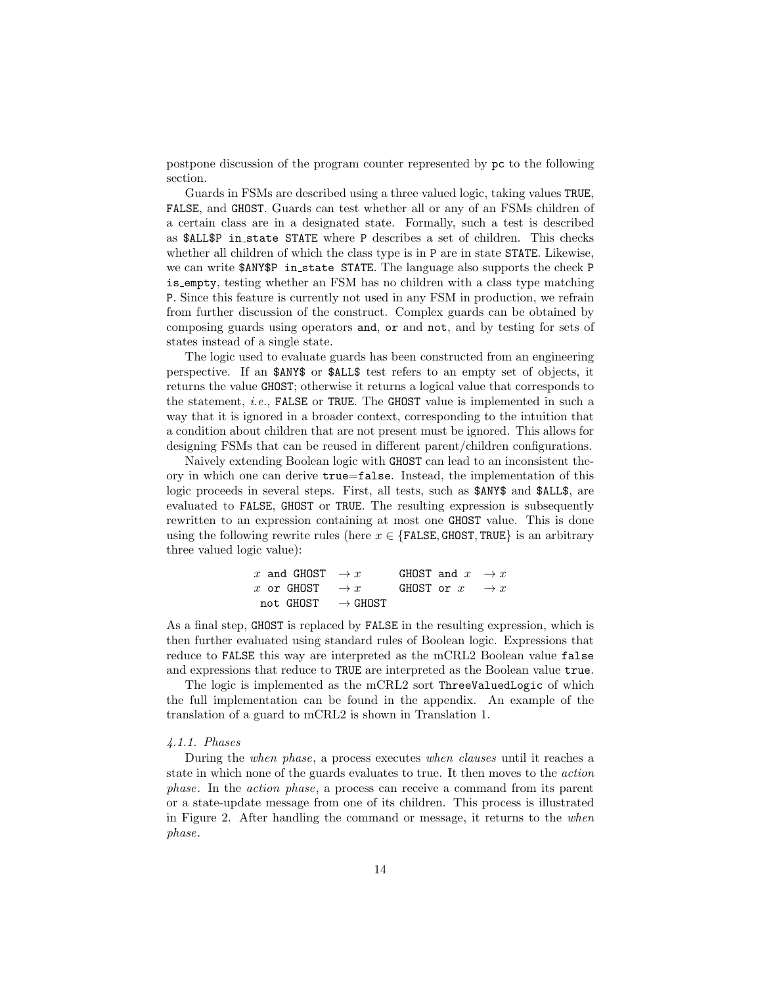postpone discussion of the program counter represented by pc to the following section.

Guards in FSMs are described using a three valued logic, taking values TRUE, FALSE, and GHOST. Guards can test whether all or any of an FSMs children of a certain class are in a designated state. Formally, such a test is described as \$ALL\$P in state STATE where P describes a set of children. This checks whether all children of which the class type is in P are in state **STATE**. Likewise, we can write \$ANY\$P in state STATE. The language also supports the check P is empty, testing whether an FSM has no children with a class type matching P. Since this feature is currently not used in any FSM in production, we refrain from further discussion of the construct. Complex guards can be obtained by composing guards using operators and, or and not, and by testing for sets of states instead of a single state.

The logic used to evaluate guards has been constructed from an engineering perspective. If an \$ANY\$ or \$ALL\$ test refers to an empty set of objects, it returns the value GHOST; otherwise it returns a logical value that corresponds to the statement, i.e., FALSE or TRUE. The GHOST value is implemented in such a way that it is ignored in a broader context, corresponding to the intuition that a condition about children that are not present must be ignored. This allows for designing FSMs that can be reused in different parent/children configurations.

Naively extending Boolean logic with GHOST can lead to an inconsistent theory in which one can derive true=false. Instead, the implementation of this logic proceeds in several steps. First, all tests, such as \$ANY\$ and \$ALL\$, are evaluated to FALSE, GHOST or TRUE. The resulting expression is subsequently rewritten to an expression containing at most one GHOST value. This is done using the following rewrite rules (here  $x \in \{FALSE, GHOST, TRUE\}$  is an arbitrary three valued logic value):

| x and GHOST $\rightarrow x$   | GHOST and $x \rightarrow x$ |  |
|-------------------------------|-----------------------------|--|
| x or GHOST $\rightarrow x$    | GHOST or $x \rightarrow x$  |  |
| not GHOST $\rightarrow$ GHOST |                             |  |

As a final step, GHOST is replaced by FALSE in the resulting expression, which is then further evaluated using standard rules of Boolean logic. Expressions that reduce to FALSE this way are interpreted as the mCRL2 Boolean value false and expressions that reduce to TRUE are interpreted as the Boolean value true.

The logic is implemented as the mCRL2 sort ThreeValuedLogic of which the full implementation can be found in the appendix. An example of the translation of a guard to mCRL2 is shown in Translation 1.

#### 4.1.1. Phases

During the when phase, a process executes when clauses until it reaches a state in which none of the guards evaluates to true. It then moves to the action phase. In the action phase, a process can receive a command from its parent or a state-update message from one of its children. This process is illustrated in Figure 2. After handling the command or message, it returns to the when phase.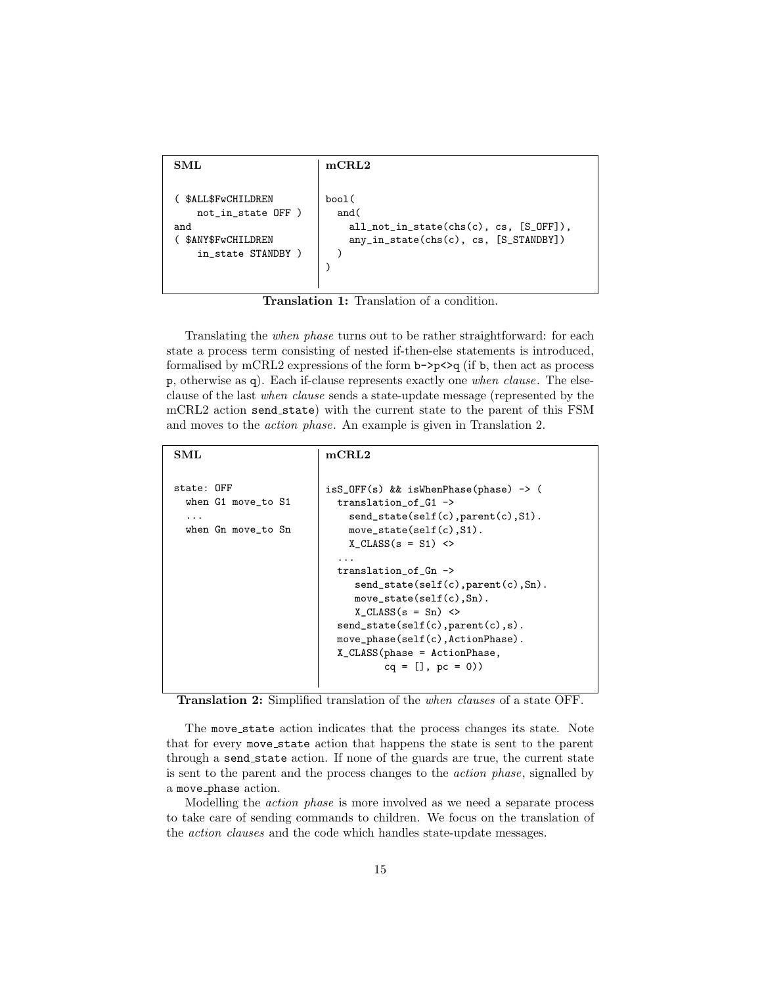```
SML mCRL2
( $ALL$FwCHILDREN
   not_in_state OFF )
and
( $ANY$FwCHILDREN
   in_state STANDBY )
                        bool(
                          and(
                            all_not_in_state(chs(c), cs, [S_OFF]),
                            any_in_state(chs(c), cs, [S_STANDBY])
                          )
                        \lambda
```
Translation 1: Translation of a condition.

Translating the when phase turns out to be rather straightforward: for each state a process term consisting of nested if-then-else statements is introduced, formalised by mCRL2 expressions of the form  $b \rightarrow p \rightarrow q$  (if b, then act as process p, otherwise as q). Each if-clause represents exactly one when clause. The elseclause of the last when clause sends a state-update message (represented by the mCRL2 action send state) with the current state to the parent of this FSM and moves to the action phase. An example is given in Translation 2.

```
SML mCRL2
state: OFF
 when G1 move_to S1
  ...
 when Gn move_to Sn
                         isS_OFF(s) && isWhenPhase(phase) -> (
                           translation_of_G1 ->
                             send_state(self(c),parent(c),S1).
                             move_state(self(c),S1).
                             X_{\text{CLASS}}(s = S1) <>
                           ...
                           translation_of_Gn ->
                              send_state(self(c),parent(c),Sn).
                              move_state(self(c),Sn).
                              X_CLLASS(s = Sn) <>
                           send_state(self(c),parent(c),s).
                           move_phase(self(c),ActionPhase).
                           X_CLASS(phase = ActionPhase,
                                   cq = [], pc = 0)
```
Translation 2: Simplified translation of the when clauses of a state OFF.

The move state action indicates that the process changes its state. Note that for every move state action that happens the state is sent to the parent through a send state action. If none of the guards are true, the current state is sent to the parent and the process changes to the action phase, signalled by a move phase action.

Modelling the action phase is more involved as we need a separate process to take care of sending commands to children. We focus on the translation of the action clauses and the code which handles state-update messages.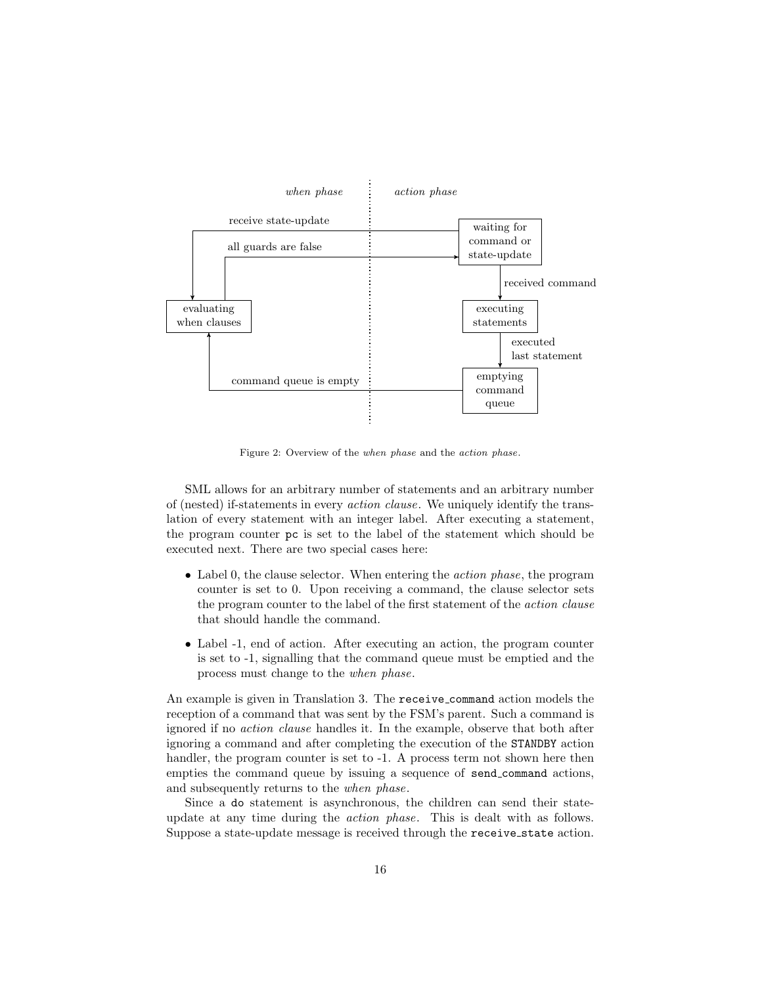

Figure 2: Overview of the when phase and the action phase.

SML allows for an arbitrary number of statements and an arbitrary number of (nested) if-statements in every action clause. We uniquely identify the translation of every statement with an integer label. After executing a statement, the program counter pc is set to the label of the statement which should be executed next. There are two special cases here:

- Label 0, the clause selector. When entering the *action phase*, the program counter is set to 0. Upon receiving a command, the clause selector sets the program counter to the label of the first statement of the action clause that should handle the command.
- Label -1, end of action. After executing an action, the program counter is set to -1, signalling that the command queue must be emptied and the process must change to the when phase.

An example is given in Translation 3. The receive command action models the reception of a command that was sent by the FSM's parent. Such a command is ignored if no action clause handles it. In the example, observe that both after ignoring a command and after completing the execution of the STANDBY action handler, the program counter is set to  $-1$ . A process term not shown here then empties the command queue by issuing a sequence of send command actions, and subsequently returns to the when phase.

Since a do statement is asynchronous, the children can send their stateupdate at any time during the action phase. This is dealt with as follows. Suppose a state-update message is received through the receive\_state action.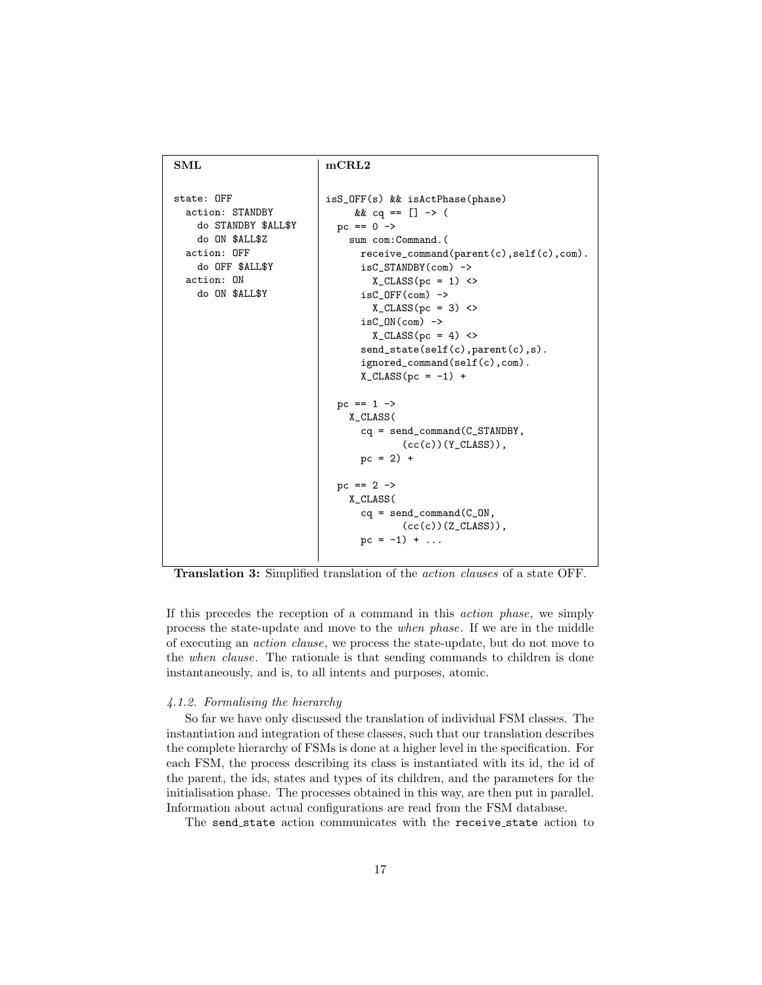```
SML mCRL2
state: OFF
  action: STANDBY
    do STANDBY $ALL$Y
    do ON $ALL$Z
  action: OFF
    do OFF $ALL$Y
  action: ON
    do ON $ALL$Y
                            isS_OFF(s) && isActPhase(phase)
                                  && cq == [] -> (
                              pc == 0 \rightarrowsum com:Command.(
                                   receive_command(parent(c),self(c),com).
                                   isC_STANDBY(com) ->
                                     X_{\text{-CLASS}}(pc = 1) <>
                                   isC_OFF(com) ->
                                     X_{\text{-CLASS}}(pc = 3) <>
                                   isC_0N(\text{com}) ->
                                     X_{\text{CLASS}}(pc = 4) <>
                                   send_state(self(c),parent(c),s).
                                   ignored_command(self(c),com).
                                   X_{\text{-CLASS}}(pc = -1) +
                              pc == 1 ->
                                X_CLASS(
                                   cq = send_command(C_STANDBY,
                                           (cc(c))(Y_CLLASS)),pc = 2) +
                              pc == 2 \rightarrowX_CLASS(
                                   cq = send_{command}(C_ON,(cc(c))(Z_CLLASS)),
                                   pc = -1) + ...
```
Translation 3: Simplified translation of the action clauses of a state OFF.

If this precedes the reception of a command in this action phase, we simply process the state-update and move to the when phase. If we are in the middle of executing an action clause, we process the state-update, but do not move to the when clause. The rationale is that sending commands to children is done instantaneously, and is, to all intents and purposes, atomic.

### 4.1.2. Formalising the hierarchy

So far we have only discussed the translation of individual FSM classes. The instantiation and integration of these classes, such that our translation describes the complete hierarchy of FSMs is done at a higher level in the specification. For each FSM, the process describing its class is instantiated with its id, the id of the parent, the ids, states and types of its children, and the parameters for the initialisation phase. The processes obtained in this way, are then put in parallel. Information about actual configurations are read from the FSM database.

The send state action communicates with the receive state action to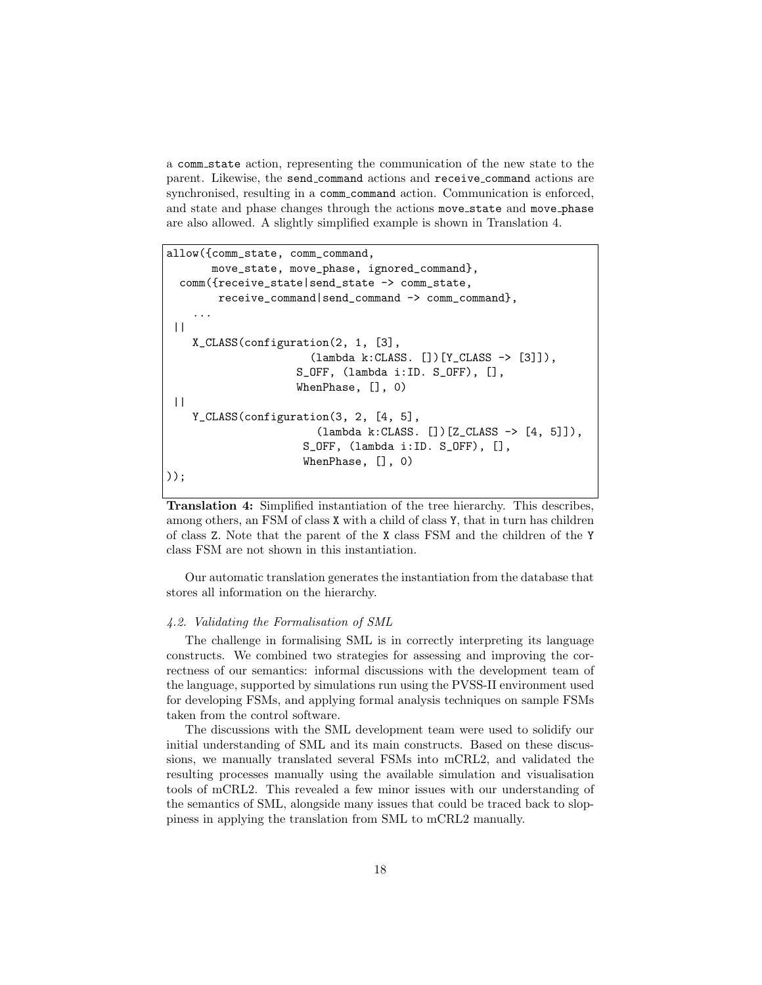a comm state action, representing the communication of the new state to the parent. Likewise, the send command actions and receive command actions are synchronised, resulting in a comm command action. Communication is enforced, and state and phase changes through the actions move state and move phase are also allowed. A slightly simplified example is shown in Translation 4.

```
allow({comm_state, comm_command,
       move_state, move_phase, ignored_command},
  comm({receive_state|send_state -> comm_state,
        receive_command|send_command -> comm_command},
    ...
 ||X_CLASS(configuration(2, 1, [3],
                       (lambda k:CLASS. [][Y\_CLASS -> [3]],
                    S_OFF, (lambda i:ID. S_OFF), [],
                    WhenPhase, [], 0)
 | \ |Y_CLASS(configuration(3, 2, [4, 5],
                        (lambda k:CLASS. [])[Z_CLASS -> [4, 5]]),
                     S_OFF, (lambda i:ID. S_OFF), [],
                     WhenPhase, [], 0)
));
```
Translation 4: Simplified instantiation of the tree hierarchy. This describes, among others, an FSM of class X with a child of class Y, that in turn has children of class Z. Note that the parent of the X class FSM and the children of the Y class FSM are not shown in this instantiation.

Our automatic translation generates the instantiation from the database that stores all information on the hierarchy.

### 4.2. Validating the Formalisation of SML

The challenge in formalising SML is in correctly interpreting its language constructs. We combined two strategies for assessing and improving the correctness of our semantics: informal discussions with the development team of the language, supported by simulations run using the PVSS-II environment used for developing FSMs, and applying formal analysis techniques on sample FSMs taken from the control software.

The discussions with the SML development team were used to solidify our initial understanding of SML and its main constructs. Based on these discussions, we manually translated several FSMs into mCRL2, and validated the resulting processes manually using the available simulation and visualisation tools of mCRL2. This revealed a few minor issues with our understanding of the semantics of SML, alongside many issues that could be traced back to sloppiness in applying the translation from SML to mCRL2 manually.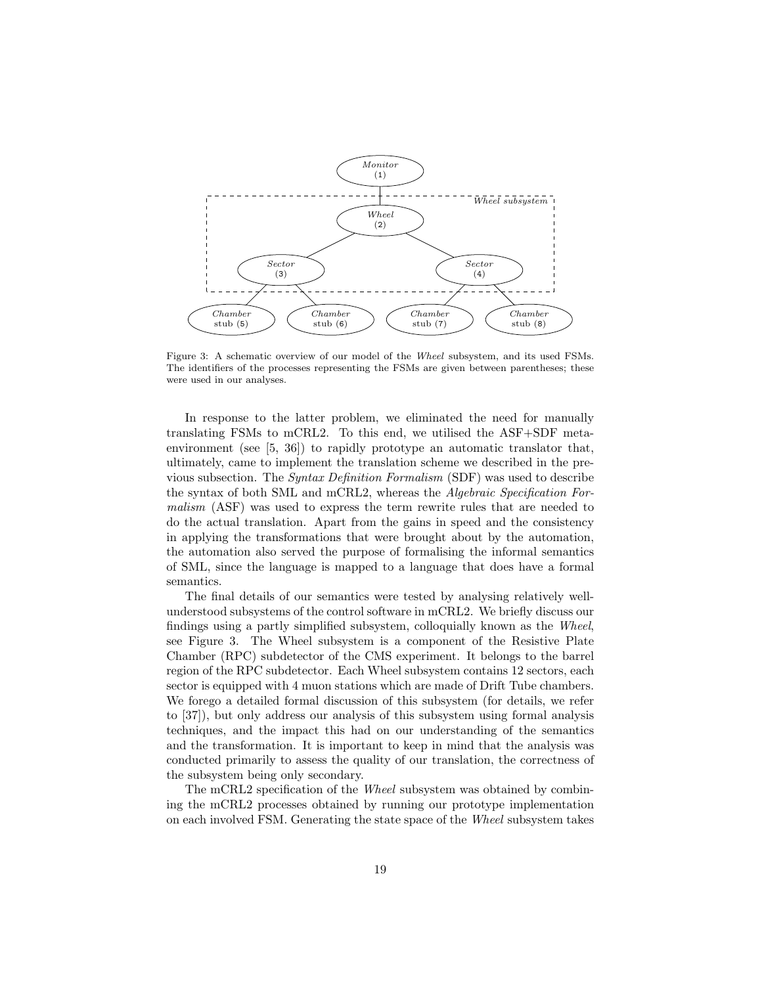

Figure 3: A schematic overview of our model of the Wheel subsystem, and its used FSMs. The identifiers of the processes representing the FSMs are given between parentheses; these were used in our analyses.

In response to the latter problem, we eliminated the need for manually translating FSMs to mCRL2. To this end, we utilised the ASF+SDF metaenvironment (see [5, 36]) to rapidly prototype an automatic translator that, ultimately, came to implement the translation scheme we described in the previous subsection. The Syntax Definition Formalism (SDF) was used to describe the syntax of both SML and mCRL2, whereas the Algebraic Specification Formalism (ASF) was used to express the term rewrite rules that are needed to do the actual translation. Apart from the gains in speed and the consistency in applying the transformations that were brought about by the automation, the automation also served the purpose of formalising the informal semantics of SML, since the language is mapped to a language that does have a formal semantics.

The final details of our semantics were tested by analysing relatively wellunderstood subsystems of the control software in mCRL2. We briefly discuss our findings using a partly simplified subsystem, colloquially known as the Wheel, see Figure 3. The Wheel subsystem is a component of the Resistive Plate Chamber (RPC) subdetector of the CMS experiment. It belongs to the barrel region of the RPC subdetector. Each Wheel subsystem contains 12 sectors, each sector is equipped with 4 muon stations which are made of Drift Tube chambers. We forego a detailed formal discussion of this subsystem (for details, we refer to [37]), but only address our analysis of this subsystem using formal analysis techniques, and the impact this had on our understanding of the semantics and the transformation. It is important to keep in mind that the analysis was conducted primarily to assess the quality of our translation, the correctness of the subsystem being only secondary.

The mCRL2 specification of the Wheel subsystem was obtained by combining the mCRL2 processes obtained by running our prototype implementation on each involved FSM. Generating the state space of the Wheel subsystem takes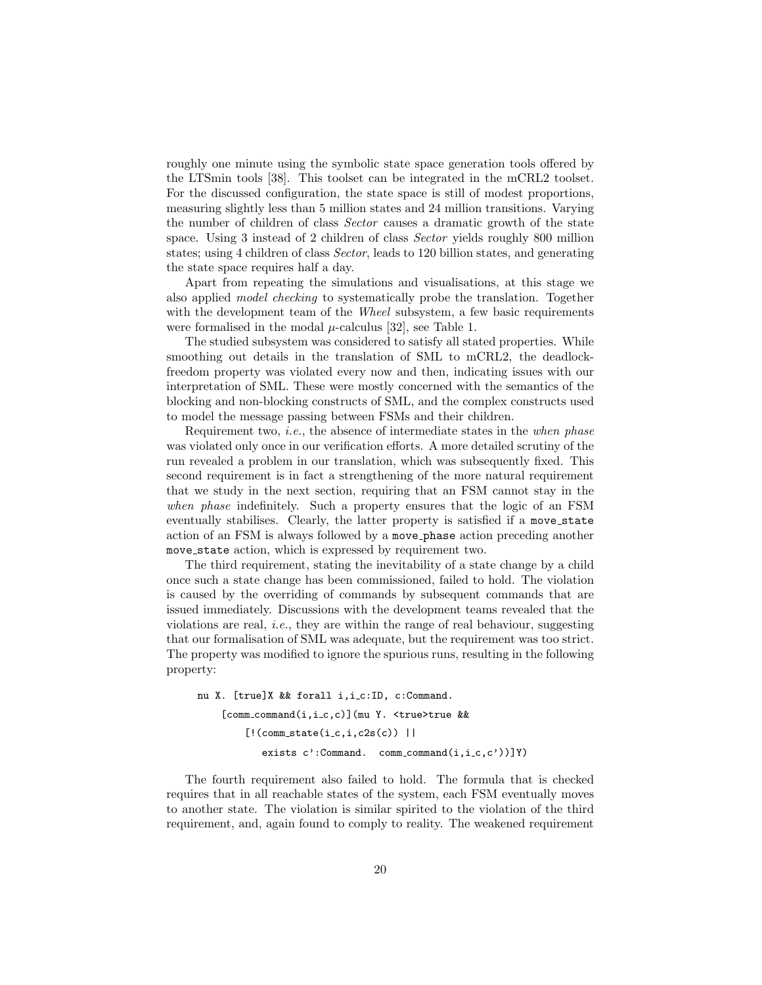roughly one minute using the symbolic state space generation tools offered by the LTSmin tools [38]. This toolset can be integrated in the mCRL2 toolset. For the discussed configuration, the state space is still of modest proportions, measuring slightly less than 5 million states and 24 million transitions. Varying the number of children of class Sector causes a dramatic growth of the state space. Using 3 instead of 2 children of class Sector yields roughly 800 million states; using 4 children of class Sector, leads to 120 billion states, and generating the state space requires half a day.

Apart from repeating the simulations and visualisations, at this stage we also applied model checking to systematically probe the translation. Together with the development team of the *Wheel* subsystem, a few basic requirements were formalised in the modal  $\mu$ -calculus [32], see Table 1.

The studied subsystem was considered to satisfy all stated properties. While smoothing out details in the translation of SML to mCRL2, the deadlockfreedom property was violated every now and then, indicating issues with our interpretation of SML. These were mostly concerned with the semantics of the blocking and non-blocking constructs of SML, and the complex constructs used to model the message passing between FSMs and their children.

Requirement two, *i.e.*, the absence of intermediate states in the when phase was violated only once in our verification efforts. A more detailed scrutiny of the run revealed a problem in our translation, which was subsequently fixed. This second requirement is in fact a strengthening of the more natural requirement that we study in the next section, requiring that an FSM cannot stay in the when phase indefinitely. Such a property ensures that the logic of an FSM eventually stabilises. Clearly, the latter property is satisfied if a move state action of an FSM is always followed by a move phase action preceding another move\_state action, which is expressed by requirement two.

The third requirement, stating the inevitability of a state change by a child once such a state change has been commissioned, failed to hold. The violation is caused by the overriding of commands by subsequent commands that are issued immediately. Discussions with the development teams revealed that the violations are real, i.e., they are within the range of real behaviour, suggesting that our formalisation of SML was adequate, but the requirement was too strict. The property was modified to ignore the spurious runs, resulting in the following property:

```
nu X. [true]X && forall i, i_c:ID, c:Command.
    [comm_{command}(i,i_{c},c)](mu Y. <true>true &&
         [!(comm\_state(i_c,i,c2s(c)) ||
           exists c':Command. comm_command(i,i_c,c'))]Y)
```
The fourth requirement also failed to hold. The formula that is checked requires that in all reachable states of the system, each FSM eventually moves to another state. The violation is similar spirited to the violation of the third requirement, and, again found to comply to reality. The weakened requirement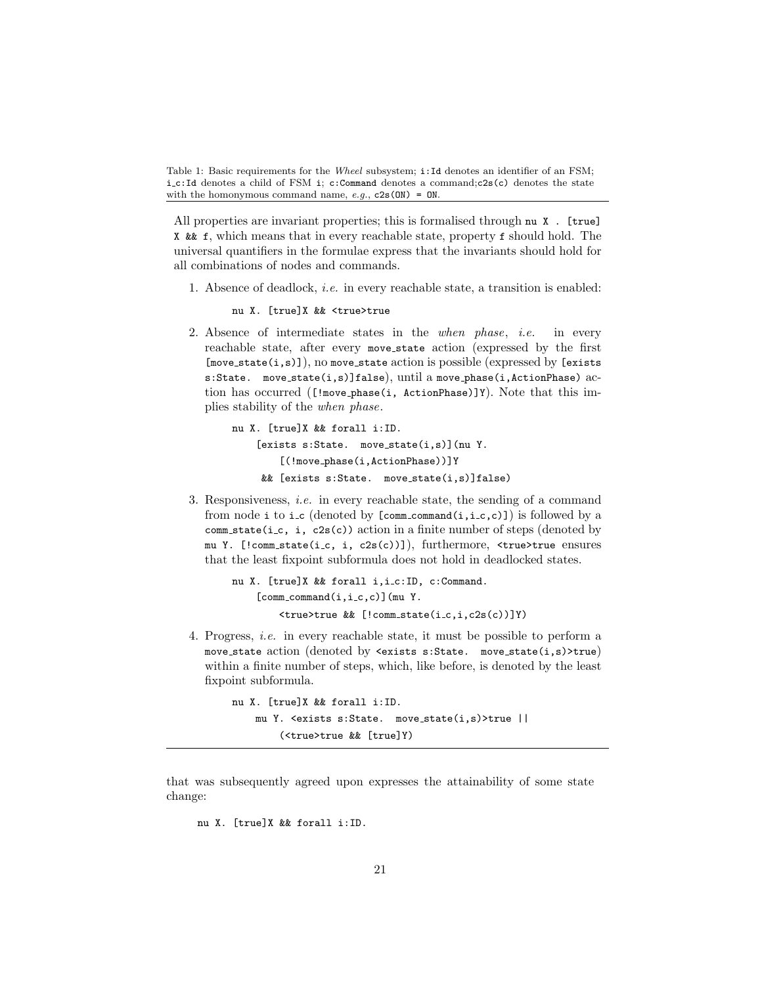Table 1: Basic requirements for the Wheel subsystem; i:Id denotes an identifier of an FSM; i c:Id denotes a child of FSM i; c:Command denotes a command;c2s(c) denotes the state with the homonymous command name,  $e.g., c2s(ON) = ON$ .

All properties are invariant properties; this is formalised through nu X . [true] X && f, which means that in every reachable state, property f should hold. The universal quantifiers in the formulae express that the invariants should hold for all combinations of nodes and commands.

- 1. Absence of deadlock, i.e. in every reachable state, a transition is enabled:
	- nu X. [true]X && <true>true
- 2. Absence of intermediate states in the when phase, i.e. in every reachable state, after every move state action (expressed by the first [move\_state(i,s)]), no move\_state action is possible (expressed by [exists s:State. move\_state(i,s)]false), until a move\_phase(i,ActionPhase) action has occurred ([!move phase(i, ActionPhase)]Y). Note that this implies stability of the when phase.

```
nu X. [true]X && forall i:ID.
    [exists s:State. move state(i,s)](nu Y.
        [(!move phase(i,ActionPhase))]Y
     && [exists s:State. move state(i,s)]false)
```
3. Responsiveness, *i.e.* in every reachable state, the sending of a command from node i to i\_c (denoted by  $[comm_{\text{comm\_command}(i,i_c,c)}]$ ) is followed by a comm\_state(i\_c, i, c2s(c)) action in a finite number of steps (denoted by mu Y. [!comm\_state(i\_c, i, c2s(c))]), furthermore, <true>true ensures that the least fixpoint subformula does not hold in deadlocked states.

```
nu X. [true]X && forall i, i_c:ID, c:Command.
     [comm_{command}(i,i_{c},c)] (mu Y.
          \langle true \rangletrue && [!comm_state(i_c,i,c2s(c))]Y)
```
4. Progress, i.e. in every reachable state, it must be possible to perform a move state action (denoted by <exists s:State. move state(i,s)>true) within a finite number of steps, which, like before, is denoted by the least fixpoint subformula.

```
nu X. [true]X && forall i:ID.
    mu Y. <exists s:State. move state(i,s)>true ||
        (<true>true && [true]Y)
```
that was subsequently agreed upon expresses the attainability of some state change:

nu X. [true]X && forall i:ID.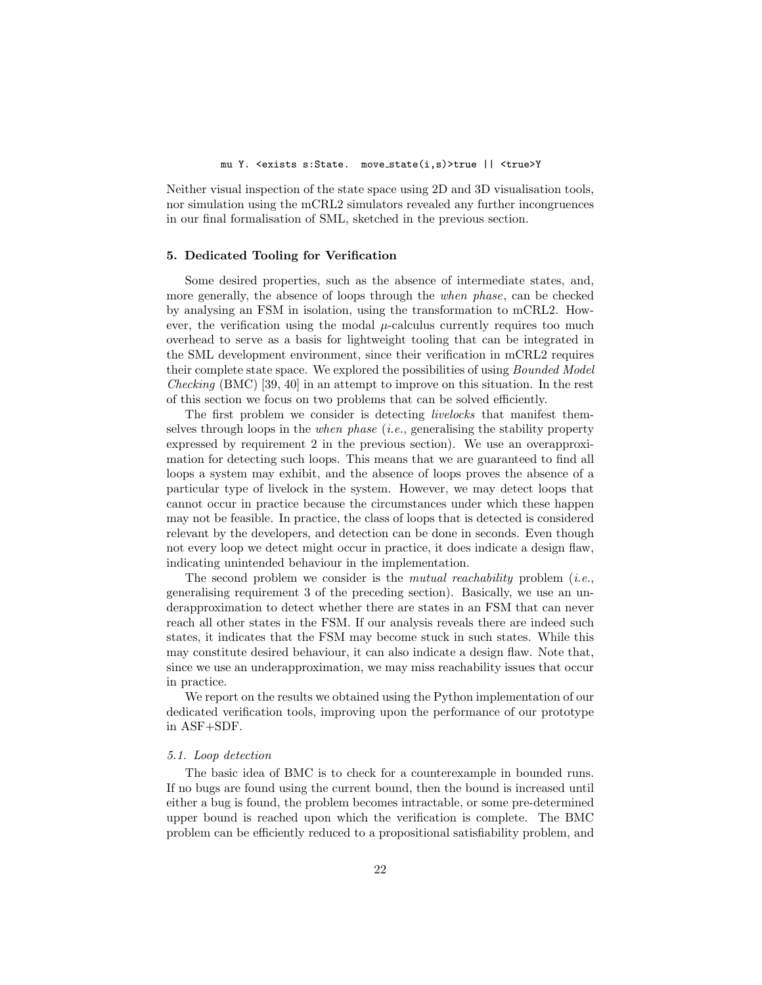Neither visual inspection of the state space using 2D and 3D visualisation tools, nor simulation using the mCRL2 simulators revealed any further incongruences in our final formalisation of SML, sketched in the previous section.

### 5. Dedicated Tooling for Verification

Some desired properties, such as the absence of intermediate states, and, more generally, the absence of loops through the when phase, can be checked by analysing an FSM in isolation, using the transformation to mCRL2. However, the verification using the modal  $\mu$ -calculus currently requires too much overhead to serve as a basis for lightweight tooling that can be integrated in the SML development environment, since their verification in mCRL2 requires their complete state space. We explored the possibilities of using Bounded Model Checking (BMC) [39, 40] in an attempt to improve on this situation. In the rest of this section we focus on two problems that can be solved efficiently.

The first problem we consider is detecting livelocks that manifest themselves through loops in the when phase (i.e., generalising the stability property expressed by requirement 2 in the previous section). We use an overapproximation for detecting such loops. This means that we are guaranteed to find all loops a system may exhibit, and the absence of loops proves the absence of a particular type of livelock in the system. However, we may detect loops that cannot occur in practice because the circumstances under which these happen may not be feasible. In practice, the class of loops that is detected is considered relevant by the developers, and detection can be done in seconds. Even though not every loop we detect might occur in practice, it does indicate a design flaw, indicating unintended behaviour in the implementation.

The second problem we consider is the *mutual reachability* problem  $(i.e.,$ generalising requirement 3 of the preceding section). Basically, we use an underapproximation to detect whether there are states in an FSM that can never reach all other states in the FSM. If our analysis reveals there are indeed such states, it indicates that the FSM may become stuck in such states. While this may constitute desired behaviour, it can also indicate a design flaw. Note that, since we use an underapproximation, we may miss reachability issues that occur in practice.

We report on the results we obtained using the Python implementation of our dedicated verification tools, improving upon the performance of our prototype in ASF+SDF.

#### 5.1. Loop detection

The basic idea of BMC is to check for a counterexample in bounded runs. If no bugs are found using the current bound, then the bound is increased until either a bug is found, the problem becomes intractable, or some pre-determined upper bound is reached upon which the verification is complete. The BMC problem can be efficiently reduced to a propositional satisfiability problem, and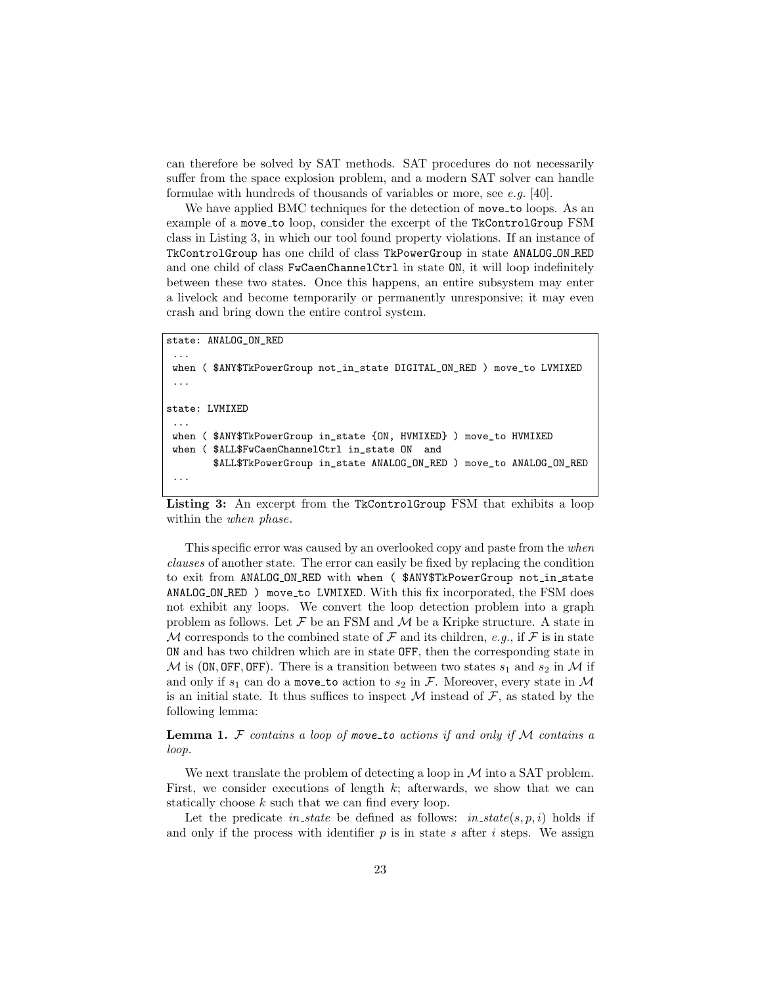can therefore be solved by SAT methods. SAT procedures do not necessarily suffer from the space explosion problem, and a modern SAT solver can handle formulae with hundreds of thousands of variables or more, see  $e.g.$  [40].

We have applied BMC techniques for the detection of move to loops. As an example of a move to loop, consider the excerpt of the TkControlGroup FSM class in Listing 3, in which our tool found property violations. If an instance of TkControlGroup has one child of class TkPowerGroup in state ANALOG ON RED and one child of class FwCaenChannelCtrl in state ON, it will loop indefinitely between these two states. Once this happens, an entire subsystem may enter a livelock and become temporarily or permanently unresponsive; it may even crash and bring down the entire control system.

```
state: ANALOG_ON_RED
 ...
when ( $ANY$TkPowerGroup not_in_state DIGITAL_ON_RED ) move_to LVMIXED
...
state: LVMIXED
 ...
when ( $ANY$TkPowerGroup in_state {ON, HVMIXED} ) move_to HVMIXED
when ( $ALL$FwCaenChannelCtrl in_state ON and
        $ALL$TkPowerGroup in_state ANALOG_ON_RED ) move_to ANALOG_ON_RED
...
```
Listing 3: An excerpt from the TkControlGroup FSM that exhibits a loop within the when phase.

This specific error was caused by an overlooked copy and paste from the when clauses of another state. The error can easily be fixed by replacing the condition to exit from ANALOG ON RED with when ( \$ANY\$TkPowerGroup not in state ANALOG ON RED ) move to LVMIXED. With this fix incorporated, the FSM does not exhibit any loops. We convert the loop detection problem into a graph problem as follows. Let  $\mathcal F$  be an FSM and  $\mathcal M$  be a Kripke structure. A state in M corresponds to the combined state of F and its children, e.g., if F is in state ON and has two children which are in state OFF, then the corresponding state in M is (ON, OFF, OFF). There is a transition between two states  $s_1$  and  $s_2$  in M if and only if  $s_1$  can do a move to action to  $s_2$  in F. Moreover, every state in M is an initial state. It thus suffices to inspect  $\mathcal M$  instead of  $\mathcal F$ , as stated by the following lemma:

**Lemma 1.** F contains a loop of move to actions if and only if M contains a loop.

We next translate the problem of detecting a loop in  $M$  into a SAT problem. First, we consider executions of length  $k$ ; afterwards, we show that we can statically choose k such that we can find every loop.

Let the predicate in state be defined as follows:  $in\_state(s, p, i)$  holds if and only if the process with identifier  $p$  is in state  $s$  after  $i$  steps. We assign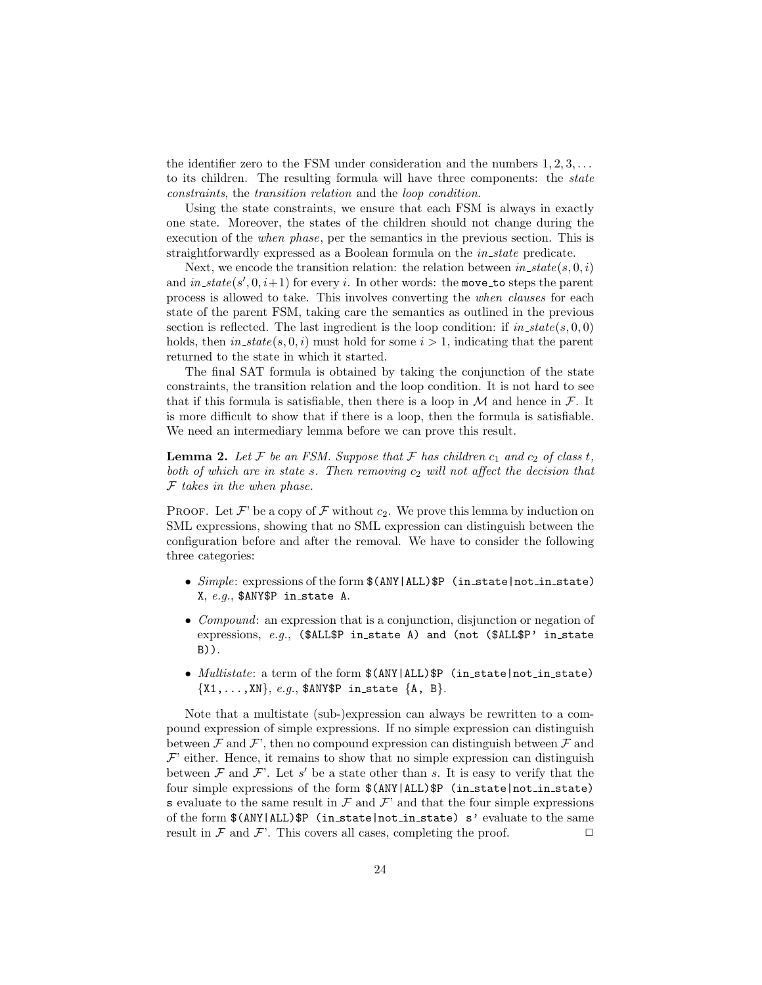the identifier zero to the FSM under consideration and the numbers  $1, 2, 3, \ldots$ to its children. The resulting formula will have three components: the state constraints, the transition relation and the loop condition.

Using the state constraints, we ensure that each FSM is always in exactly one state. Moreover, the states of the children should not change during the execution of the when phase, per the semantics in the previous section. This is straightforwardly expressed as a Boolean formula on the *in\_state* predicate.

Next, we encode the transition relation: the relation between  $in\_state(s, 0, i)$ and  $in\_state(s', 0, i+1)$  for every i. In other words: the move\_to steps the parent process is allowed to take. This involves converting the when clauses for each state of the parent FSM, taking care the semantics as outlined in the previous section is reflected. The last ingredient is the loop condition: if  $in\_state(s, 0, 0)$ holds, then  $in\_state(s, 0, i)$  must hold for some  $i > 1$ , indicating that the parent returned to the state in which it started.

The final SAT formula is obtained by taking the conjunction of the state constraints, the transition relation and the loop condition. It is not hard to see that if this formula is satisfiable, then there is a loop in  $M$  and hence in  $\mathcal{F}$ . It is more difficult to show that if there is a loop, then the formula is satisfiable. We need an intermediary lemma before we can prove this result.

**Lemma 2.** Let F be an FSM. Suppose that F has children  $c_1$  and  $c_2$  of class t, both of which are in state s. Then removing  $c_2$  will not affect the decision that F takes in the when phase.

PROOF. Let F' be a copy of F without  $c_2$ . We prove this lemma by induction on SML expressions, showing that no SML expression can distinguish between the configuration before and after the removal. We have to consider the following three categories:

- Simple: expressions of the form  $\$(ANY|ALL)$  $P$  (in\_state|not\_in\_state)  $X, e.g., $ANY$P in-state A.$
- *Compound:* an expression that is a conjunction, disjunction or negation of expressions, e.g., ( $$ALL$P$  in state A) and (not ( $$ALL$P'$  in state B)).
- $Multistate:$  a term of the form  $(\text{ANY} | \text{ALL})$  P (in\_state|not\_in\_state)  $\{X1, \ldots, XN\}, e.g., $ANY$P in-state $\{A, B\}$.$

Note that a multistate (sub-)expression can always be rewritten to a compound expression of simple expressions. If no simple expression can distinguish between  $\mathcal F$  and  $\mathcal F'$ , then no compound expression can distinguish between  $\mathcal F$  and  $\mathcal F'$  either. Hence, it remains to show that no simple expression can distinguish between  $\mathcal F$  and  $\mathcal F'$ . Let s' be a state other than s. It is easy to verify that the four simple expressions of the form \$(ANY|ALL)\$P (in state|not in state) s evaluate to the same result in  $\mathcal F$  and  $\mathcal F'$  and that the four simple expressions of the form \$(ANY|ALL)\$P (in state|not in state) s' evaluate to the same result in  $\mathcal F$  and  $\mathcal F'$ . This covers all cases, completing the proof.  $\Box$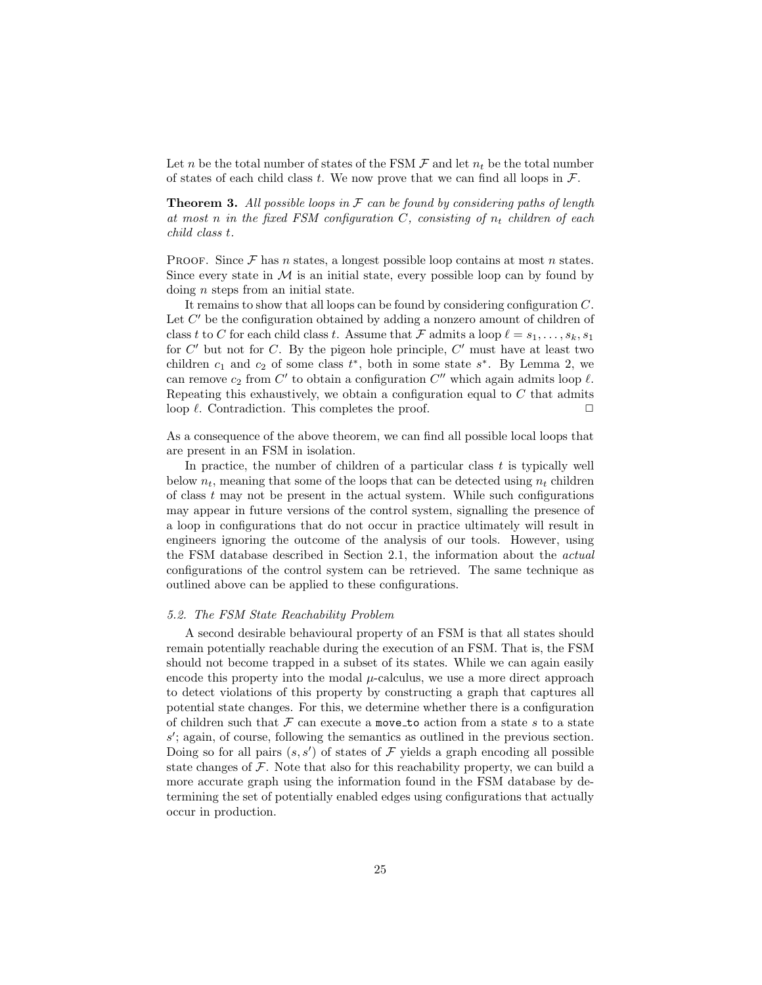Let n be the total number of states of the FSM  $\mathcal F$  and let  $n_t$  be the total number of states of each child class t. We now prove that we can find all loops in  $\mathcal{F}$ .

**Theorem 3.** All possible loops in  $\mathcal F$  can be found by considering paths of length at most n in the fixed FSM configuration  $C$ , consisting of  $n_t$  children of each child class t.

PROOF. Since  $\mathcal F$  has n states, a longest possible loop contains at most n states. Since every state in  $\mathcal M$  is an initial state, every possible loop can by found by doing n steps from an initial state.

It remains to show that all loops can be found by considering configuration C. Let  $C'$  be the configuration obtained by adding a nonzero amount of children of class t to C for each child class t. Assume that F admits a loop  $\ell = s_1, \ldots, s_k, s_1$ for  $C'$  but not for  $C$ . By the pigeon hole principle,  $C'$  must have at least two children  $c_1$  and  $c_2$  of some class  $t^*$ , both in some state  $s^*$ . By Lemma 2, we can remove  $c_2$  from  $C'$  to obtain a configuration  $C''$  which again admits loop  $\ell$ . Repeating this exhaustively, we obtain a configuration equal to  $C$  that admits loop  $\ell$ . Contradiction. This completes the proof.  $\Box$ 

As a consequence of the above theorem, we can find all possible local loops that are present in an FSM in isolation.

In practice, the number of children of a particular class  $t$  is typically well below  $n_t$ , meaning that some of the loops that can be detected using  $n_t$  children of class  $t$  may not be present in the actual system. While such configurations may appear in future versions of the control system, signalling the presence of a loop in configurations that do not occur in practice ultimately will result in engineers ignoring the outcome of the analysis of our tools. However, using the FSM database described in Section 2.1, the information about the actual configurations of the control system can be retrieved. The same technique as outlined above can be applied to these configurations.

### 5.2. The FSM State Reachability Problem

A second desirable behavioural property of an FSM is that all states should remain potentially reachable during the execution of an FSM. That is, the FSM should not become trapped in a subset of its states. While we can again easily encode this property into the modal  $\mu$ -calculus, we use a more direct approach to detect violations of this property by constructing a graph that captures all potential state changes. For this, we determine whether there is a configuration of children such that  $\mathcal F$  can execute a move-to action from a state s to a state s'; again, of course, following the semantics as outlined in the previous section. Doing so for all pairs  $(s, s')$  of states of  $\mathcal F$  yields a graph encoding all possible state changes of  $F$ . Note that also for this reachability property, we can build a more accurate graph using the information found in the FSM database by determining the set of potentially enabled edges using configurations that actually occur in production.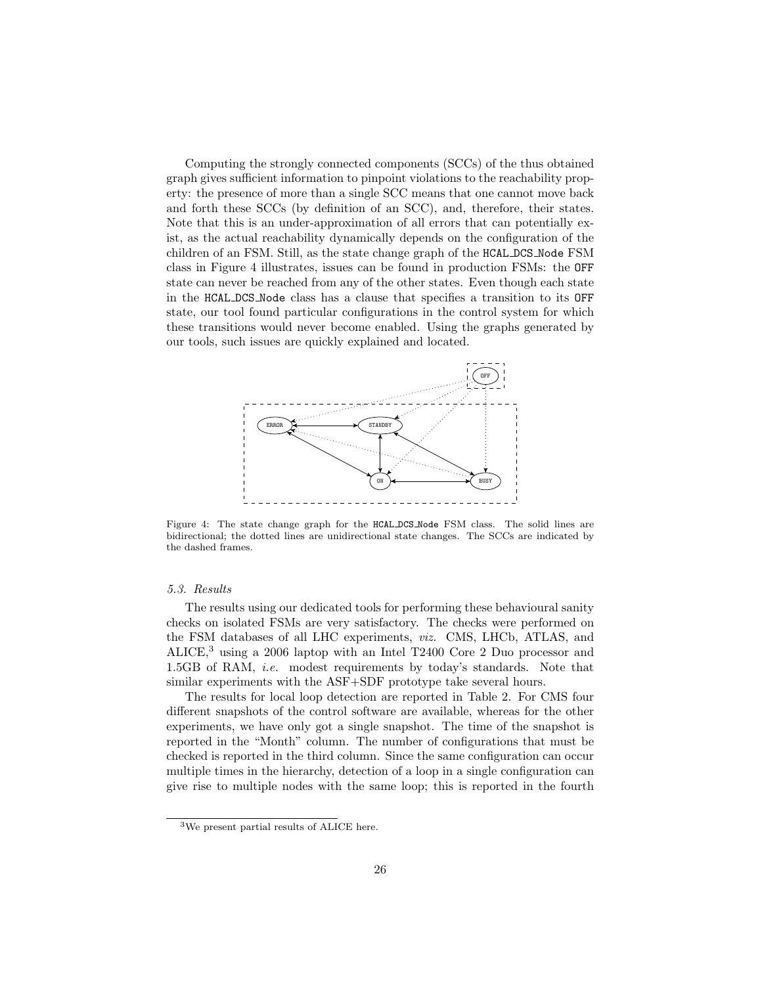Computing the strongly connected components (SCCs) of the thus obtained graph gives sufficient information to pinpoint violations to the reachability property: the presence of more than a single SCC means that one cannot move back and forth these SCCs (by definition of an SCC), and, therefore, their states. Note that this is an under-approximation of all errors that can potentially exist, as the actual reachability dynamically depends on the configuration of the children of an FSM. Still, as the state change graph of the HCAL DCS Node FSM class in Figure 4 illustrates, issues can be found in production FSMs: the OFF state can never be reached from any of the other states. Even though each state in the HCAL DCS Node class has a clause that specifies a transition to its OFF state, our tool found particular configurations in the control system for which these transitions would never become enabled. Using the graphs generated by our tools, such issues are quickly explained and located.



Figure 4: The state change graph for the HCAL DCS Node FSM class. The solid lines are bidirectional; the dotted lines are unidirectional state changes. The SCCs are indicated by the dashed frames.

### 5.3. Results

The results using our dedicated tools for performing these behavioural sanity checks on isolated FSMs are very satisfactory. The checks were performed on the FSM databases of all LHC experiments, viz. CMS, LHCb, ATLAS, and ALICE,<sup>3</sup> using a 2006 laptop with an Intel T2400 Core 2 Duo processor and 1.5GB of RAM, i.e. modest requirements by today's standards. Note that similar experiments with the ASF+SDF prototype take several hours.

The results for local loop detection are reported in Table 2. For CMS four different snapshots of the control software are available, whereas for the other experiments, we have only got a single snapshot. The time of the snapshot is reported in the "Month" column. The number of configurations that must be checked is reported in the third column. Since the same configuration can occur multiple times in the hierarchy, detection of a loop in a single configuration can give rise to multiple nodes with the same loop; this is reported in the fourth

<sup>3</sup>We present partial results of ALICE here.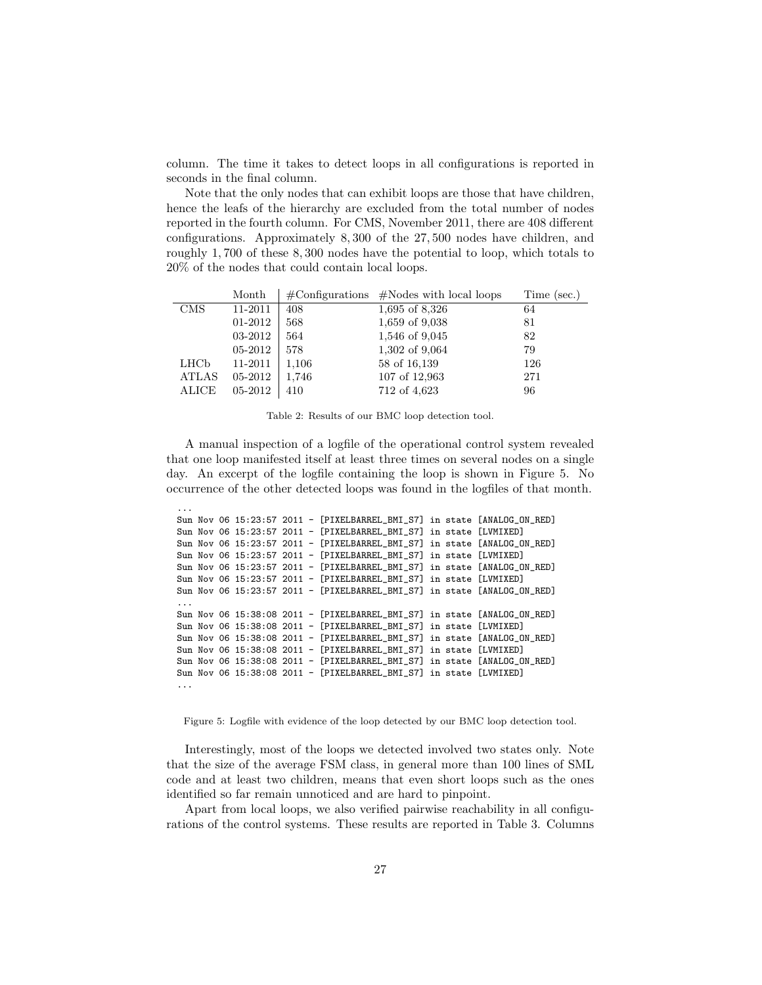column. The time it takes to detect loops in all configurations is reported in seconds in the final column.

Note that the only nodes that can exhibit loops are those that have children, hence the leafs of the hierarchy are excluded from the total number of nodes reported in the fourth column. For CMS, November 2011, there are 408 different configurations. Approximately 8, 300 of the 27, 500 nodes have children, and roughly 1, 700 of these 8, 300 nodes have the potential to loop, which totals to 20% of the nodes that could contain local loops.

|              | Month   |       | $\#\text{Configurations}$ $\#\text{Nodes with local loops}$ | Time (sec.) |
|--------------|---------|-------|-------------------------------------------------------------|-------------|
| <b>CMS</b>   | 11-2011 | 408   | 1,695 of 8,326                                              | 64          |
|              | 01-2012 | 568   | 1,659 of 9,038                                              | 81          |
|              | 03-2012 | 564   | 1,546 of 9,045                                              | 82          |
|              | 05-2012 | 578   | 1,302 of 9,064                                              | 79          |
| LHCb         | 11-2011 | 1,106 | 58 of 16,139                                                | 126         |
| <b>ATLAS</b> | 05-2012 | 1,746 | 107 of 12,963                                               | 271         |
| <b>ALICE</b> | 05-2012 | 410   | 712 of 4,623                                                | 96          |

Table 2: Results of our BMC loop detection tool.

A manual inspection of a logfile of the operational control system revealed that one loop manifested itself at least three times on several nodes on a single day. An excerpt of the logfile containing the loop is shown in Figure 5. No occurrence of the other detected loops was found in the logfiles of that month.

```
...
Sun Nov 06 15:23:57 2011 - [PIXELBARREL_BMI_S7] in state [ANALOG_ON_RED]
Sun Nov 06 15:23:57 2011 - [PIXELBARREL_BMI_S7] in state [LVMIXED]
Sun Nov 06 15:23:57 2011 - [PIXELBARREL_BMI_S7] in state [ANALOG_ON_RED]
Sun Nov 06 15:23:57 2011 - [PIXELBARREL_BMI_S7] in state [LVMIXED]
Sun Nov 06 15:23:57 2011 - [PIXELBARREL_BMI_S7] in state [ANALOG_ON_RED]
Sun Nov 06 15:23:57 2011 - [PIXELBARREL_BMI_S7] in state [LVMIXED]
Sun Nov 06 15:23:57 2011 - [PIXELBARREL_BMI_S7] in state [ANALOG_ON_RED]
...
Sun Nov 06 15:38:08 2011 - [PIXELBARREL_BMI_S7] in state [ANALOG_ON_RED]
Sun Nov 06 15:38:08 2011 - [PIXELBARREL_BMI_S7] in state [LVMIXED]
Sun Nov 06 15:38:08 2011 - [PIXELBARREL_BMI_S7] in state [ANALOG_ON_RED]
Sun Nov 06 15:38:08 2011 - [PIXELBARREL_BMI_S7] in state [LVMIXED]
Sun Nov 06 15:38:08 2011 - [PIXELBARREL_BMI_S7] in state [ANALOG_ON_RED]
Sun Nov 06 15:38:08 2011 - [PIXELBARREL_BMI_S7] in state [LVMIXED]
...
```
Figure 5: Logfile with evidence of the loop detected by our BMC loop detection tool.

Interestingly, most of the loops we detected involved two states only. Note that the size of the average FSM class, in general more than 100 lines of SML code and at least two children, means that even short loops such as the ones identified so far remain unnoticed and are hard to pinpoint.

Apart from local loops, we also verified pairwise reachability in all configurations of the control systems. These results are reported in Table 3. Columns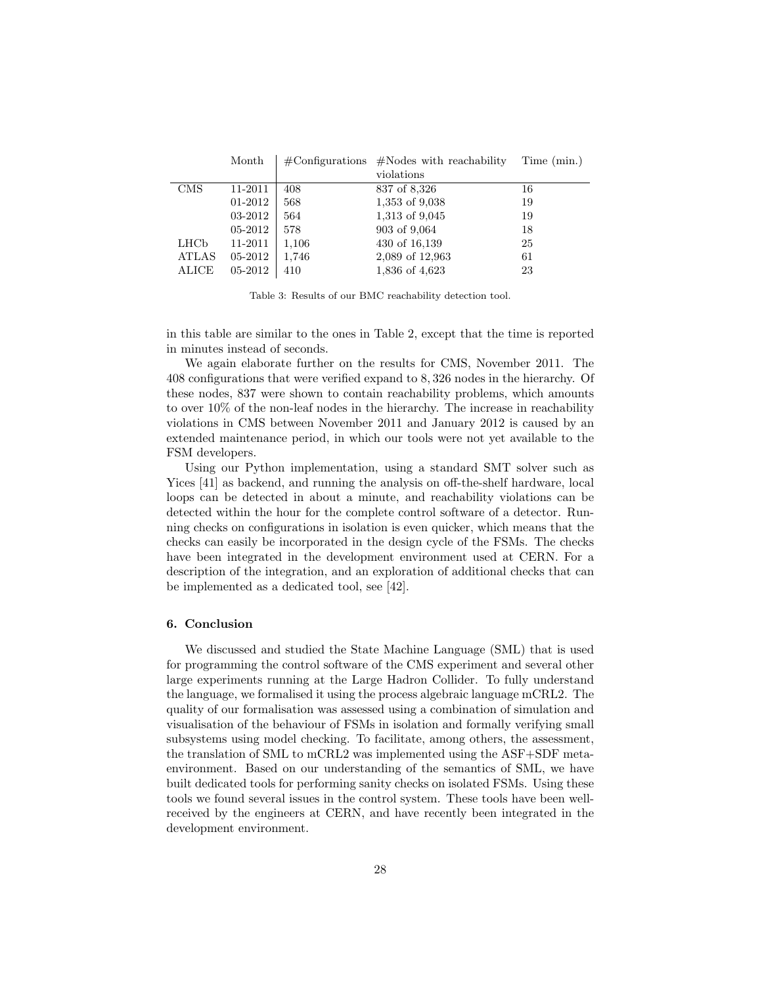|              | Month   |       | $\#$ Configurations $\#$ Nodes with reachability | Time (min.) |
|--------------|---------|-------|--------------------------------------------------|-------------|
|              |         |       | violations                                       |             |
| <b>CMS</b>   | 11-2011 | 408   | 837 of 8,326                                     | 16          |
|              | 01-2012 | 568   | $1,353$ of $9,038$                               | 19          |
|              | 03-2012 | 564   | 1,313 of 9,045                                   | 19          |
|              | 05-2012 | 578   | 903 of 9,064                                     | 18          |
| LHCb         | 11-2011 | 1,106 | 430 of 16,139                                    | 25          |
| <b>ATLAS</b> | 05-2012 | 1,746 | 2,089 of 12,963                                  | 61          |
| ALICE        | 05-2012 | 410   | 1,836 of 4,623                                   | 23          |

Table 3: Results of our BMC reachability detection tool.

in this table are similar to the ones in Table 2, except that the time is reported in minutes instead of seconds.

We again elaborate further on the results for CMS, November 2011. The 408 configurations that were verified expand to 8, 326 nodes in the hierarchy. Of these nodes, 837 were shown to contain reachability problems, which amounts to over 10% of the non-leaf nodes in the hierarchy. The increase in reachability violations in CMS between November 2011 and January 2012 is caused by an extended maintenance period, in which our tools were not yet available to the FSM developers.

Using our Python implementation, using a standard SMT solver such as Yices [41] as backend, and running the analysis on off-the-shelf hardware, local loops can be detected in about a minute, and reachability violations can be detected within the hour for the complete control software of a detector. Running checks on configurations in isolation is even quicker, which means that the checks can easily be incorporated in the design cycle of the FSMs. The checks have been integrated in the development environment used at CERN. For a description of the integration, and an exploration of additional checks that can be implemented as a dedicated tool, see [42].

### 6. Conclusion

We discussed and studied the State Machine Language (SML) that is used for programming the control software of the CMS experiment and several other large experiments running at the Large Hadron Collider. To fully understand the language, we formalised it using the process algebraic language mCRL2. The quality of our formalisation was assessed using a combination of simulation and visualisation of the behaviour of FSMs in isolation and formally verifying small subsystems using model checking. To facilitate, among others, the assessment, the translation of SML to mCRL2 was implemented using the ASF+SDF metaenvironment. Based on our understanding of the semantics of SML, we have built dedicated tools for performing sanity checks on isolated FSMs. Using these tools we found several issues in the control system. These tools have been wellreceived by the engineers at CERN, and have recently been integrated in the development environment.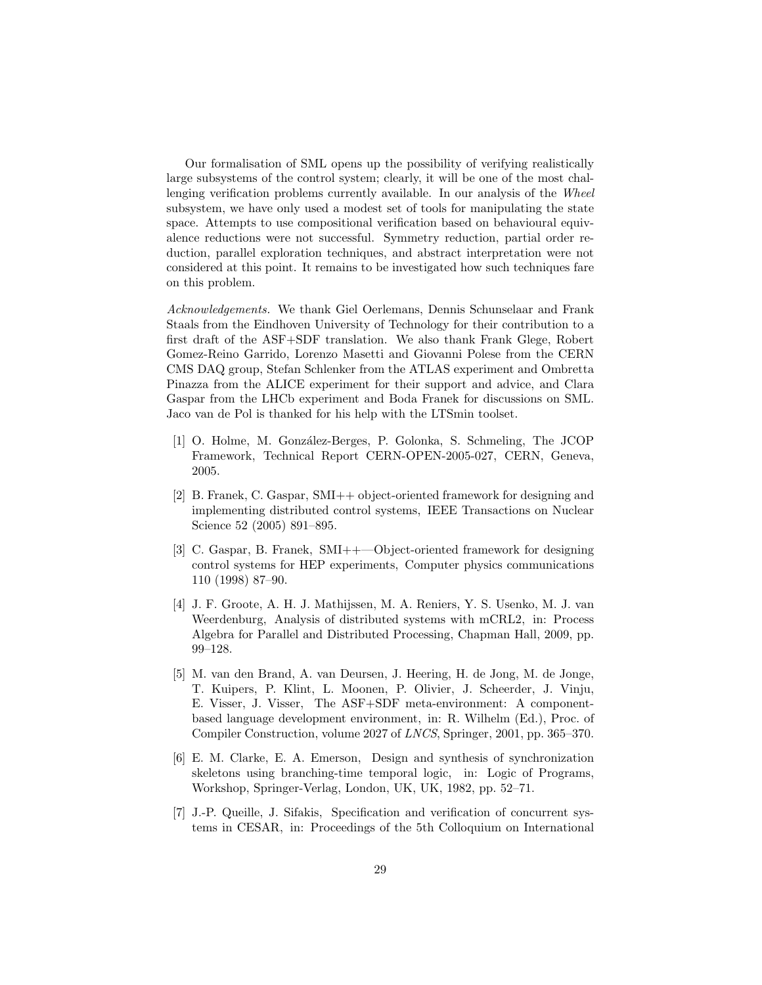Our formalisation of SML opens up the possibility of verifying realistically large subsystems of the control system; clearly, it will be one of the most challenging verification problems currently available. In our analysis of the Wheel subsystem, we have only used a modest set of tools for manipulating the state space. Attempts to use compositional verification based on behavioural equivalence reductions were not successful. Symmetry reduction, partial order reduction, parallel exploration techniques, and abstract interpretation were not considered at this point. It remains to be investigated how such techniques fare on this problem.

Acknowledgements. We thank Giel Oerlemans, Dennis Schunselaar and Frank Staals from the Eindhoven University of Technology for their contribution to a first draft of the ASF+SDF translation. We also thank Frank Glege, Robert Gomez-Reino Garrido, Lorenzo Masetti and Giovanni Polese from the CERN CMS DAQ group, Stefan Schlenker from the ATLAS experiment and Ombretta Pinazza from the ALICE experiment for their support and advice, and Clara Gaspar from the LHCb experiment and Boda Franek for discussions on SML. Jaco van de Pol is thanked for his help with the LTSmin toolset.

- [1] O. Holme, M. Gonz´alez-Berges, P. Golonka, S. Schmeling, The JCOP Framework, Technical Report CERN-OPEN-2005-027, CERN, Geneva, 2005.
- [2] B. Franek, C. Gaspar, SMI++ object-oriented framework for designing and implementing distributed control systems, IEEE Transactions on Nuclear Science 52 (2005) 891–895.
- [3] C. Gaspar, B. Franek, SMI++—Object-oriented framework for designing control systems for HEP experiments, Computer physics communications 110 (1998) 87–90.
- [4] J. F. Groote, A. H. J. Mathijssen, M. A. Reniers, Y. S. Usenko, M. J. van Weerdenburg, Analysis of distributed systems with mCRL2, in: Process Algebra for Parallel and Distributed Processing, Chapman Hall, 2009, pp. 99–128.
- [5] M. van den Brand, A. van Deursen, J. Heering, H. de Jong, M. de Jonge, T. Kuipers, P. Klint, L. Moonen, P. Olivier, J. Scheerder, J. Vinju, E. Visser, J. Visser, The ASF+SDF meta-environment: A componentbased language development environment, in: R. Wilhelm (Ed.), Proc. of Compiler Construction, volume 2027 of LNCS, Springer, 2001, pp. 365–370.
- [6] E. M. Clarke, E. A. Emerson, Design and synthesis of synchronization skeletons using branching-time temporal logic, in: Logic of Programs, Workshop, Springer-Verlag, London, UK, UK, 1982, pp. 52–71.
- [7] J.-P. Queille, J. Sifakis, Specification and verification of concurrent systems in CESAR, in: Proceedings of the 5th Colloquium on International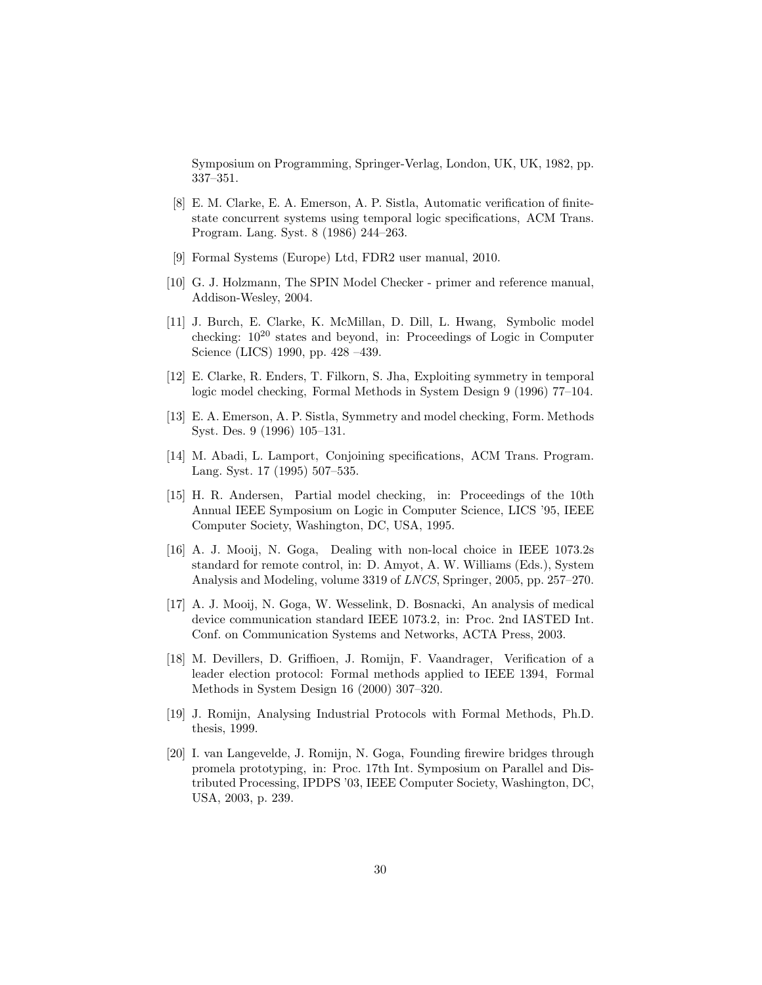Symposium on Programming, Springer-Verlag, London, UK, UK, 1982, pp. 337–351.

- [8] E. M. Clarke, E. A. Emerson, A. P. Sistla, Automatic verification of finitestate concurrent systems using temporal logic specifications, ACM Trans. Program. Lang. Syst. 8 (1986) 244–263.
- [9] Formal Systems (Europe) Ltd, FDR2 user manual, 2010.
- [10] G. J. Holzmann, The SPIN Model Checker primer and reference manual, Addison-Wesley, 2004.
- [11] J. Burch, E. Clarke, K. McMillan, D. Dill, L. Hwang, Symbolic model checking:  $10^{20}$  states and beyond, in: Proceedings of Logic in Computer Science (LICS) 1990, pp. 428 –439.
- [12] E. Clarke, R. Enders, T. Filkorn, S. Jha, Exploiting symmetry in temporal logic model checking, Formal Methods in System Design 9 (1996) 77–104.
- [13] E. A. Emerson, A. P. Sistla, Symmetry and model checking, Form. Methods Syst. Des. 9 (1996) 105–131.
- [14] M. Abadi, L. Lamport, Conjoining specifications, ACM Trans. Program. Lang. Syst. 17 (1995) 507–535.
- [15] H. R. Andersen, Partial model checking, in: Proceedings of the 10th Annual IEEE Symposium on Logic in Computer Science, LICS '95, IEEE Computer Society, Washington, DC, USA, 1995.
- [16] A. J. Mooij, N. Goga, Dealing with non-local choice in IEEE 1073.2s standard for remote control, in: D. Amyot, A. W. Williams (Eds.), System Analysis and Modeling, volume 3319 of LNCS, Springer, 2005, pp. 257–270.
- [17] A. J. Mooij, N. Goga, W. Wesselink, D. Bosnacki, An analysis of medical device communication standard IEEE 1073.2, in: Proc. 2nd IASTED Int. Conf. on Communication Systems and Networks, ACTA Press, 2003.
- [18] M. Devillers, D. Griffioen, J. Romijn, F. Vaandrager, Verification of a leader election protocol: Formal methods applied to IEEE 1394, Formal Methods in System Design 16 (2000) 307–320.
- [19] J. Romijn, Analysing Industrial Protocols with Formal Methods, Ph.D. thesis, 1999.
- [20] I. van Langevelde, J. Romijn, N. Goga, Founding firewire bridges through promela prototyping, in: Proc. 17th Int. Symposium on Parallel and Distributed Processing, IPDPS '03, IEEE Computer Society, Washington, DC, USA, 2003, p. 239.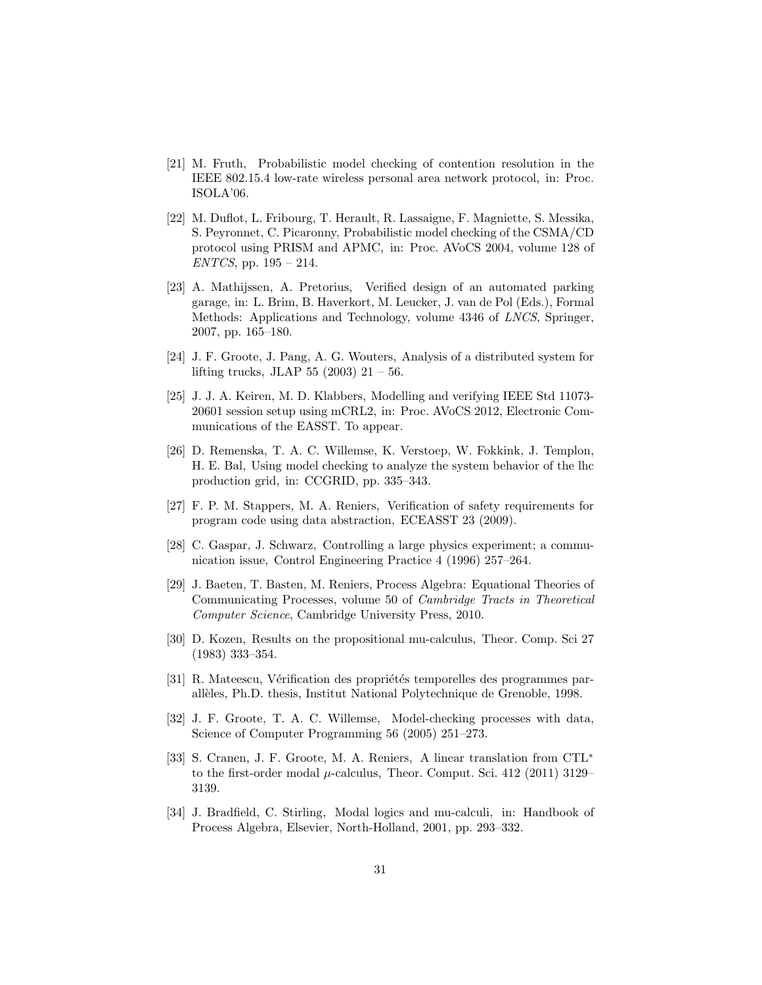- [21] M. Fruth, Probabilistic model checking of contention resolution in the IEEE 802.15.4 low-rate wireless personal area network protocol, in: Proc. ISOLA'06.
- [22] M. Duflot, L. Fribourg, T. Herault, R. Lassaigne, F. Magniette, S. Messika, S. Peyronnet, C. Picaronny, Probabilistic model checking of the CSMA/CD protocol using PRISM and APMC, in: Proc. AVoCS 2004, volume 128 of ENTCS, pp. 195 – 214.
- [23] A. Mathijssen, A. Pretorius, Verified design of an automated parking garage, in: L. Brim, B. Haverkort, M. Leucker, J. van de Pol (Eds.), Formal Methods: Applications and Technology, volume 4346 of LNCS, Springer, 2007, pp. 165–180.
- [24] J. F. Groote, J. Pang, A. G. Wouters, Analysis of a distributed system for lifting trucks, JLAP 55  $(2003)$  21 – 56.
- [25] J. J. A. Keiren, M. D. Klabbers, Modelling and verifying IEEE Std 11073- 20601 session setup using mCRL2, in: Proc. AVoCS 2012, Electronic Communications of the EASST. To appear.
- [26] D. Remenska, T. A. C. Willemse, K. Verstoep, W. Fokkink, J. Templon, H. E. Bal, Using model checking to analyze the system behavior of the lhc production grid, in: CCGRID, pp. 335–343.
- [27] F. P. M. Stappers, M. A. Reniers, Verification of safety requirements for program code using data abstraction, ECEASST 23 (2009).
- [28] C. Gaspar, J. Schwarz, Controlling a large physics experiment; a communication issue, Control Engineering Practice 4 (1996) 257–264.
- [29] J. Baeten, T. Basten, M. Reniers, Process Algebra: Equational Theories of Communicating Processes, volume 50 of Cambridge Tracts in Theoretical Computer Science, Cambridge University Press, 2010.
- [30] D. Kozen, Results on the propositional mu-calculus, Theor. Comp. Sci 27 (1983) 333–354.
- [31] R. Mateescu, Vérification des propriétés temporelles des programmes parall`eles, Ph.D. thesis, Institut National Polytechnique de Grenoble, 1998.
- [32] J. F. Groote, T. A. C. Willemse, Model-checking processes with data, Science of Computer Programming 56 (2005) 251–273.
- [33] S. Cranen, J. F. Groote, M. A. Reniers, A linear translation from CTL<sup>∗</sup> to the first-order modal  $\mu$ -calculus, Theor. Comput. Sci. 412 (2011) 3129– 3139.
- [34] J. Bradfield, C. Stirling, Modal logics and mu-calculi, in: Handbook of Process Algebra, Elsevier, North-Holland, 2001, pp. 293–332.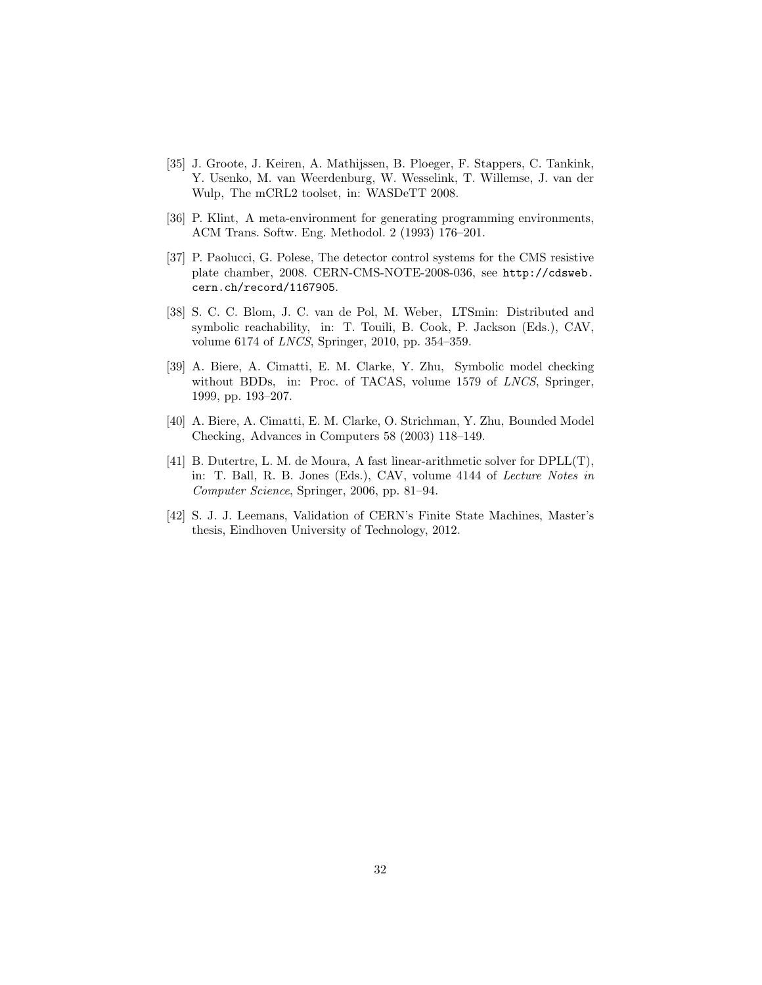- [35] J. Groote, J. Keiren, A. Mathijssen, B. Ploeger, F. Stappers, C. Tankink, Y. Usenko, M. van Weerdenburg, W. Wesselink, T. Willemse, J. van der Wulp, The mCRL2 toolset, in: WASDeTT 2008.
- [36] P. Klint, A meta-environment for generating programming environments, ACM Trans. Softw. Eng. Methodol. 2 (1993) 176–201.
- [37] P. Paolucci, G. Polese, The detector control systems for the CMS resistive plate chamber, 2008. CERN-CMS-NOTE-2008-036, see http://cdsweb. cern.ch/record/1167905.
- [38] S. C. C. Blom, J. C. van de Pol, M. Weber, LTSmin: Distributed and symbolic reachability, in: T. Touili, B. Cook, P. Jackson (Eds.), CAV, volume 6174 of LNCS, Springer, 2010, pp. 354–359.
- [39] A. Biere, A. Cimatti, E. M. Clarke, Y. Zhu, Symbolic model checking without BDDs, in: Proc. of TACAS, volume 1579 of LNCS, Springer, 1999, pp. 193–207.
- [40] A. Biere, A. Cimatti, E. M. Clarke, O. Strichman, Y. Zhu, Bounded Model Checking, Advances in Computers 58 (2003) 118–149.
- [41] B. Dutertre, L. M. de Moura, A fast linear-arithmetic solver for DPLL(T), in: T. Ball, R. B. Jones (Eds.), CAV, volume 4144 of Lecture Notes in Computer Science, Springer, 2006, pp. 81–94.
- [42] S. J. J. Leemans, Validation of CERN's Finite State Machines, Master's thesis, Eindhoven University of Technology, 2012.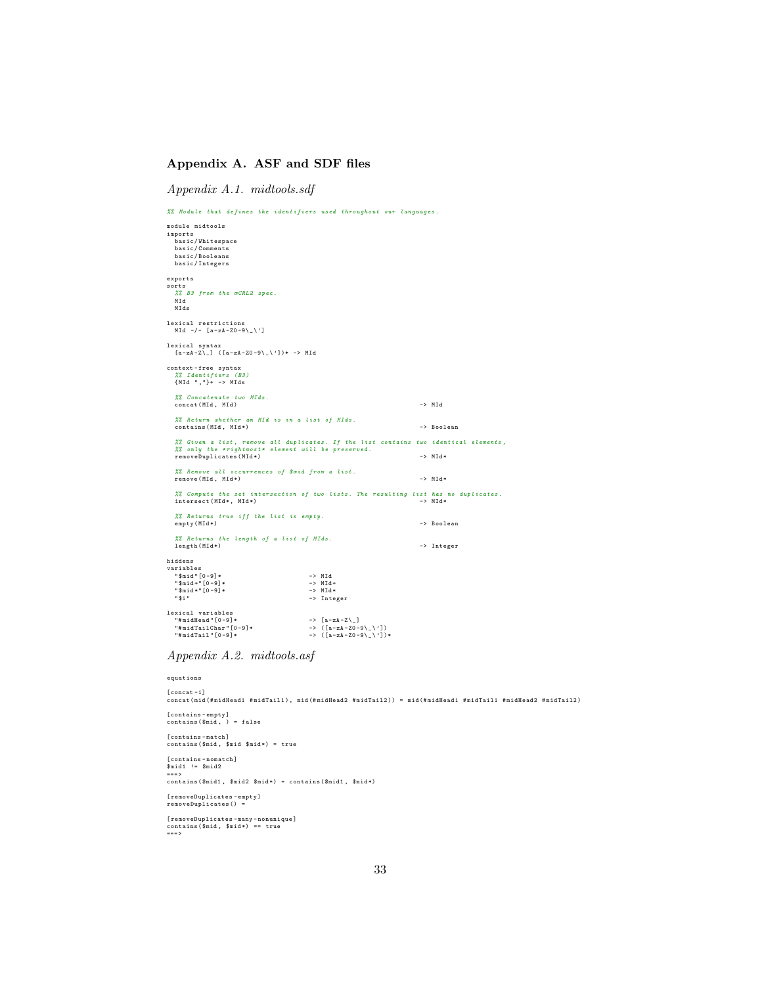# Appendix A. ASF and SDF files

Appendix A.1. midtools.sdf

```
%% Module that defines the identifiers used throughout our languages .
module midtools
imports
basic / Whitespace
   basic / Comments
basic / Booleans
  basic / Integers
exports
sorts
%% B3 from the mCRL2 spec .
MId
  MIds
lexical restrictions
MId -/- [a -zA -Z0 -9\ _ \ ']
lexical syntax<br>[a-zA-Z\_] ([a-zA-ZO-9\_\'])* -> MId
context-free syntax<br>
%% Identifiers (B3)<br>
{MId ","}+ -> MIds
   %% Concatenate two MIds.<br>concat(MId, MId) -> MId
   %% Return whether an MId is in a list of MIds.<br>contains(MId, MId*) -> Boolean
   %% Given a list, remove all duplicates. If the list contains two identical elements,<br>%% only the *rightmost* element will be preserved.<br>removeDuplicates(MId*)
   %% Remove all occurrences of $mid from a list.<br>remove(MId, MId*) -> MId*
   %% Compute the set intersection of two lists. The resulting list has no duplicates.<br>intersect(MId*, MId*)
   %% Returns true iff the list is empty.<br>empty(MId*) -> Boolean
   %% Returns the length of a list of MIds .
length ( MId *) -> Integer
hiddens
variables<br>"$mid+"[0-9]* -> MId<br>"$mid+"[0-9]* -> MId+<br>"$i" -> Mid*"[0-9]*<br>"$i" -> Integer
lexical variables<br>"#midHead"[0-9]* -> [a-zA-Z\_]
   "#midTailChar"[0-9]* -> ([a-zA-Z0-9\_\'])<br>"#midTail"[0-9]* -> ([a-zA-Z0-9\_\'])*
```
Appendix A.2. midtools.asf

### equations

[concat-1]<br>concat(mid(#midHead1 #midTail1), mid(#midHead2 #midTail2)) = mid(#midHead1 #midTail1 #midHead2 #midTail2)

[ contains - empty ] contains ( \$mid , ) = false

[ contains - match] contains (\$mid, \$mid \$mid\*) = true

[contains-nomatch]  $$mid1$  !=  $$mid2$ === >

contains (\$mid1, \$mid2 \$mid\*) = contains (\$mid1, \$mid\*)

[ removeDuplicates - empty ] removeDuplicates () =

[ removeDuplicates - many - nonunique ] contains ( \$mid , \$mid \*) == true === >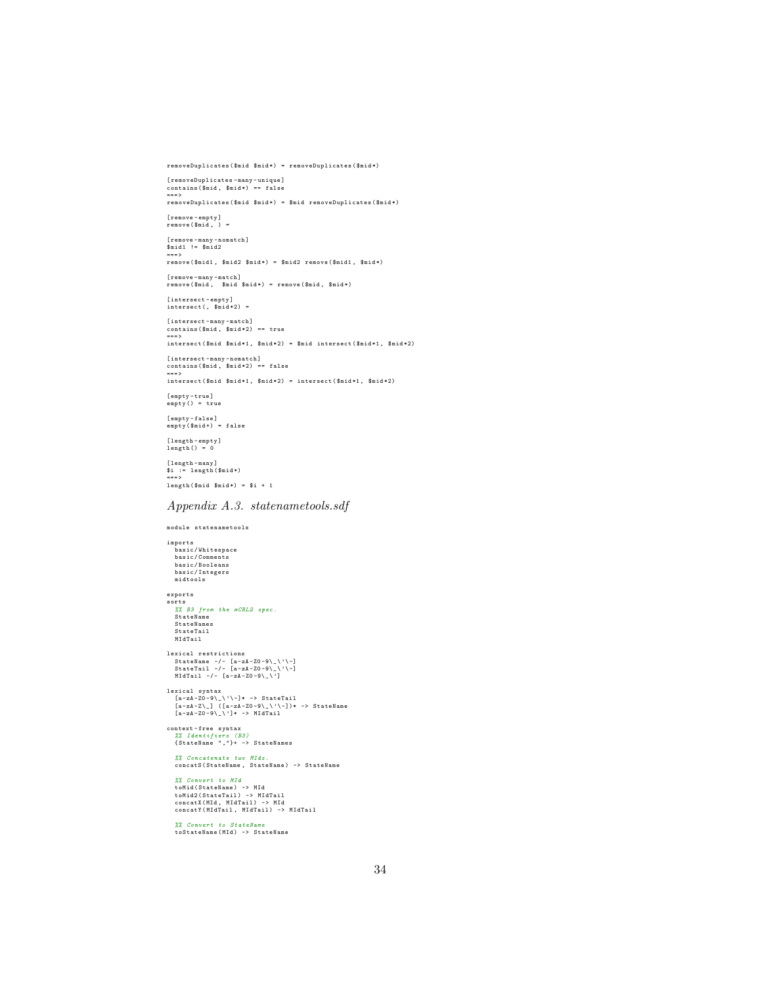removeDuplicates ( \$mid \$mid \*) = removeDuplicates ( \$mid \*)

[ removeDuplicates - many - unique ] contains ( \$mid , \$mid \*) == false

 $==$  $\verb|removeDuplicates (\$mid \$mid \$mid \ast) = \$$ mid removeDuplicates (\$mid \*)

[ remove - empty ] remove ( \$mid , ) =

[ remove - many - nomatch ] \$mid1 != \$mid2  $=$ remove (\$mid1, \$mid2 \$mid\*) = \$mid2 remove (\$mid1, \$mid\*)

[remove-many-match]<br>remove (\$mid, \$mid \$mid\*) = remove (\$mid, \$mid\*)

[ intersect - empty ] intersect ( , \$mid \*2) =

[intersect-many-match]<br>contains (\$mid, \$mid\*2) == true  $=$   $=$   $>$ 

intersect ( \$mid \$mid \*1 , \$mid \*2) = \$mid intersect ( \$mid \*1 , \$mid \*2)

[intersect-many-nomatch]<br>contains (\$mid, \$mid\*2) == false  $=$  $intersect ($mid $mid *1, $mid *2) = intersect ($mid *1, $mid *2)$ 

[ empty - true ] empty () = true

[ empty - false ] empty ( \$mid +) = false

[ length - empty ] length () = 0

[ length - many ] \$i := length ( \$mid \*) === > ---><br>length (\$mid \$mid\*) = \$i + 1

### Appendix A.3. statenametools.sdf

```
module statenametools
 imports
basic / Whitespace
      basic / Comments
basic / Booleans
basic / Integers
    midtools
exports
 sorts
%% B3 from the mCRL2 spec .
      StateName
StateNames
    StateTail
    MIdTail
 lexical restrictions<br>
StateName -/- [a-zA-Z0-9\_\'\-]<br>
StateTail -/- [a-zA-Z0-9\_\'\-]<br>
MIdTail -/- [a-zA-Z0-9\_\']
 lexical syntax<br>[a-zA-ZO-9\_\'\-]* -> StateTail<br>[a-zA-Z\_] ([a-zA-ZO-9\_\'\-])* -> StateName<br>[a-zA-ZO-9\_\']* -> MIdTail
 context-free syntax<br>
%% Identifiers (B3)<br>
{StateName ","}+ -> StateNames
      %% Concatenate two MIds.<br>concatS(StateName, StateName) -> StateName
      %% Convert to MId<br>toMid(StateName) -> MId<br>toMid2(StateTail) -> MIdTail<br>concatX(MId, MIdTail) -> MId<br>concatY(MIdTail, MIdTail) -> MIdTail
```

```
%% Convert to StateName<br>toStateName(MId) -> StateName
```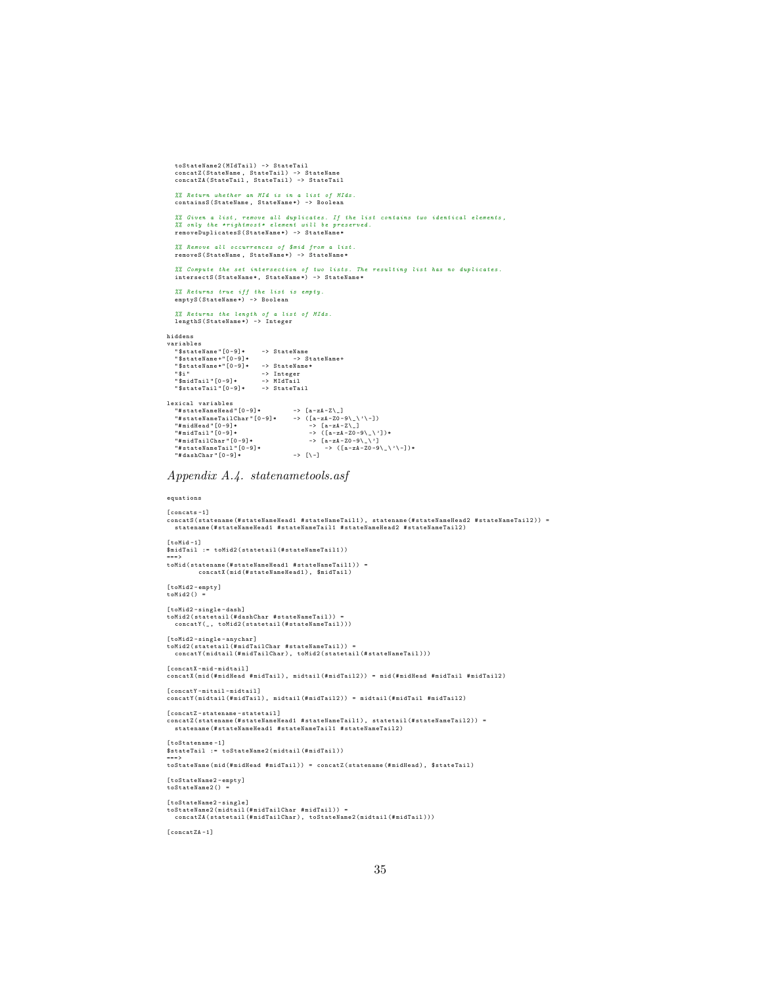```
toStateName2 ( MIdTail ) -> StateTail
     concatZ ( StateName , StateTail ) -> StateName
concatZA ( StateTail , StateTail ) -> StateTail
     %% Return whether an MId is in a list of MIds.<br>containsS(StateName, StateName*) -> Boolean
     %% Given a list, remove all duplicates. If the list contains two identical elements,<br>%% only the *rightmost* element will be preserved.
   removeDuplicatesS ( StateName *) -> StateName *
     %% Remove all occurrences of $mid from a list.<br>removeS(StateName, StateName*) -> StateName*
     %% Compute the set intersection of two lists. The resulting list has no duplicates.<br>intersectS(StateName*, StateName*) -> StateName*
     %% Returns true iff the list is empty .
emptyS ( StateName *) -> Boolean
     %% Returns the length of a list of MIds .
lengthS ( StateName *) -> Integer
 hiddens<br>variables<br>"$stateName"[0-9]* -> StateName +<br>"$stateName*"[0-9]* -> StateName*<br>"$i" -> Integer<br>"$i" -> Integer<br>"$midTail"[0-9]* -> MIdTail<br>"$stateTail"[0-9]* -> MIdTail
lexical variables<br>"#stateNameHead"[0-9]*
     "#stateNameWaed" [0-9]* -> [a-zA-Z0_]<br>"#stateNameWaed" [0-9]* -> [a-zA-Z0_9\_\'\-])<br>"#midHead" [0-9]* -> [a-zA-Z0_]<br>"#midHead" [0-9]* -> [a-zA-Z0_]<br>"#midTailChar" [0-9]* -> [a-zA-Z0-9\_\'])*<br>"#stateNameWail" [0-9]* -> [a-z
Appendix A.4. statenametools.asf
equations
[ concats -1]
               concatX (mid (# stateNameHead1), $midTail)
```

```
concatS (statename (#stateNameHead1 #stateNameTail1), statename (#stateNameHead2 #stateNameTail2)) =<br>statename (#stateNameHead1 #stateNameTail1 #stateNameHead2 #stateNameTail2)
[ toMid -1]
$midTail := toMid2 ( statetail (# stateNameTail1 ))
 === >
toMid ( statename (# stateNameHead1 # stateNameTail1 )) =
[ toMid2 - empty ]
toMid2 () =
[ toMid2 - single - dash ]
 toMid2 ( statetail (# dashChar # stateNameTail )) =
concatY (_ , toMid2 ( statetail (# stateNameTail )))
[ toMid2 - single - anychar ]
 toMid2 ( statetail (# midTailChar # stateNameTail )) =
concatY ( midtail (# midTailChar ), toMid2 ( statetail (# stateNameTail )))
[ concatX - mid - midtail ]
concatX ( mid (# midHead # midTail ), midtail (# midTail2 )) = mid (# midHead # midTail # midTail2 )
[ concatY - mitail - midtail ]
-<br>concatY (midtail (#midTail), midtail (#midTail2)) = midtail (#midTail #midTail2)
[ concatZ - statename - statetail]
 concatZ(statename(#stateNameHead1 #stateNameTail1), statetail(#stateNameTail2)) =<br>statename(#stateNameHead1 #stateNameTail1 #stateNameTail2)
[ toStatename -1]
$stateTail := toStateName2 ( midtail (# midTail ))
 === >
toStateName ( mid (# midHead # midTail )) = concatZ ( statename (# midHead ), $stateTail )
[ toStateName2 - empty ]
toStateName2 () =
[toStateName2-single]<br>toStateName2(midtail(#midTailChar #midTail)) =<br>concatZA(statetail(#midTailChar), toStateName2(midtail(#midTail)))
```
[ concatZA -1]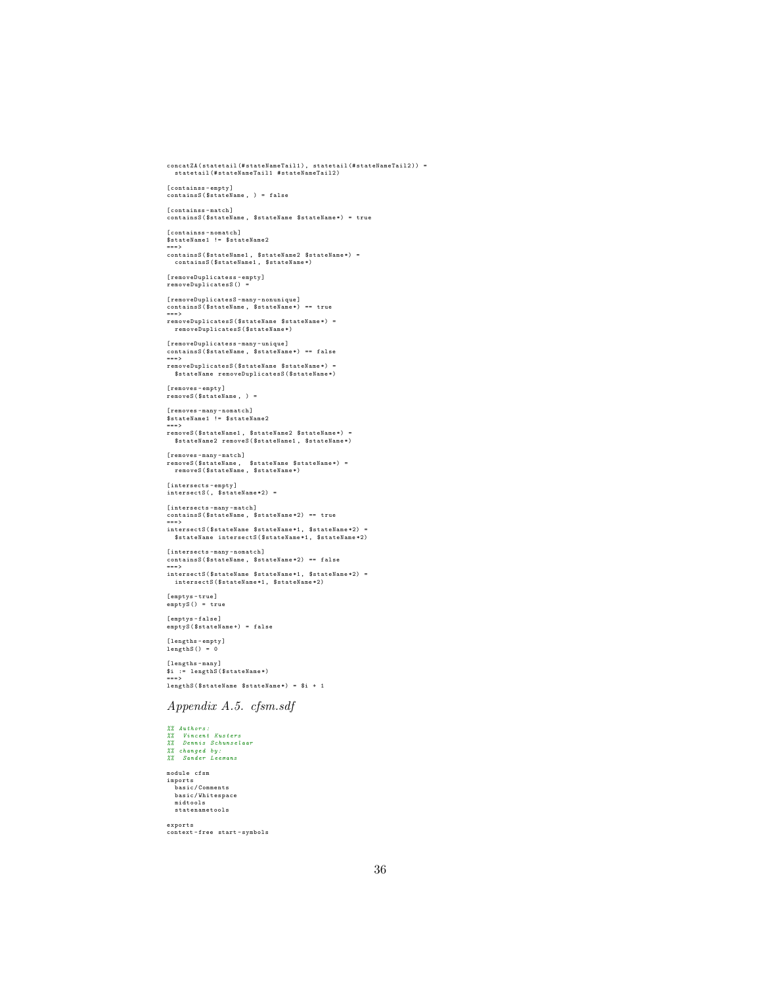```
concatZA ( statetail (# stateNameTail1 ), statetail (# stateNameTail2 )) =
statetail (# stateNameTail1 # stateNameTail2 )
[ containss - empty ]
containsS ( $stateName , ) = false
 [ containss - match ]
containsS ( $stateName , $stateName $stateName *) = true
 [ containss - nomatch ]
$stateName1 != $stateName2
= = >containsS ( $stateName1 , $stateName2 $stateName *) =
containsS ( $stateName1 , $stateName *)
[ removeDuplicatess - empty ]
removeDuplicatesS () =
 [ removeDuplicatesS - many - nonunique ]
containsS ( $stateName , $stateName *) == true
=removeDuplicatesS ( $stateName $stateName *) =
   removeDuplicatesS ( $stateName *)
 [ removeDuplicatess - many - unique ]
containsS ( $stateName , $stateName *) == false
=== >
 removeDuplicatesS ( $stateName $stateName *) =
$stateName removeDuplicatesS ( $stateName *)
 [ removes - empty ]
removeS ( $stateName , ) =
 [ removes - many - nomatch ]
$stateName1 != $stateName2
= = >removeS($stateName1, $stateName2 $stateName*) =<br>$stateName2 removeS($stateName1, $stateName*)
 [removes-many-match]<br>removeS($stateName, $stateName $stateName*) =<br>removeS($stateName, $stateName*)
 [ intersects - empty ]
intersectS (, $stateName *2) =
 [intersects-many-match]<br>containsS($stateName, $stateName*2) == true<br>===>
 intersectS ( $stateName $stateName *1 , $stateName *2) =
$stateName intersectS ( $stateName *1 , $stateName *2)
[intersects-many-nomatch]
containsS ($stateName, $stateName*2) == false<br>===>
 ===><br>intersectS($stateName $stateName*1, $stateName*2) =<br>- intersectS($stateName*1, $stateName*2)
 [ emptys - true ]
emptyS () = true
 [ emptys - false ]
emptyS ( $stateName +) = false
 [ lengths - empty ]
lengthS () = 0
 [ lengths - many ]
$i := lengthS ( $stateName *)
=== >
lengthS ( $stateName $stateName *) = $i + 1
Appendix A.5. cfsm.sdf
 %% Authors:<br>%% Vincent Kusters<br>%% Dennis Schunselaar<br>%% Changed by:<br>%% Sander Leemans
module cfsm
 imports
basic / Comments
```
basic / Whitespace midtools statenametools

exports context - free start - symbols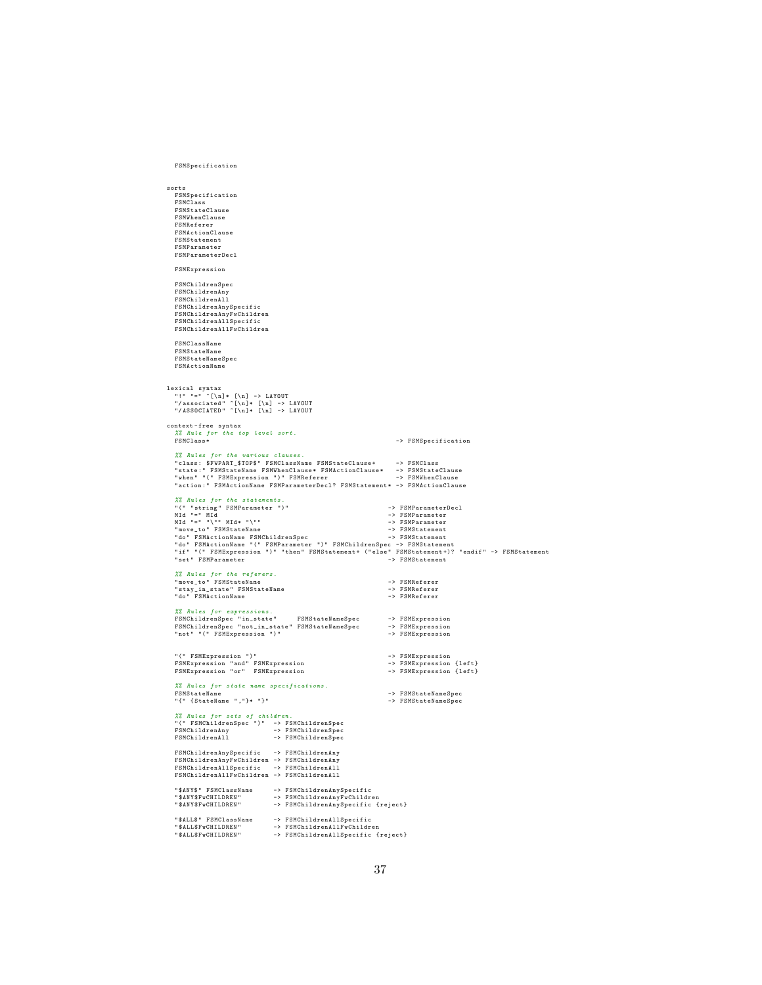FSMSpecification

```
sorts
    FSMSpecification
     FSMClass
FSMStateClause
FSMWhenClause
     FSMReferer
FSMActionClause
     FSMStatement
     FSMParameter
    FSMParameterDecl
     FSMExpression
    FSMChildrenSpec
     FSMChildrenAny
FSMChildrenAll
     FSMChildrenAnySpecific
     FSMChildrenAnyFwChildren
FSMChildrenAllSpecific
FSMChildrenAllFwChildren
    FSMClassName
     FSMStateName
     FSMStateNameSpec
    FSMActionName
lexical syntax<br>n + n = n \infty"!" "=" ~[\n]* [\n] -> LAYOUT<br>"/associated" ~[\n]* [\n] -> LAYOUT<br>"/ASSOCIATED" ~[\n]* [\n] -> LAYOUT
 context-free syntax<br>- %% Rule for the top level sort.<br>- FSMClass*
     %% Rules for the various clauses.<br>"class: $FWPART_$TOP$" FSMClassName FSMStateClause* -> FSMClass<br>"state:" FSMStateName FSMWhenClause* FSMActionClause* -> FSMStateClause<br>"action:" FSMActionName FSMParameterDecl? FSMStateme
     %% Rules for the statements.<br>"(" "string" FSMParameter ")" -> -> FSMParameterDecl<br>MId "=" "\"" MId* "\"" -> -> FSMParameter<br>MId "=" "\" MId* "\"" -> -> FSMParameter
     "move_to" FSMStateName<br>"do" FSMActionName FSMChildrenSpec<br>"do" FSMActionName "(" FSMParameter ")" FSMChildrenSpec -> FSMStatement<br>"if" "(" FSMExpression ")" "then" FSMStatement+ ("else" FSMStatement+)? "endif" -> FSMStatem
     %% Rules for the referers.<br>"move_to" FSMStateName<br>"stay_in_state" FSMStateName<br>"do" FSMActionName -> FSMReferer<br>"do" FSMActionName
     %% Rules for expressions .
FSMChildrenSpec " in_state " FSMStateNameSpec -> FSMExpression
FSMChildrenSpec " not_in_state " FSMStateNameSpec -> FSMExpression
" not " "(" FSMExpression ")" -> FSMExpression
     "(" FSMExpression ")"<br>FSMExpression "and" FSMExpression -> -> FSMExpression {left}<br>FSMExpression "or" FSMExpression -> FSMExpression {left}
     %% Rules for state name specifications.
     FSMStateName -> FSMStateNameSpec
"{" { StateName " ,"}* "}" -> FSMStateNameSpec
     %% Rules for sets of children.<br>"(" FSMChildrenSpec ")" -> FSMChildrenSpec<br>FSMChildrenAny -> FSMChildrenSpec<br>FSMChildrenAll -> FSMChildrenSpec
     FSMChildrenAnySpecific -> FSMChildrenAny<br>FSMChildrenAnyFwChildren -> FSMChildrenAny<br>FSMChildrenAllSpecific -> FSMChildrenAll<br>FSMChildrenAllFwChildren -> FSMChildrenAll
     "$ANY$" FSMClassName -> FSMChildrenAnySpecific<br>"$ANY$FwCHILDREN" -> FSMChildrenAnyFwChildr<br>"$ANY$FwCHILDREN" -> FSMChildrenAnySpecific
     "$ANY$FwCHILDREN" -> FSMChildrenAnyFwChildren<br>"$ANY$FwCHILDREN" -> FSMChildrenAnySpecific {reject}
     "$ALL$" FSMClassName     -> FSMChildrenAllSpecific<br>"$ALL$FwCHILDREN"     -> FSMChildrenAllFwChildren<br>"$ALL$FwCHILDREN"     -> FSMChildrenAllSpecific {reject}
```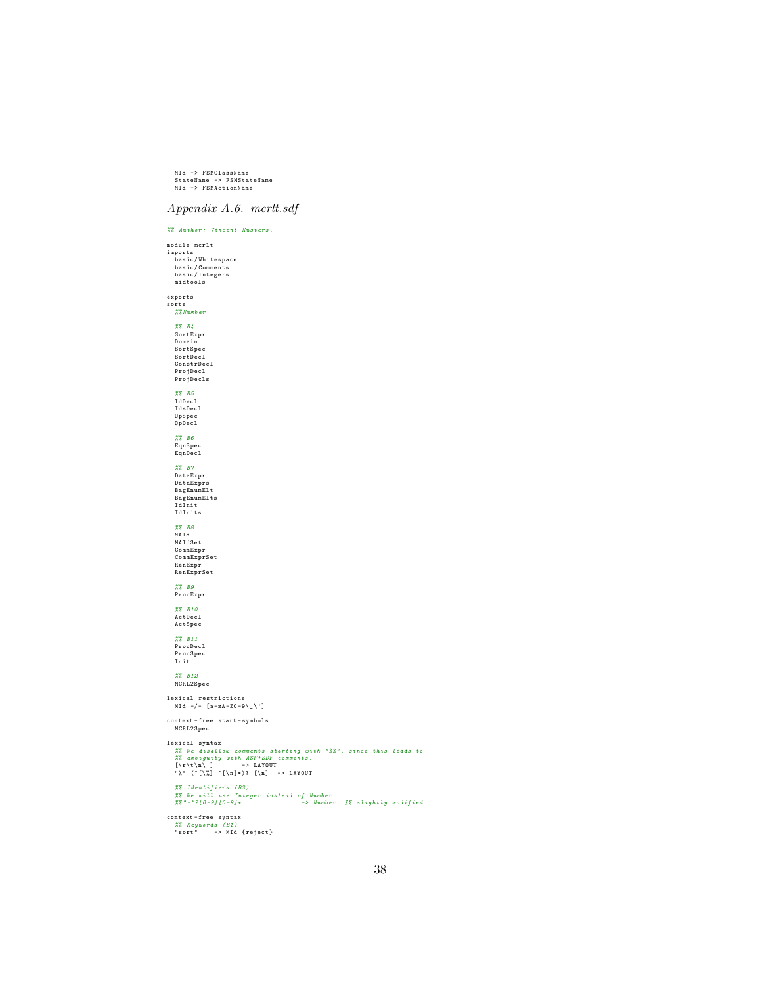```
MId -> FSMClassName
StateName -> FSMStateName
MId -> FSMActionName
```
Appendix A.6. mcrlt.sdf

%% Author : Vincent Kusters . module mcrlt imports basic / Whitespace basic / Comments basic / Integers midtools exports sorts %% Number %% B4<br>SortExpr<br>Domain<br>SortSpec<br>SortDecl<br>ConstrDecl<br>ProjDecls *%% B5*<br>IdDecl<br>IdsDecl OpSpec OpDecl %% B6 EqnSpec EqnDecl %% B7 DataExpr DataExprs BagEnumElt BagEnumElts IdInit IdInits %% B8 MAId MAIdSet CommExpr CommExprSet RenExpr RenExprSet *%% B9*<br>ProcExpr %% B10<br>ActDecl<br>ActSpec %% B11 ProcDecl ProcSpec Init %% *B12*<br>MCRL2Spec lexical restrictions MId -/- [a -zA -Z0 -9\ \_ \ '] context - free start - symbols MCRL2Spec lexical syntax<br> *XX We disallow comments starting with "XX", since this leads to*<br> *XX ambiguity with ASF+SDF comments.*<br>
[\r\t\n\ ] -> LAYOUT<br>"%" (~[\X] ~[\n]\*)? [\n] -> LAYOUT %% Identifiers (B3)<br>%% We will use Integer instead of Number.<br>%%"-"?[0-9][0-9]\* -> Number %% slightly modified context-free syntax<br> *%% Keywords (B1)*<br>
"sort" -> MId {reject}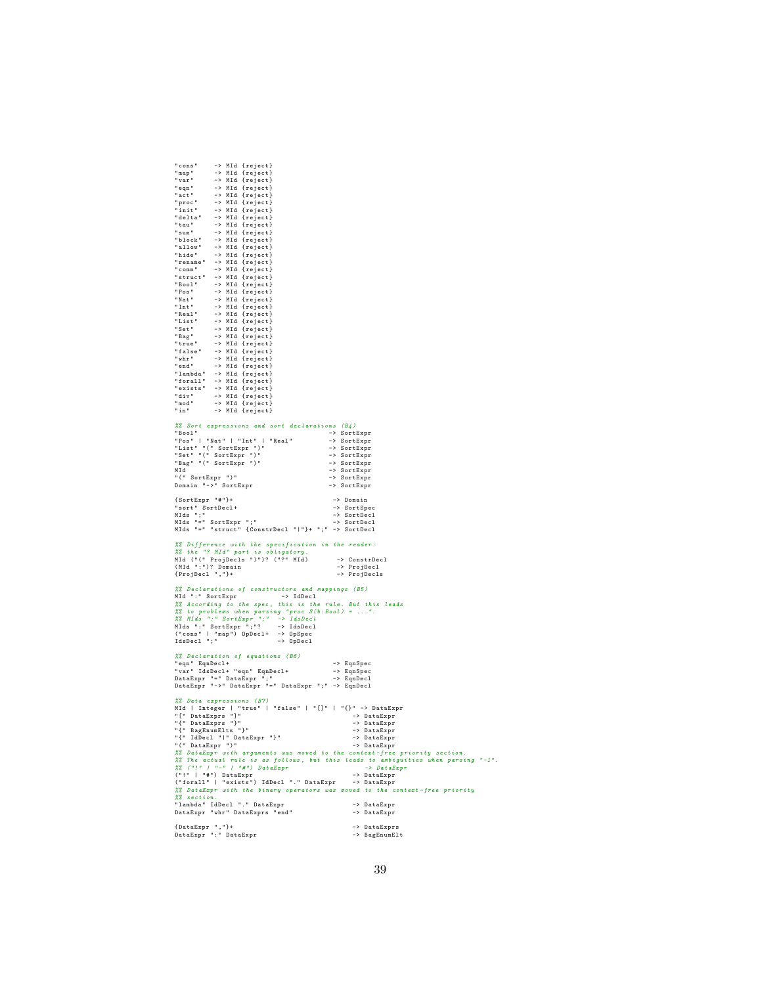```
" lorall" -> MId {reject}" -> MId {reject}"<br>" forall" -> MId {reject}"<br>" div" -> MId {reject}"<br>" -> MId {reject}" -> MId {reject}<br>" -> MId {reject}"
%% Sort expressions and sort declarations (B4)<br>
"Bool" -> SortExpr<br>
"Pos" | "Nat" | "Int" | "Real" -> SortExpr<br>
"Ist" "(" SortExpr ")" -> SortExpr<br>
"Sat" "(" SortExpr ")" -> SortExpr<br>
"Bag" "(" SortExpr ")" -> SortExpr<br>
MI
{SortExpr "#"}+<br>"sortExpr "#"}+ -> Domain<br>"Hids ";" -> SortDecl<br>MIds "=" "SortExpr ";"<br>"Hids "=" "struct" {ConstrDecl "|"}+ ";" -> SortDecl
% Difference with the specification in the reader:<br>%% Difference with the specification in the reader:<br>MId ("(" ProjDecls ")")? ("?" MId) -> ConstrDecl<br>(ProjDecl ",")+<br>-> ProjDecls
%% Declarations of constructors and mappings (B5)
MId ":" SortExpr -> IdDecl<br>
XX According to the spec, this is the rule. But this leads<br>
XX According to the spec, this is the rule. But this leads<br>
XX MIds ":" SortExpr ";" -> IdaDecl<br>
PIds ":" SortExpr ";" -> IdaDec
% Declaration of equations (B6)<br>"eqn" EqnDecl+ "eqn" EqnDecl+ -> EqnSpec<br>"var" IdsDecl+ "eqn" EqnDecl+ -> EqnDecl<br>DataExpr "=" DataExpr "=" DataExpr ";" -> EqnDecl<br>DataExpr "->" DataExpr "=" DataExpr ";" -> EqnDecl
XX Data expressions (B7)<br>
"Halse" | "[]" | "{}" -> DataExpr<br>
"[" DataExprs "]" --> DataExpr<br>
"[" DataExprs "]" --> DataExpr<br>
"{" IdDecl"|" DataExpr "}" --> DataExpr<br>
"{" IdDecl"|" DataExpr "}" --> DataExpr<br>
"{" Iddefin
" lambda " IdDecl "." DataExpr -> DataExpr
DataExpr " whr " DataExprs " end " -> DataExpr
{ DataExpr " ,"}+ -> DataExprs
DataExpr ":" DataExpr -> BagEnumElt
```
cons" -> MId {reject}"<br>"map" -> MId {reject}

"var" -> Mid (reject)<br>"eqn" -> Mid (reject)<br>"eqn" -> Mid (reject)<br>"act" -> Mid (reject)<br>"init" -> Mid (reject)<br>"init" -> Mid (reject)<br>"init" -> Mid (reject)<br>"sum" -> Mid (reject)<br>"tau" -> Mid (reject)<br>"hid" -> Mid (reject)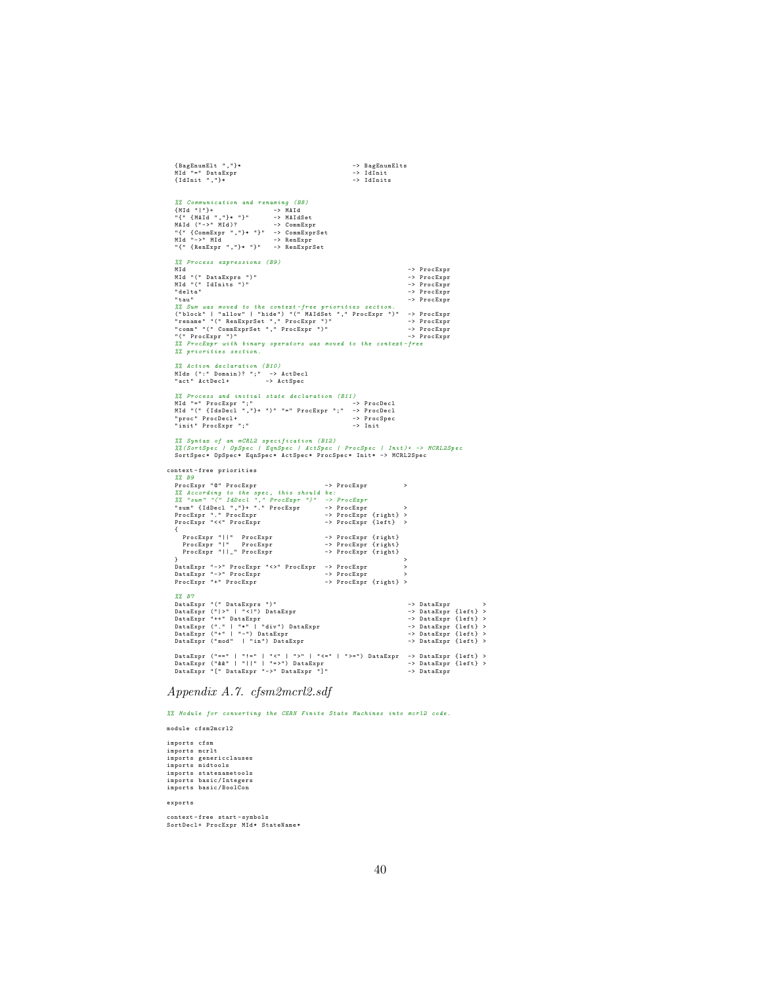```
{BagEnumElt ","}*<br>MId "=" DataExpr<br>{IdInit ","}*<br>{IdInit ","}*
    MId "=" DataExpr -> IdInit
{ IdInit " ,"}* -> IdInits
    %% Communication and renaming (BB)<br>{HId "|"}+ "}" -> MAId<br>"{" {MAId ","}* "}" -> MAIdSet<br>MAId ("->" MId?" -> CommExpr<br>"{" {CommExpr ","}* "}" -> CommExprSet<br>"{" {RenExpr ","}* "}" -> RenExprSet
   %% Process expressions ( B9)
    MId -> ProcExpr<br>MId "(" DataExprs ")" -> ProcExpr<br>MId "(" IdInits ")" -> ProcExpr<br>"delta" -> ProcExpr
    "tau" -> ProcExpr" -> ProcExpr" -> ProcExpr" -> ProcExpr" -> ProcExpr" -> ProcExpr<br>"Allock" | "allow" | "hide") "(" MAIdSet "," ProcExpr ")" -> ProcExpr"<br>"rename" "(" RenExprSet "," ProcExpr ")" -> ProcExpr<br>"comm" "(" Comm
     "(" ProcExpr ")" -> ProcExpr<br>%% ProcExpr with binary operators was moved to the context-free<br>%% priorities section.
    %% Action declaration (B10)<br>MIds (":" Domain)? ";" -> ActDecl<br>"act" ActDecl+ -> ActSpec
    X Process and initial state declaration (B11)
    MId "=" ProcExpr ";"<br>MId "(" {IdsDecl ","}+ ")" "=" ProcExpr ";" -> ProcDecl<br>"proc" ProcDecl+<br>"init" ProcExpr ";" -> ProcSpec
    %% Syntax of an mCRL2 specification (B12)
     %%(SortSpec | OpSpec | EqnSpec | ActSpec | ProcSpec | Init)+ -> MCRL2Spec<br>SortSpec* OpSpec* EqnSpec* ActSpec* ProcSpec* Init* -> MCRL2Spec
context-free priorities<br>\frac{\partial \mathcal{L}}{\partial \mathcal{L}}%% B9<br>ProcExpr "@" ProcExpr
    ProcExpr "@" ProcExpr -> ProcExpr -> X<br>
XX According to the spec, this should be:<br>
XX "sum" "(" IdDecl "," ProcExpr ")" -> ProcExpr -> XX "sum" "(" IdDecl "," ProcExpr ")" -> ProcExpr -> XX<br>
"sum" (" IdDecl "," ProcExpr ")
         ProcExpr "||" ProcExpr -> ProcExpr { right}<br>ProcExpr "|" ProcExpr -> ProcExpr { right}<br>ProcExpr "||_" ProcExpr -> ProcExpr { right}
    } >
DataExpr " - >" ProcExpr " < >" ProcExpr -> ProcExpr >
DataExpr " - >" ProcExpr -> ProcExpr >
ProcExpr "+" ProcExpr -> ProcExpr { right } >
     % BT<br>
DataExpr ("|>"|"<|")DataExpr<br>
DataExpr ("|-"| "<|")DataExpr ("+"| "+"| DataExpr ("|-"| +"| "+"| "+"| DataExpr ("| +"| +"| "+"| "+"| DataExpr<br>
DataExpr ("+" | "+"| "+"| DataExpr ("+" | +"| "+"| DataExpr ("+" | "+"| 
     DataExpr ("==" | "!=" | "<" | ">" | "<=" | ">=") DataExpr -> DataExpr {left} ><br>DataExpr ("&&" | "|-")" DataExpr "]" -> DataExpr {left} ><br>DataExpr "[" DataExpr "->" DataExpr "]" -> DataExpr
```
### Appendix A.7. cfsm2mcrl2.sdf

%% Module for converting the CERN Finite State Machines into mcrl2 code .

imports cfsm imports mcrlt imports genericclauses imports midtools imports statenametools imports basic / Integers imports basic / BoolCon

module cfsm2mcrl2

exports

context-free start-symbols SortDecl+ ProcExpr MId\* StateName\*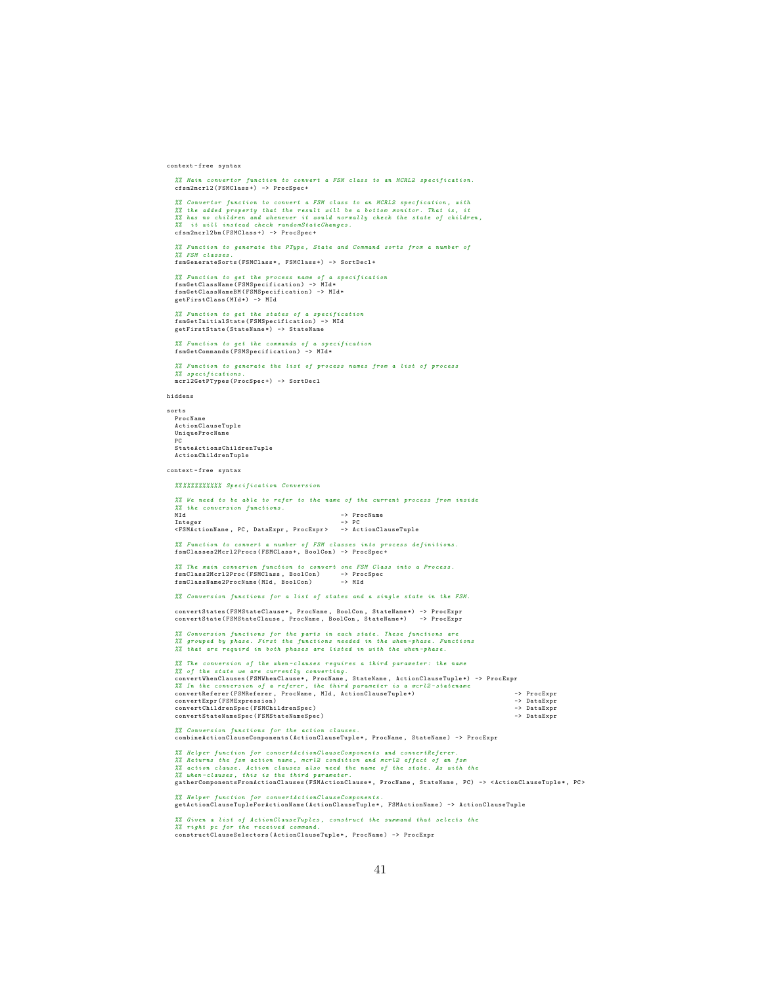context - free syntax

%% Main convertor function to convert a FSM class to an MCRL2 specification.<br>cfsm2mcrl2(FSMClass+) -> ProcSpec+

XX Convertor function to convert a FSM class to an MCRL2 specjication, with<br>XX the added property that the result will be a bottom monitor. That is, it<br>XX has no children and whenever it would normally check the state of c

%% Function to generate the PType , State and Command sorts from a number of %% FSM classes . fsmGenerateSorts (FSMClass\*, FSMClass+) -> SortDecl+

 $X$ *X* Function to get the process name of a specification fsmGetClassName(FSMSpecification) -> MId\*<br>fsmGetClassNameBM(FSMSpecification) -> MId\*<br>getFirstClass(MId\*) -> MId

%% Function to get the states of a specification<br>fsmGetInitialState(FSMSpecification) -> MId<br>getFirstState(StateName\*) -> StateName

%% Function to get the commands of a specification<br>fsmGetCommands(FSMSpecification) -> MId\*

%% Function to generate the list of process names from a list of process

%% specifications.<br>mcrl2GetPTypes(ProcSpec+) -> SortDecl

hiddens

sorts ProcName

ActionClauseTuple UniqueProcName PC StateActionsChildrenTuple ActionChildrenTuple

context - free syntax

#### %% %%%%%%%%%% S pe ci fi ca ti on Conversion

%% We need to be able to refer to the name of the current process from inside %% the conversion functions.<br>MIA MId -> ProcName Integer -> PC < FSMActionName , PC , DataExpr , ProcExpr > -> ActionClauseTuple

%% Function to convert a number of FSM classes into process definitions.<br>fsmClasses2Mcr12Procs(FSMClass+, BoolCon) -> ProcSpec+

%% The main converion function to convert one FSM Class into a Process.<br>fsmClass2Mcrl2Proc(FSMClass, BoolCon) -> ProcSpec<br>fsmClassName2ProcName(MId, BoolCon) -> MId

%% Conversion functions for a list of states and a single state in the FSM .

convertStates (FSMStateClause\*, ProcName, BoolCon, StateName\*) -> ProcExpr<br>convertState (FSMStateClause, ProcName, BoolCon, StateName\*) -> ProcExpr convertState (FSMStateClause, ProcName, BoolCon, StateName\*)

%% Conversion functions for the parts in each state. These functions a %% grouped by phase. First the functions needed in the when-phase. Functions<br>%% that are requird in both phases are listed in with the when-phase.

```
%% The conversion of the when - clauses requires a third parameter : the name
%% of the state we are currently converting.<br>convertWhenClauses(FSMWhenClause*, ProcName, StateName, ActionClauseTuple*) -> ProcExpr<br>%% In the conversion of a referer, the third parameter is a mcrl2-statename<br>convertRefere
convertExpr (FSMExpression)<br>convertChildrenSpec (FSMChildrenSpec)<br>convertStateNameSpec (FSMStateNameSpec)<br>-> DataExpr
```
%% Conversion functions for the action clauses . combineActionClauseComponents ( ActionClauseTuple \*, ProcName , StateName ) -> ProcExpr

- XX Helper function for convertActionClauseComponents and convertReferer.<br>XX Returns the fsm action name, mcrl2 condition and mcrl2 effect of an fsm<br>XX when-clauses, this is the third parameter.<br>XX when-clauses, this is the
- 

%% Helper function for convertActionClauseComponents.<br>getActionClauseTupleForActionName(ActionClauseTuple\*, FSMActionName) -> ActionClauseTuple

%% Given a list of ActionClauseTuples, construct the summand that selects the<br>%% right pc for the received command.<br>constructClauseSelectors(ActionClauseTuple\*, ProcName) -> ProcExpr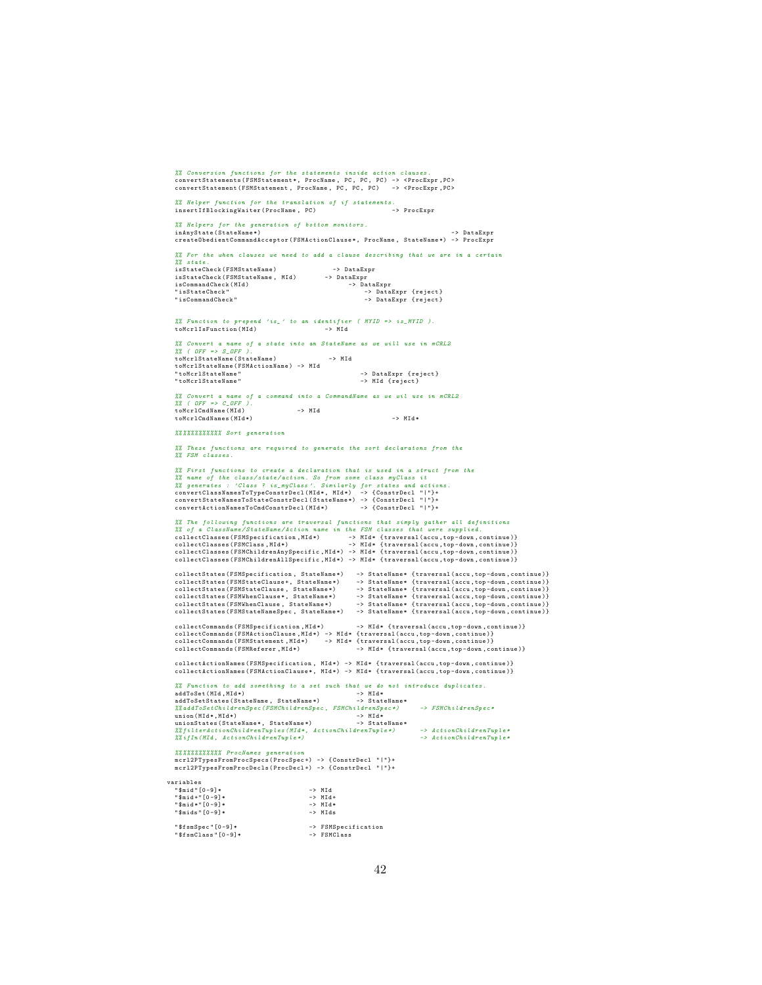%% Conversion functions for the statements inside action clauses.<br>convertStatements(FSMStatement\*, ProcName, PC, PC, PC) -> <ProcExpr,PC><br>convertStatement(FSMStatement, ProcName, PC, PC, PC) -> <ProcExpr,PC> %% Helper function for the translation of if statements.<br>insertIfBlockingWaiter(ProcName, PC) -> ProcExpr %% Helpers for the generation of bottom monitors . inAnyState ( StateName \*) -> DataExpr createObedientCommandAcceptor ( FSMActionClause \* , ProcName , StateName \*) -> ProcExpr %% For the when clauses we need to add a clause describing that we are in a certain %% state.<br>isStateCheck(FSMStateName) -> DataExpr isstateCheck (FSMStateName) -> DataExpr<br>isStateCheck (FSMStateName, MId) -> DataExpr<br>... isCommandCheck (MId)<br>"isStateCheck" " isStateCheck " -> DataExpr { reject } " isCommandCheck " -> DataExpr { reject } %% Function to prepend 'is\_' to an identifier (WYID => is\_MYID).<br>toMcrlIsFunction(MId) -> MId %% Convert a name of a state into an StateName as we will use in mCRL2<br>%% ( OFF => S\_OFF ).<br>toMcr1StateName(StateName) -> MId toMcrlStateName(FSMActionName) -> MId<br>"toMcrlStateName" - -> -> -> DataExpr {reject} "
"
concrete and the material control of the state of the state of the state of the state of the state of the state of the state of the state of the state of the state of the state of the state of the state of the state of %% Convert a name of a command into a CommandName as we wil use in mCRL2<br>%% ( OFF => C\_OFF ).<br>toMcrlCmdName(MId) -> MId -> -> MID  $toMcr1CmdNames (MId*)$   $\longrightarrow$   $MId*$ %% %%%%%%%%%% Sort generation %% These functions are required to generate the sort declaratons from the xx FSM classes. %% First functions to create a declaration that is used in a struct from the %% name of the class/state/action. So from some class myClass it<br>%% generates : 'Class ? is\_myClass'. Similarly for states and actions.<br>convertClassNamesToTypeConstrDecl(MId\*, MId\*) -> {ConstrDecl "|"}+<br>convertStateNamesTo %% The following functions are traversal functions that simply gather all definitions % of a ClassMame/StateMame/Action name in the FSM classes that were supplied.<br>collectClasses(FSMSpecification,MId\*) -> MId\* {traversal(accu,top-down,continue)}<br>collectClasses(FSMClass,MId\*) -> MId\* {traversal(accu,top-down collectStates (FSMSpecification , StateName \*) -> StateName \* { traversal (accu , top-down , continue )}<br>collectStates ( FSMStateClause + , StateName \*) -> StateName \* { traversal (accu , top-down , continue )}<br>collectStat collectStates(FSMStateClause+, StateName\*) -> StateName\* {traversal(accu,top-down,continue)}<br>collectStates(FSMStateClause, StateName\*) -> StateName\* {traversal(accu,top-down,continue)}<br>collectStates(FSMWhenClause\*, StateNa collectCommands(FSMSpecification ,MId\*) -> MId\* {traversal(accu,top-down ,continue)}<br>collectCommands(FSMActionClause ,MId\*) -> MId\* {traversal(accu,top-down ,continue)}<br>collectCommands(FSMStatement ,MId\*) -> MId\* {traversa collectCommands (FSMReferer, MId\*) -> MId\* {traversal (accu, top-down, continue)} collectActionNames (FSMSpecification , MId\*) -> MId\* {traversal(accu ,top-down ,continue)}<br>collectActionNames (FSMActionClause\*, MId\*) -> MId\* {traversal(accu ,top-down ,continue)} %% Function to add something to a set such that we do not introduce duplicates.<br>addToSet(MId,MId\*) -> MId\* addToSet (MId , MId\*)<br>addToSetStates (StateName , StateName\*) > StateName\* %% addToSetChildrenSpec (FSMChildrenSpec , FSMChildrenSpec \*) -> FSMChildrenSpec \*<br>union (MId \*, MId \*) -> MId \* -> MId \* -> MId \* -> TexteName \*<br>unionStates (StateName \* , StateName \* ) -> StateName \* % f interest condument during the research of the research of the conduction of the conduction of the conduction of the state of the state of the state of the state of the state of the state of the state of the state of th  $\chi\chi$  if  $In$  (MId, Action Children Tup le\*) %% %%%%%%%%%% ProcNames generation mcrl2PTypesFromProcSpecs ( ProcSpec +) -> { ConstrDecl "|"}+ mcrl2PTypesFromProcDecls ( ProcDecl +) -> { ConstrDecl "|"}+ variables " \$mid "[0 -9]\* -> MId " \$mid +"[0 -9]\* -> MId + " \$mid \*"[0 -9]\* -> MId \* .<br>"\$mids"[0-9]\* -> FSMSpecification<br>-> FSMClass " \$fsmSpec " [0 -9] \*<br>" \$fsmClass " [0 -9] \*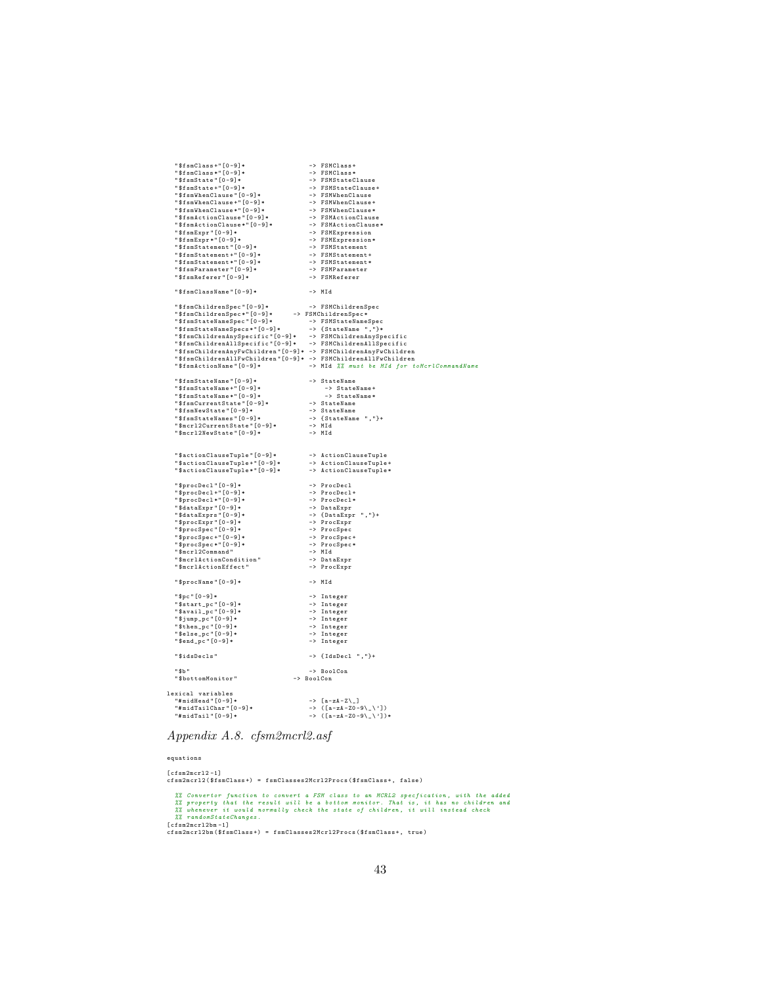%fsmClass +"[0-9]\*<br>"\$fsmClass \*"[0-9]\* -> FSMClass +<br>"\$fsmState"[0-9]\* -> FSMStateClause " \$fsmClass \*"[0 -9]\* -> FSMClass \* " \$fsmState "[0 -9]\* -> FSMStateClause " \$fsmState +"[0 -9]\* -> FSMStateClause + "SfamWhenClause"[0-9]\* -> FSWMhenClause<br>"SfamWhenClause\*"[0-9]\* -> FSWMhenClause\*<br>"SfamWhenClause\*"[0-9]\* -> FSWMhenClause\*<br>"SfamActionClause\*"[0-9]\* -> FSMActionClause\*<br>"SfamActionClause\*"[0-9]\* -> FSMActionClause\* " \$fsmExpr "[0 -9]\* -> FSMExpression " \$fsmExpr \*"[0 -9]\* -> FSMExpression \* " \$fsmStatement "[0 -9]\* -> FSMStatement " \$fsmStatement +"[0 -9]\* -> FSMStatement + " \$fsmStatement \*"[0 -9]\* -> FSMStatement \* " \$fsmParameter "[0 -9]\* -> FSMParameter " \$fsmReferer "[0 -9]\* -> FSMReferer " \$fsmClassName "[0 -9]\* -> MId " \$fsmChildrenSpec "[0 -9]\* -> FSMChildrenSpec " \$fsmChildrenSpec \*"[0 -9]\* -> FSMChildrenSpec \* " \$fsmStateNameSpec "[0 -9]\* -> FSMStateNameSpec " \$fsmStateNameSpecs \*"[0 -9]\* -> { StateName " ,"}\* "\$fsmChildrenAnySpecific"[0-9]\* -> FSMChildrenAnySpecific<br>"\$fsmChildrenAllSpecific"[0-9]\* -> FSMChildrenAllSpecific<br>"\$fsmChildrenAnyFwChildren"[0-9]\* -> FSMChildrenAnyFwChildren<br>"\$fsmChildrenAllFwChildren"[0-9]\* -> FSMChil " \$fsmActionName "[0 -9]\* -> MId %% must be MId for t o M c r l C o m m a n d N a m e %ffsmStateName"[0-9]\* -> StateName -> \$tateName=<br>"\$fsmStateName+"[0-9]\* -> StateName+<br>"\$fsmStateName\*"[0-9]\* -> StateName\* " \$fsmStateName +"[0 -9]\* -> StateName + " \$fsmStateName \*"[0 -9]\* -> StateName \* " \$fsmCurrentState "[0 -9]\* -> StateName " \$fsmNewState "[0 -9]\* -> StateName " \$fsmStateNames "[0 -9]\* -> { StateName " ,"}+ " \$mcrl2CurrentState "[0 -9]\* -> MId " \$mcrl2NewState "[0 -9]\* -> MId " \$actionClauseTuple "[0 -9]\* -> ActionClauseTuple " \$actionClauseTuple +"[0 -9]\* -> ActionClauseTuple + " \$actionClauseTuple \*"[0 -9]\* -> ActionClauseTuple \* " \$procDecl "[0 -9]\* -> ProcDecl " \$procDecl +"[0 -9]\* -> ProcDecl + " \$procDecl \*"[0 -9]\* -> ProcDecl \* " \$dataExpr "[0 -9]\* -> DataExpr " \$dataExprs "[0 -9]\* -> { DataExpr " ,"}+ " \$procExpr "[0 -9]\* -> ProcExpr " \$procSpec "[0 -9]\* -> ProcSpec "\$procSpec+"[0-9]\* -> ProcSpec+"<br>"\$procSpec\*"[0-9]\* -> ProcSpec\*<br>"\$mcrl2Command" -> MId<br>"\$mcrlActionCondition" -> DataExpr "\$mcrl2Command" -> ראשונה של המשפט "\$mcrl2Command" -> DataExpr<br>"\$mcrlActionCondition" -> DataExpr<br>"\$mcrlActionEffect" -> ProcExpr " \$procName "[0 -9]\* -> MId \* \$pc "[0-9]\* -> Integer"<br>"\$start\_pc "[0-9]\* -> Integer<br>"\$jump\_pc"[0-9]\* -> Integer<br>"\$jump\_pc"[0-9]\* -> Integer<br>"\$else\_pc"[0-9]\* -> Integer<br>"\$end\_pc"[0-9]\* -> Integer<br>"\$end\_pc"[0-9]\* " \$idsDecls " -> { IdsDecl " ,"}+ "\$b" -> BoolCon<br>"\$bottomMonitor" -> BoolCon "\$bottomMonitor" lexical variables "#midHead"[0-9]\*<br>"#midHead"[0-9]\*<br>"#midTail"[0-9]\* "#midTailChar"[0-9]\* -> ([a-zA-Z0-9\\_\'])<br>"#midTail"[0-9]\* -> ([a-zA-Z0-9\\_\'])\*

Appendix A.8. cfsm2mcrl2.asf

equations  $c$ f sm $2mcr12 - 1$ ]

cfsm2mcrl2 ( \$fsmClass +) = fsmClasses2Mcrl2Procs ( \$fsmClass + , false )

%% Convertor function to convert a FSM class to an MCRL2 specfication , with the added %% property that the result will be a bottom monitor. That is, it has no children and<br>%% whenever it would normally check the state of children, it will instead check<br>%% randomStateChanges. [ cfsm2mcrl2bm -1]

```
cfsm2mcrl2bm ( $fsmClass +) = fsmClasses2Mcrl2Procs ( $fsmClass + , true )
```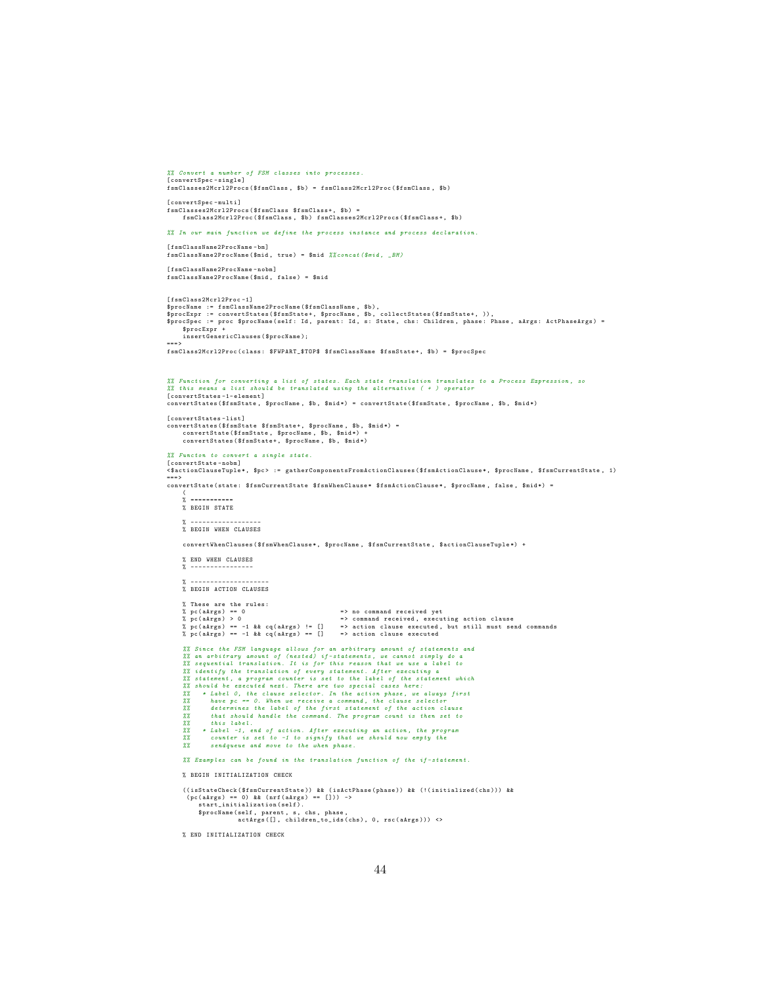```
%% Convert a number of FSM classes into processes .
[ convertSpec - single ]
fsmClasses2Mcrl2Procs ( $fsmClass , $b ) = fsmClass2Mcrl2Proc ( $fsmClass , $b )
[convertSpec-multi]
 fsmClasses2Mcrl2Procs ( $fsmClass $fsmClass +, $b ) =
fsmClass2Mcrl2Proc ( $fsmClass , $b ) fsmClasses2Mcrl2Procs ( $fsmClass + , $b )
%% In our main function we define the process instance and process declaration .
[ fsmClassName2ProcName - bm ]
fsnaclassName2ProcName ($mid, true) = $mid %% concat ($mid, BM)
[ fsmClassName2ProcName - nobm ]
fsmClassName2ProcName ( $mid , false ) = $mid
[ fsmClass2Mcrl2Proc -1]
 $procName := fsmClassName2ProcName($fsmClassName, $b),<br>$procExpr := convertStates($fsmState+, $procName, $b, collectStates($fsmState+, )),<br>$procSpec := proc $procName(self: Id, parent: Id, s: State, chs: Children, phase: P
      $procExpr +
      insertGenericClauses ( $procName );
 === >
fsmClass2Mcrl2Proc ( class : $FWPART_$TOP$ $fsmClassName $fsmState +, $b ) = $procSpec
 %% Function for converting a list of states. Each state translation translates to a Process Expression, so<br>%% this means a list should be translated using the alternative ( + ) operator
[ convertStates -1 - element ]
convertStates ( $fsmState , $procName , $b , $mid *) = convertState ( $fsmState , $procName , $b , $mid *)
[convertStates-list]
 convertStates ($fsmState $fsmState+, $procName, $b, $mid*) =<br>convertState ($fsmState, $procName, $b, $mid*) +<br>convertStates ($fsmState+, $procName, $b, $mid*)
%% Functon to convert a single state.<br>[convertState-nobm]<br><$actionClauseTuple*, $pc> := gatherComponentsFromActionClauses($fsmActionClause*, $procName, $fsmCurrentState, 1)
=== >
convertState ( state : $fsmCurrentState $fsmWhenClause * $fsmActionClause *, $procName , false , $mid *) =
       (
       % ===========
% BEGIN STATE
       % ------------------
% BEGIN WHEN CLAUSES
      convertWhenClauses ( $fsmWhenClause *, $procName , $fsmCurrentState , $actionClauseTuple *) +
     % END WHEN CLAUSES
      % ----------------
       % --------------------
% BEGIN ACTION CLAUSES
      % These are the rules :
       % pc ( aArgs ) == 0 => no command received yet
% pc ( aArgs ) > 0 => command received , executing action clause
% pc ( aArgs ) == -1 && cq ( aArgs ) != [] => action clause executed , but still must send commands
% pc ( aArgs ) == -1 && cq ( aArgs ) == [] => action clause executed
       XX Since the FSM language allows for an arbitrary amount of statements and<br>XX an arbitrary amount of (nested) if-statements, we cannot simply do a<br>XX sequential translation. It is for this reason that we use a label to<br>XX 
      %% Examples can be found in the translation function of the if - statement .
     % BEGIN INITIALIZATION CHECK
      (( isStateCheck ( $fsmCurrentState )) && ( isActPhase ( phase )) && (!( initialized ( chs ))) &&
        (pc (aArgs) == 0) & k (nrf (aArgs) == [])) \rightarrow start\_initialization(self).$procName ( self , parent , s , chs , phase ,
actArgs ([] , children_to_ids ( chs ), 0, rsc ( aArgs ))) <>
      % END INITIALIZATION CHECK
```

```
44
```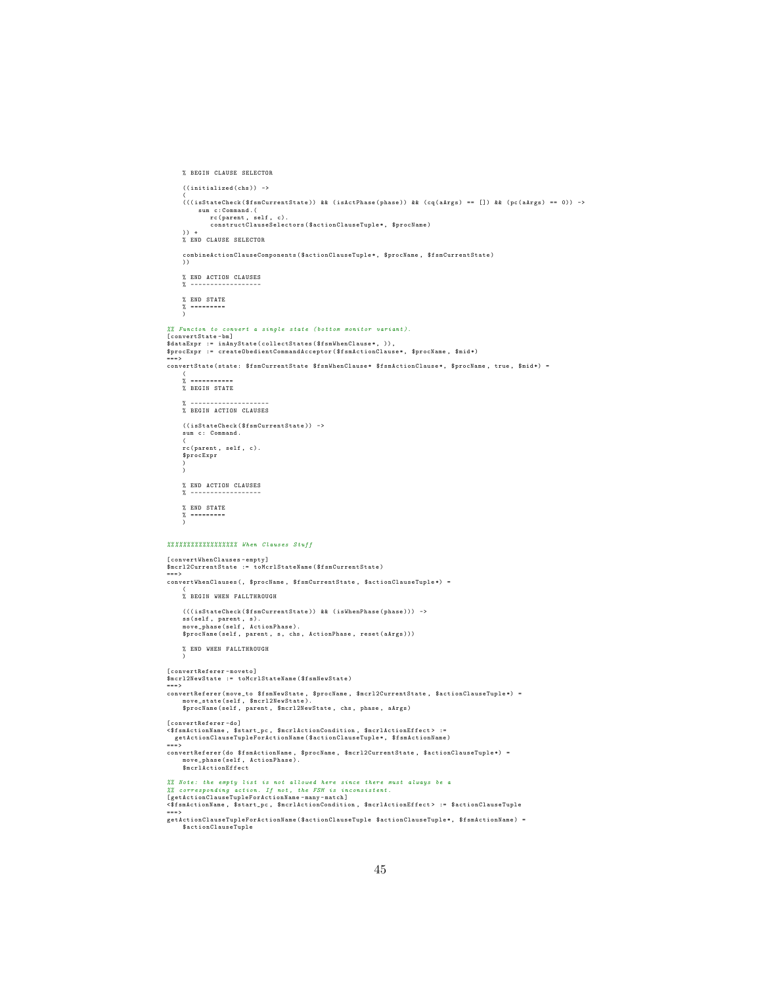```
% BEGIN CLAUSE SELECTOR
     ((initialized (chs)) \rightarrow(<br>(((isStateCheck($fsmCurrentState)) && (isActPhase(phase)) && (cq(aArgs) == []) && (pc(aArgs) == 0)) ->
            sum c: Command .(
rc ( parent , self , c ).
constructClauseSelectors ( $actionClauseTuple *, $procName )
     \lambda) +
     % END CLAUSE SELECTOR
      combineActionClauseComponents ( $actionClauseTuple *, $procName , $fsmCurrentState )
      ))
     % END ACTION CLAUSES
     \frac{1}{2} ----
     % END STATE
     % =========
      )
%% Functon to convert a single state ( bottom monitor variant ).
[convertState-bm]
 $dataExpr := inAnyState ( collectStates ( $fsmWhenClause * , )) ,
$procExpr := createObedientCommandAcceptor ( $fsmActionClause *, $procName , $mid *)
===><br>convertState(state: $fsmCurrentState $fsmWhenClause* $fsmActionClause*, $procName, true, $mid*) =
      (
% ===========
     % BEGIN STATE
      % --------------------
% BEGIN ACTION CLAUSES
      (( isStateCheck ( $fsmCurrentState )) ->
      sum c: Command .
      (<br>rc(parent, self, c).
      $procExpr
      )
      )
     % END ACTION CLAUSES
      % ------------------
     % END STATE
      % =========
)
%% % % % % % % % % % % % % % % % % When Clauses Stuff
[ convertWhenClauses - empty ]
$mcrl2CurrentState := toMcrlStateName ( $fsmCurrentState )
=== >
convertWhenClauses ( , $procName , $fsmCurrentState , $actionClauseTuple *) =
      (
% BEGIN WHEN FALLTHROUGH
     ((( isStateCheck ( $fsmCurrentState )) && ( isWhenPhase ( phase ))) ->
      ss(self, parent, s).<br>move_phase(self, ActionPhase).<br>$procName(self, parent, s, chs, ActionPhase, reset(aArgs)))
      % END WHEN FALLTHROUGH<br>)
[ convertReferer - moveto ]
$mcrl2NewState := toMcrlStateName ( $fsmNewState )
=== >
convertReferer (move_to $fsmNewState, $procName, $mcr12CurrentState, $actionClauseTuple*) =
      move_state ( self , $mcrl2NewState ).
$procName ( self , parent , $mcrl2NewState , chs , phase , aArgs )
[ convertReferer - do ]
< $fsmActionName , $start_pc , $mcrlActionCondition , $mcrlActionEffect > :=
getActionClauseTupleForActionName ( $actionClauseTuple *, $fsmActionName )
=== >
convertReferer ( do $fsmActionName , $procName , $mcrl2CurrentState , $actionClauseTuple *) =
move_phase ( self , ActionPhase ).
$mcrlActionEffect
XX Note: the empty list is not allowed here since there must always be a<br>XX corresponding action. If not, the FSM is inconsistent.<br>[getActionClauseTupleForActionName-many-match]<br><$fsmActionName, $start_pc, $mcr1ActionCondi
=== >
getActionClauseTupleForActionName ( $actionClauseTuple $actionClauseTuple *, $fsmActionName ) =
$actionClauseTuple
```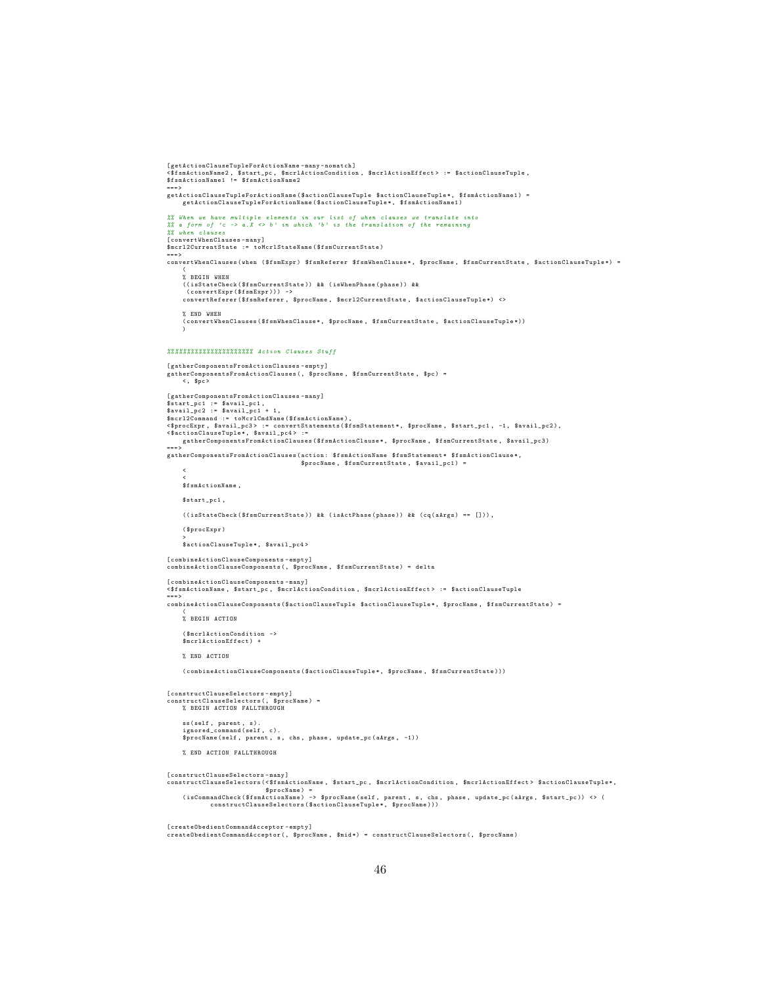```
[getActionClauseTupleForActionName-many-nomatch]<br><$fsmActionName2 , $start_pc, $mcrlActionCondition , $mcrlActionEffect> := $actionClauseTuple ,<br>$fsmActionName1 != $fsmActionName2
===><br>getActionClauseTupleForActionName($actionClauseTuple $actionClauseTuple*, $fsmActionName1) =<br>getActionClauseTupleForActionName($actionClauseTuple*, $fsmActionName1)
%% When we have multiple elements in our list of when clauses we translate into<br>%% a form of 'c -> a.X <> b' in which 'b' is the translation of the remaining<br>%% when clauses
[ convertWhenClauses - many ]
$mcrl2CurrentState := toMcrlStateName ( $fsmCurrentState )
=== >
convertWhenClauses (when ($fsmExpr) $fsmReferer $fsmWhenClause*, $procName, $fsmCurrentState, $actionClauseTuple*) =
      (
% BEGIN WHEN
      (( isStateCheck ( $fsmCurrentState )) && ( isWhenPhase ( phase )) &&
      ( convertExpr ( $fsmExpr ))) ->
convertReferer ( $fsmReferer , $procName , $mcrl2CurrentState , $actionClauseTuple *) <>
     % END WHEN
      ( convertWhenClauses ( $fsmWhenClause * , $procName , $fsmCurrentState , $actionClauseTuple *))
      )
%% % % % % % % % % % % % % % % % % % % % % Action Clauses Stuff
[ gatherComponentsFromActionClauses - empty ]
gatherComponentsFromActionClauses ( , $procName , $fsmCurrentState , $pc ) =
      \langle , \rangle[gatherComponentsFromActionClauses-many]<br>$start_pc1 := $avail_pc1<br>$avail_pc2 := $avail_pc1 + 1,<br>$mcrl2Command := toMcrlCmdName($fsmActionName),
<$procExpr, $avail_pc3> := convertStatements($fsmStatement*, $procName, $start_pc1, -1, $avail_pc2),<br><$actionClauseTuple*, $avail_pc4> :=<br>gatherComponentsFromActionClauses($fsmActionClause*, $procName, $fsmCurrentState, $a
 gatherComponentsFromActionClauses(action: $fsmActionName $fsmStatement* $fsmActionClause*,<br>$procName, $fsmCurrentState, $avail_pc1) =
      \breve{~}<
$fsmActionName ,
     $start_pc1 ,
     (( isStateCheck ( $fsmCurrentState )) && ( isActPhase ( phase )) && ( cq ( aArgs ) == [])) ,
     ( $procExpr )
      >
$actionClauseTuple *, $avail_pc4 >
[ combineActionClauseComponents - empty ]
combineActionClauseComponents (, $procName, $fsmCurrentState) = delta
[combineActionClauseComponents -many]
< $fsmActionName , $start_pc , $mcrlActionCondition , $mcrlActionEffect > := $actionClauseTuple
===><br>combineActionClauseComponents($actionClauseTuple $actionClauseTuple*, $procName, $fsmCurrentState) =
      (
% BEGIN ACTION
     ( $mcrlActionCondition ->
     $mcrlActionEffect) .
     % END ACTION
     ( combineActionClauseComponents ( $actionClauseTuple *, $procName , $fsmCurrentState )))
[ constructClauseSelectors - empty ]
constructClauseSelectors (, $procName) =
     % BEGIN ACTION FALLTHROUGH
      ss ( self, parent, s)
      ignored_command ( self , c ).
     $procName (self, parent, s, chs, phase, update_pc (aArgs, -1))
     % END ACTION FALLTHROUGH
[ constructClauseSelectors - many ]
constructClauseSelectors ( < $fsmActionName , $start_pc , $mcrlActionCondition , $mcrlActionEffect > $actionClauseTuple *,
      $procName) =<br>(isCommandCheck($fsmActionName) => $procName(self, parent, s, chs, phase, update_pc(aArgs, $start_pc)) <> (<br>constructClauseSelectors($actionClauseTuple*, $procName)))
[createObedientCommandAcceptor-empty]<br>createObedientCommandAcceptor(, $procName, $mid*) = constructClauseSelectors(, $procName)
```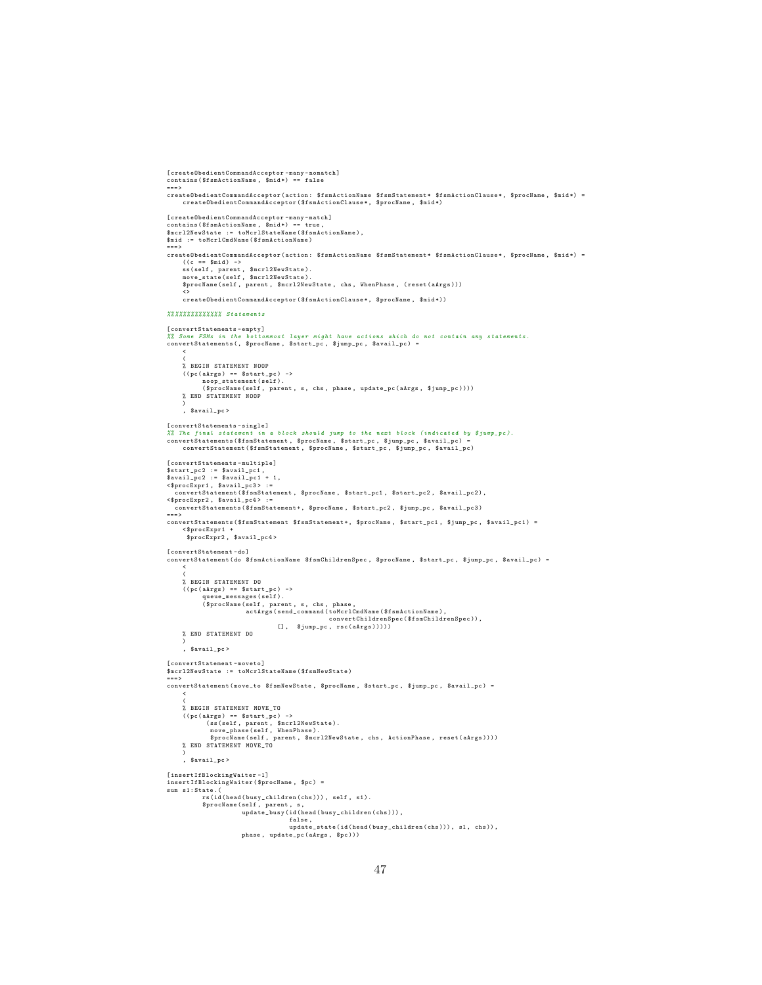```
[createObedientCommandAcceptor-many-nomatch]<br>contains ($fsmActionName, $mid*) == false
=== >
 createObedientCommandAcceptor(action: $fsmActionName $fsmStatement* $fsmActionClause*, $procName, $mid*) =<br>createObedientCommandAcceptor($fsmActionClause*, $procName, $mid*)
[ createObedientCommandAcceptor - many - match ]
 contains ($fsmActionName , $mid*) == true ,<br>$mcrl2NewState := toMcrlStateName($fsmActionName) ,<br>$mid := toMcrlCmdName($fsmActionName)
=== >
createObedientCommandAcceptor (action: $fsmActionName $fsmStatement* $fsmActionClause*, $procName, $mid*) =
       ((c == $mid) -><br>ss(self, parent, $mcrl2NewState).<br>move_state(self, $mcrl2NewState).
      $procName (self, parent, $mcrl2NewState, chs, WhenPhase, (reset (aArgs)))
       <>
createObedientCommandAcceptor ( $fsmActionClause *, $procName , $mid *))
%% %%%%%%%%%%%% Statements
[ convertStatements - empty]
%% Some FSMs in the bottommost layer might have actions which do not contain any statements .
...<br>convertStatements (, $procName, $start_pc, $jump_pc, $avail_pc) =
       \breve{~}(
% BEGIN STATEMENT NOOP
       ((pc(aArgs) == $start_pc) -><br>noop_statement(self).<br>($procName(self, parent, s, chs, phase, update_pc(aArgs, $jump_pc))))<br>% END STATEMENT NOOP
       )
, $avail_pc >
[convertStatements-single]<br>%% The final statement in a block should jump to the next block (indicated by $jump_pc).<br>convertStatements($fsmStatement, $procName, $start_pc, $jump_pc, $avail_pc) =<br>convertStatement($fsmStateme
[ convertStatements - multiple ]
 $start_pc2 := $avail_pc1 ,
$avail_pc2 := $avail_pc1 + 1,
 < $procExpr1 , $avail_pc3 > :=
convertStatement ( $fsmStatement , $procName , $start_pc1 , $start_pc2 , $avail_pc2 ),
 < $procExpr2 , $avail_pc4 > :=
convertStatements ( $fsmStatement +, $procName , $start_pc2 , $jump_pc , $avail_pc3 )
=== >
convertStatements ( $fsmStatement $fsmStatement +, $procName , $start_pc1 , $jump_pc , $avail_pc1 ) =
       < $procExpr1 +
$procExpr2 , $avail_pc4 >
[ convertStatement - do ]
convertStatement (do $fsmActionName $fsmChildrenSpec , $procName , $start pc , $jump_pc , $avail_pc ) =
       \breve{~}(
% BEGIN STATEMENT DO
       (( pc ( aArgs ) == $start_pc ) ->
queue_messages ( self ).
( $procName ( self , parent , s , chs , phase ,
actArgs ( send_command ( toMcrlCmdName ( $fsmActionName ),
                                            convertChildrenSpec ( $fsmChildrenSpec )) ,
[] , $jump_pc , rsc ( aArgs )))))
      % END STATEMENT DO
       )
, $avail_pc >
[ convertStatement - moveto ]
$mcrl2NewState := toMcrlStateName ( $fsmNewState )
= = \rightarrowconvertStatement (move_to $fsmNewState, $procName, $start_pc, $jump_pc, $avail_pc) =
       \breve{~}(
       % BEGIN STATEMENT MOVE_TO<br>((pc(aArgs) == $start_pc) -><br>(ss(self, parent, $mcrl2NewState).<br>move_phase(self, WhenPhase).
       $procName ( self , parent , $mcrl2NewState , chs , ActionPhase , reset ( aArgs ))))
% END STATEMENT MOVE_TO
       )
, $avail_pc >
[ insertIfBlockingWaiter -1]
insertIfBlockingWaiter ( $procName , $pc ) =
sum s1: State.(
             rs ( id ( head ( busy_children ( chs ))) , self , s1 ).
              $procName ( self , parent , s ,
update_busy ( id ( head ( busy_children ( chs ))) ,
                              false ,
update_state ( id ( head ( busy_children ( chs ))) , s1 , chs )) ,
phase , update_pc ( aArgs , $pc )))
```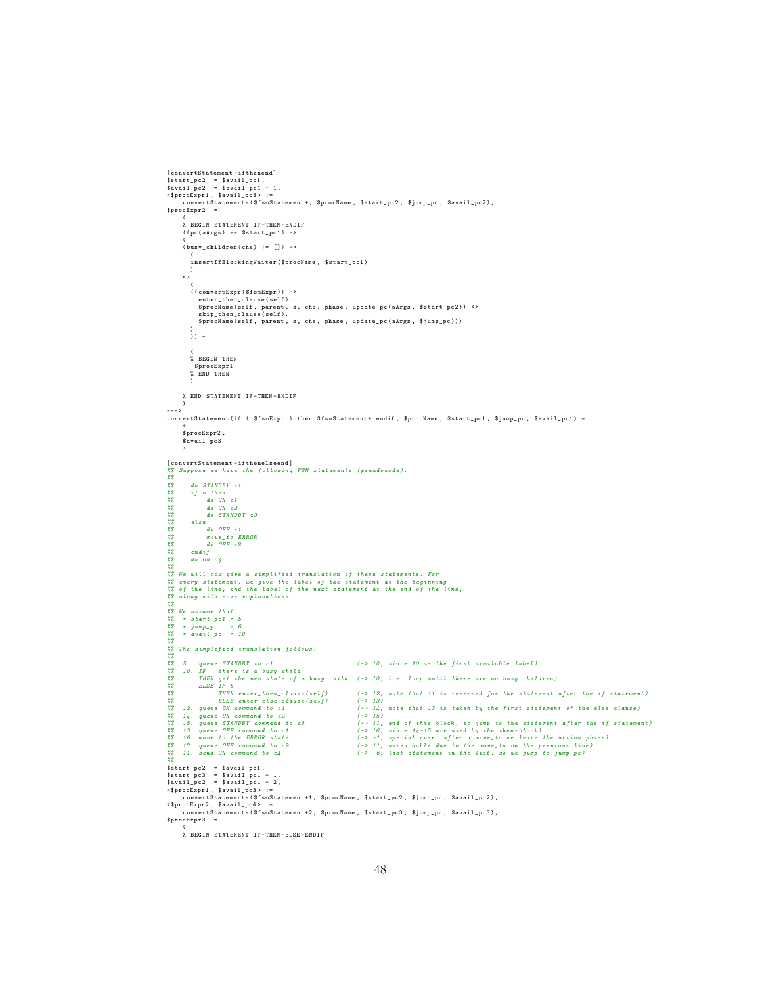```
[ convertStatement - ifthenend ]
$start_pc2 := $avail_pc1 ,
$avail_pc2 := $avail_pc1 + 1,
 < $procExpr1 , $avail_pc3 > :=
convertStatements ( $fsmStatement +, $procName , $start_pc2 , $jump_pc , $avail_pc2 ),
$procExpr2 :=
        (<br>% BEGIN STATEMENT IF-THEN-ENDIF
       ((pc (aArgs) == $start\_pc1) ->(
( busy_children ( chs ) != []) ->
           (
insertIfBlockingWaiter ( $procName , $start_pc1 )
           )
       \leftrightarrow(
(( convertExpr ( $fsmExpr )) ->
enter_then_clause ( self ).
               $procName(self, parent, s, chs, phase, update_pc(aArgs, $start_pc2)) <><br>skip_then_clause(self).<br>$procName(self, parent, s, chs, phase, update_pc(aArgs, $jump_pc)))
           )
)) +
           (
% BEGIN THEN
           $procExpr1
% END THEN
           )
        % END STATEMENT IF-THEN-ENDIF<br>)
 === >
convertStatement (if ($fsmExpr) then $fsmStatement+ endif, $procName, $start_pc1, $jump_pc, $avail_pc1) =
        \breve{~}$procExpr2 ,
       $avail_pc3
        >
 [convertStatement-ifthenelseend]<br>%% Suppose we have the following FSM statements (pseudocode):
\frac{2\%}{\%}%% do STANDBY c1<br>%% if b then<br>%% do ON c1<br>%% do ON c2<br>%% do STANDBY c3
\frac{77}{27} else<br>\frac{77}{27} else
 %% do OFF c1
%% move_to ERROR
\frac{7}{2} \frac{7}{2} do OFF c2
 %% endif
%% do ON c4
 XX<br>XX We will now give a simplified translation of these statements. For<br>XX overy statement, we give the label of the statement at the beginning<br>XX of the line, and the label of the next statement at the end of the line,<br>X
%%
%% We assume that :
 \begin{array}{lcl} \chi\chi & * & start\_pc1 &= 5 \\ \chi\chi & * & jump\_pc &= 6 \\ \chi\chi & * & avoid\_pc &= 10 \end{array}%%
%% The simplified translation follows :
\dddot{x}XX 5. queue STANDBY to c1<br>XX 10. IF there is a busy child<br>XX THEN get the new state of a busy child (->10, i.e. loop until there are no busy children)<br>XX ELSE IF b<br>XX ELSE THEN enter_then_clause(self) (->12; note that 11 i
 %% ELSE enter_else_clause(self) (-> 13)
 \emph{X1} 12. queue DN command to c1 (-> 14; note that 13 is taken by the first statement of the else clause)
 \frac{2}{2} 14. queue ON command to c2 (-> 15)
 XXI5. queue SFANDBY command to c3 (-> 11; end of this block, so jump to the statement after the if statement)<br>XXI5. queue DFF command to c1 (-> 16, since 14-15 are used by the then-block)<br>XXI5. move to the ERROR state (-> 
22$start_pc2 := $avail_pc1 ,
$start_pc3 := $avail_pc1 + 1,
$avail_pc2 := $avail_pc1 + 2,
 <$procExpr1, $avail_pc3> :=<br>convertStatements($fsmStatement+1, $procName, $start_pc2, $jump_pc, $avail_pc2),<br><$procExpr2, $avail_pc4> :=<br>convertStatements($fsmStatement+2, $procName, $start_pc3, $jump_pc, $avail_pc3),
{\tt sprocExpr3} :=
        (
% BEGIN STATEMENT IF - THEN - ELSE - ENDIF
```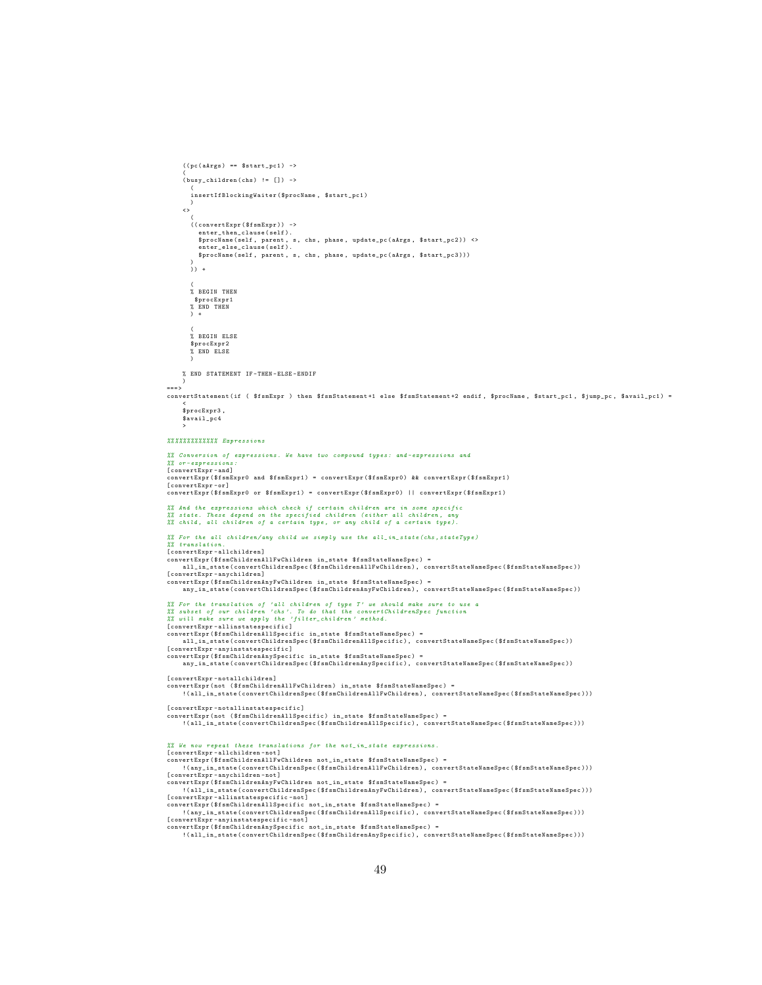```
((pc (aArgs) == $start\_pc1) ->(
( busy_children ( chs ) != []) ->
          (
insertIfBlockingWaiter ( $procName , $start_pc1 )
          )
      \leftrightarrow(
(( convertExpr ( $fsmExpr )) ->
             enter_then_clause(self).<br>$procName (self, parent, s, chs, phase, update_pc(aArgs, $start_pc2)) <><br>enter_else_clause(self).
            $procName (self, parent, s, chs, phase, update_pc (aArgs, $start_pc3)))
          )
)) +
          (
% BEGIN THEN
           $procExpr1
         % END THEN
          ) +
          (
% BEGIN ELSE
          $procExpr2
% END ELSE
          )
     % END STATEMENT IF - THEN - ELSE - ENDIF
       )
=== >
convertStatement (if ($fsmExpr) then $fsmStatement+1 else $fsmStatement+2 endif, $procName, $start_pc1, $jump_pc, $avail_pc1) =
       \breve{~}$procExpr3 ,
     $avail_pc4
       >
%% %%%%%%%%%%% Expressions
 %% Conversion of expressions. We have two compound types: and-expressions and<br>%% or-expressions:
%% or-expressions<br>[ convertExpr - and ]
convertExpr ( $fsmExpr0 and $fsmExpr1 ) = convertExpr ( $fsmExpr0 ) && convertExpr ( $fsmExpr1 )
[ convertExpr - or ]
convertExpr ( $fsmExpr0 or $fsmExpr1 ) = convertExpr ( $fsmExpr0 ) || convertExpr ( $fsmExpr1 )
%% And the expressions which check if certain children are in some specific
 %% state . These depend on the specified children ( either all children , any
%% child , all children of a certain type , or any child of a certain type ).
% \mathcal{W} For the all children/any child we simply use the all_in_state(chs, stateType)
 %% translation .
[ convertExpr - allchildren ]
convertExpr($fsmChildrenAllFwChildren in_state $fsmStateNameSpec) =
 all_in_state ( convertChildrenSpec ( $fsmChildrenAllFwChildren ), convertStateNameSpec ( $fsmStateNameSpec ))
[ convertExpr - anychildren ]
convertExpr ( $fsmChildrenAnyFwChildren in_state $fsmStateNameSpec ) =
      any_in_state ( convertChildrenSpec ( $fsmChildrenAnyFwChildren ), convertStateNameSpec ( $fsmStateNameSpec ))
 XX For the translation of 'all children of type T' we should make sure to use a<br>XX subset of our children 'chs'. To do that the convertChildrenSpec function<br>XX will make sure we apply the 'filter_children' method.<br>[conve
     \verb|all_in_state| (convertChildrenSpec ($\verb|fsmChild| method 11}{\verb|Spectic|), convertStateNameSpec ($\verb|fsmState|0|)[convertExpr-anyinstatespecific]<br>convertExpr($fsmChildrenAnySpecific in_state $fsmStateNameSpec) =<br>any_in_state(convertChildrenSpec($fsmChildrenAnySpecific), convertStateNameSpec($fsmStateNameSpec))
 [convertExpr-notallchildren]<br>convertExpr(not ($fsmChildrenAllFwChildren) in_state $fsmStateNameSpec) =<br>!(all_in_state(convertChildrenSpec($fsmChildrenAllFwChildren), convertStateNameSpec($fsmStateNameSpec)))
 [convertExpr-notallinstatespecific]<br>convertExpr(not ($fsmChildrenAllSpecific) in_state $fsmStateNameSpec) =<br>!(all_in_state(convertChildrenSpec($fsmChildrenAllSpecific), convertStateNameSpec($fsmStateNameSpec)))
%% We now repeat these translations for the not_in_state expressions<br>[convertExpr-allchildren-not]
 [convertExpr-$allchildren-not]<br>convertExpr($fsmChildrenAllFwChildren not_in_state $fsmStateNameSpec) =<br>http://www.facebook.convertChildrenSpec($fsmChildrenAllFwChildren), convertStateNameSpec($fsmStateNameSpec)))<br>[convertE
 !(all_in_state(convertChildrenSpec($fsmChildrenAnyFwChildren), convertStateNameSpec($fsmStateNameSpec)))<br>[convertExpr($fsmChildrenAllSpecific-not]<br>convertExpr($fsmChildrenAllSpecific not_in_state $fsmStateNameSpec) =<br>!(any
```
[convertExpr-anyinstatespecific-not]<br>convertExpr(\$fsmChildrenAnySpecific not\_in\_state \$fsmStateNameSpec) =<br>!(all\_in\_state(convertChildrenSpec(\$fsmChildrenAnySpecific), convertStateNameSpec(\$fsmStateNameSpec)))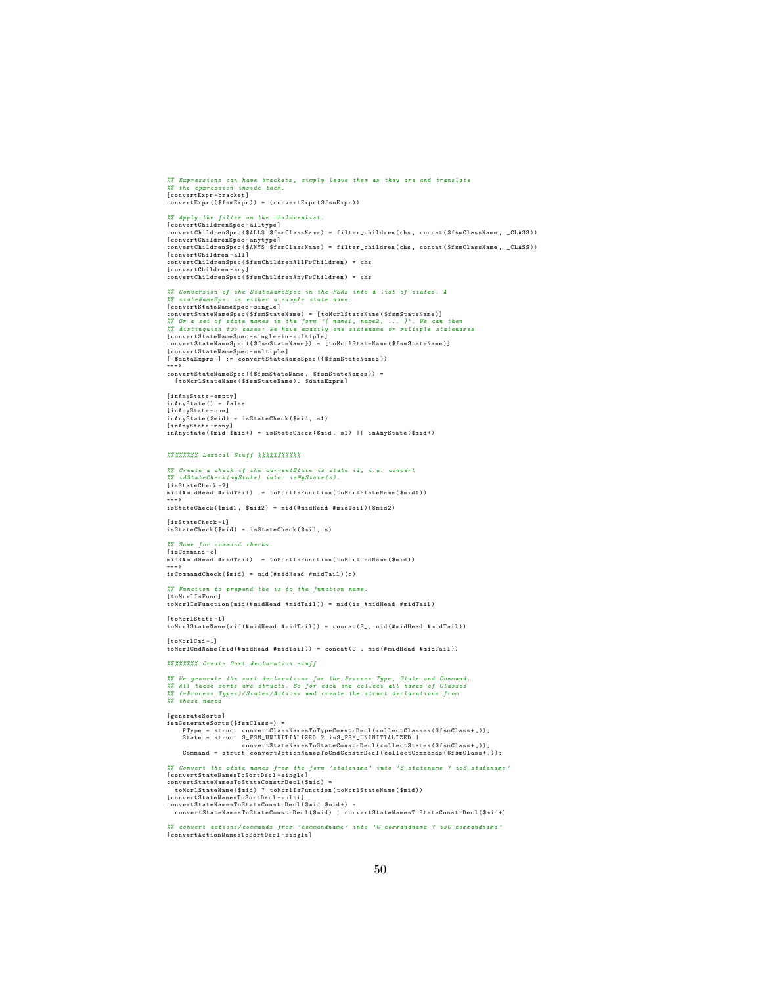```
%% Expressions can have brackets , simply leave them as they are and translate
%% the epxression inside them .
[ convertExpr - bracket ]
convertExpr (($fsmExpr)) = (convertExpr ($fsmExpr))
```

```
%% Apply the filter on the childrenlist.<br>ConvertChildrenSpec-alltype]<br>convertChildrenSpec($ALL$ $fsmClassName) = filter_children(chs, concat($fsmClassName, _CLASS))<br>[convertChildrenSpec-anytype]<br>convertChildrenSpec($ALN$ $
```

```
%% Conversion of the StateNameSpec in the FSMs into a list of states. A<br>%% stateNameSpec is either a simple state name:<br>[convertStateNameSpec-single]
convertStateNameSpec($fsmStateName) = [toNcr1StateName($fsmStateName)]<br>ZX Or a set of state names in the form "(name1, name2, ... )". We can then<br>XX distinguish two cases: We have ezactly one statename or multiple statenam
convertStateNameSpec ({ $fsmStateName , $fsmStateNames }) =
[ toMcrlStateName ( $fsmStateName ), $dataExprs ]
```
[ inAnyState - empty ] inAnyState () = false [inAnyState-one]<br>inAnyState(\$mid) = isStateCheck(\$mid, s1) [inAnyState-many]<br>inAnyState(\$mid \$mid+) = isStateCheck(\$mid, s1) || inAnyState(\$mid+)

%% %%%%%% Lexical Stuff %%%%%%%%%%%

```
%% Create a check if the currentState is state id, i.e. convert<br>%% idStateCheck(myState) into: isMyState(s).
\frac{1}{1} is \frac{1}{2} is \frac{1}{2} is \frac{1}{2} is \frac{1}{2} is \frac{1}{2} is \frac{1}{2} is \frac{1}{2} is \frac{1}{2} is \frac{1}{2} is \frac{1}{2} is \frac{1}{2} is \frac{1}{2} is \frac{1}{2} is \frac{1}{2} is \frac{1}{2} is \frac{1}{2} is 
mid (# midHead # midTail ) := toMcrlIsFunction ( toMcrlStateName ( $mid1 ))
 === >
isStateCheck ( $mid1 , $mid2 ) = mid (# midHead # midTail )( $mid2 )
```
[ isStateCheck -1] isStateCheck ( \$mid ) = isStateCheck ( \$mid , s)

```
%% Same for command checks .
[ isCommand -c ]
mid (# midHead # midTail ) := toMcrlIsFunction ( toMcrlCmdName ( $mid ))
=== >
isCommandCheck ( $mid ) = mid (# midHead # midTail )( c)
```

```
%% Function to prepend the is to the function name .
[ toMcrlIsFunc ]
toMcrlIsFunction ( mid (# midHead # midTail )) = mid ( is # midHead # midTail )
```
[ toMcrlState -1] toMcrlStateName (mid (# midHead # midTail)) = concat (S\_, mid (# midHead # midTail))

```
[ toMcrlCmd -1]
toMcrlCmdName (mid (# midHead # midTail)) = concat (C_, mid (# midHead # midTail))
```
%% %%%%%% Create Sort declaration stuff

XX We generate the sort declarations for the Process Type, State and Command.<br>XX All these sorts are structs. So for each one collect all names of Classes<br>XX (=Process Types)/States/Actions and create the struct declaratio %% these names

#### [ generateSorts ] fsmGenerateSorts ( \$fsmClass +) =

```
PType = struct convertClassNamesToTypeConstrDecl(collectClasses($fsmClass+,));<br>State = struct S_FSM_UNINITIALIZED ? isS_FSM_UNINITIALIZED |<br>convertStateNamesToStateConstrDecl(collectStates($fsmClass+,));<br>Command = struct c
```
%% Convert the state names from the form 'statename' into 'S\_statename ? isS\_statename'<br>[convertStateNamesToSortDecl-single] convertStateNamesToStateConstrDecl ( \$mid ) = – toMcrlStateName (\$mid) ? toMcrlIsFunction (toMcrlStateName (\$mid))<br>[convertStateNamesToSortDecl-multi]<br>convertStateNamesToStateConstrDecl (\$mid \$mid+) = convertStateNamesToStateConstrDecl ( \$mid ) | convertStateNamesToStateConstrDecl ( \$mid +)

```
%% convert actions/commands from 'commandname' into 'C_commandname ? isC_commandname'<br>[convertActionNamesToSortDecl-single]
```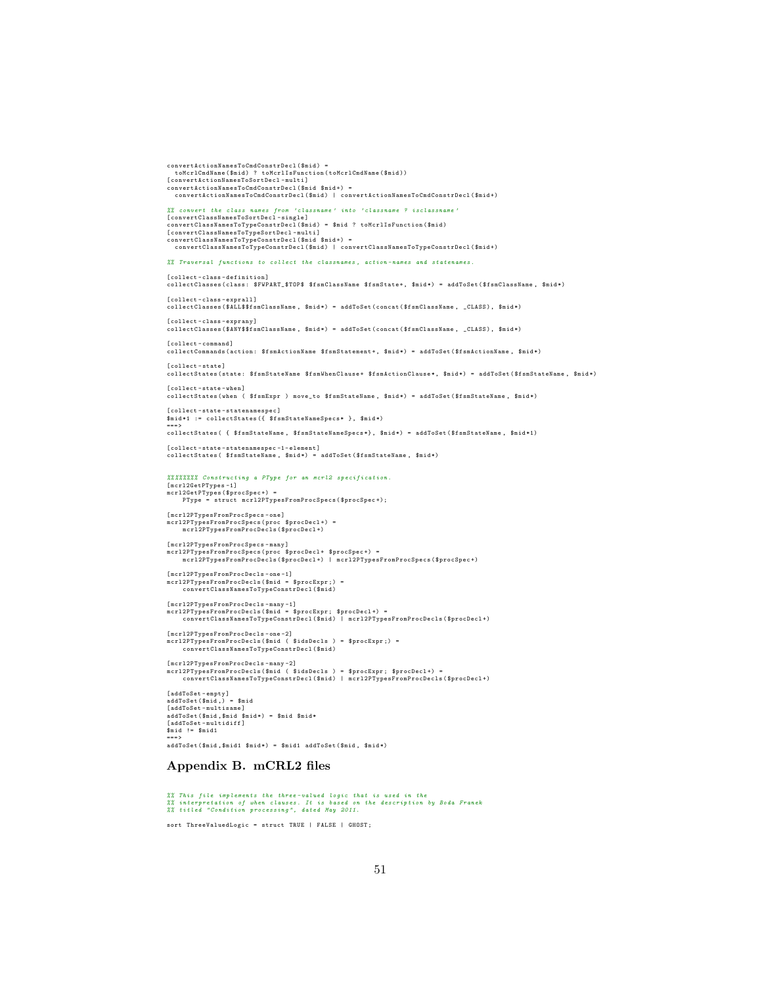```
convertActionNamesToCmdConstrDecl ($mid) =
toMcrlCmdName($mid) ? toMcrlIsFunction(toMcrlCmdName($mid))<br>[convertActionNamesToSortDecl-multi]<br>convertActionNamesToCmdConstrDecl($mid $mid+) =
  convertActionNamesToCmdConstrDecl ( $mid ) | convertActionNamesToCmdConstrDecl ( $mid +)
%% convert the class names from 'classname ' into ' classname ? isclassname '
[convertClassNamesToSortDecl-single]<br>convertClassNamesToTypeConstrDecl($mid) = $mid ? toMcrlIsFunction($mid)<br>[convertClassNamesToTypeSortDecl-multi]<br>convertClassNamesToTypeSortDecl-multi]<br>convertClassNamesToTypeConstrDecl(
%% Traversal functions to collect the classnames, action-names and statenames
[collect-class-definition]
collectClasses ( class : $FWPART_$TOP$ $fsmClassName $fsmState +, $mid *) = addToSet ( $fsmClassName , $mid *)
[ collect - class - exprall ]
collectClasses ( $ALL$$fsmClassName , $mid *) = addToSet ( concat ( $fsmClassName , _CLASS ), $mid *)
[collect-class-exprany]<br>collectClasses ($ANY$$fsmClassName , $mid*) = addToSet(concat($fsmClassName , _CLASS), $mid*)
[collect-command]
collectCommands (action: $fsmActionName $fsmStatement+, $mid*) = addToSet($fsmActionName, $mid*)
[collect-state]
 -<br>collectStates (state: $fsmStateName $fsmWhenClause+ $fsmActionClause*, $mid*) = addToSet($fsmStateName, $mid*)
[ collect - state - when]
collectStates ( when ( $fsmExpr ) move_to $fsmStateName , $mid *) = addToSet ( $fsmStateName , $mid *)
[collect-state-statenamespec]
$mid *1 := collectStates ({ $fsmStateNameSpecs * } , $mid *)
===><br>collectStates( { $fsmStateName , $fsmStateNameSpecs*}, $mid*) = addToSet($fsmStateName , $mid*1)
[collect-state-statenamespec-1-element]<br>collectStates( $fsmStateName , $mid*) = addToSet($fsmStateName , $mid*)
%%%%%%% %% Constructing a PType for an mcrl2 specification.
[ mcrl2GetPTypes -1]
mcrl2GetPTypes ( $procSpec +) =
     PType = struct mcrl2PTypesFromProcSpecs ( $procSpec +);
[ mcrl2PTypesFromProcSpecs - one ]
mcrl2PTypesFromProcSpecs ( proc $procDecl +) =
mcrl2PTypesFromProcDecls ( $procDecl +)
[ mcrl2PTypesFromProcSpecs - many ]
 mcrl2PTypesFromProcSpecs ( proc $procDecl + $procSpec +) =
mcrl2PTypesFromProcDecls ( $procDecl +) | mcrl2PTypesFromProcSpecs ( $procSpec +)
[ mcrl2PTypesFromProcDecls - one -1]
mcr12PTypesFromProcDecls ($mid = $procExpr;) =
     convertClassNamesToTypeConstrDecl ( $mid )
[mcrl2PTypesFromProcDecls -many -1]<br>mcrl2PTypesFromProcDecls ($mid = $procExpr; $procDecl+) =<br>convertClassNamesToTypeConstrDecl ($mid) | mcrl2PTypesFromProcDecls ($procDecl+)
[ mcrl2PTypesFromProcDecls - one -2]
mcrl2PTypesFromProcDecls ( $mid ( $idsDecls ) = $procExpr ;) =
     convertClassNamesToTypeConstrDecl ( $mid )
[mcrl2PTypesFromProcDecls -many-2]<br>mcrl2PTypesFromProcDecls ($mid ( $idsDecls ) = $procExpr; $procDecl+) =<br>convertClassNamesToTypeConstrDecl($mid) | mcrl2PTypesFromProcDecls($procDecl+)
[addToSet-empty]
addToSet($mid,) = $mid<br>[addToSet-multisame]<br>addToSet($mid,$mid $mid*) = $mid $mid*<br>[addToSet-multidiff]
$mid != $mid1
=== >
addToSet ( $mid , $mid1 $mid *) = $mid1 addToSet ( $mid , $mid *)
```
## Appendix B. mCRL2 files

```
%% This file implements the three - valued logic that is used in the
%% interpretation of when clauses. It is based on the description by Boda Franek<br>%% titled "Condition processing", dated May 2011.
sort ThreeValuedLogic = struct TRUE | FALSE | GHOST ;
```